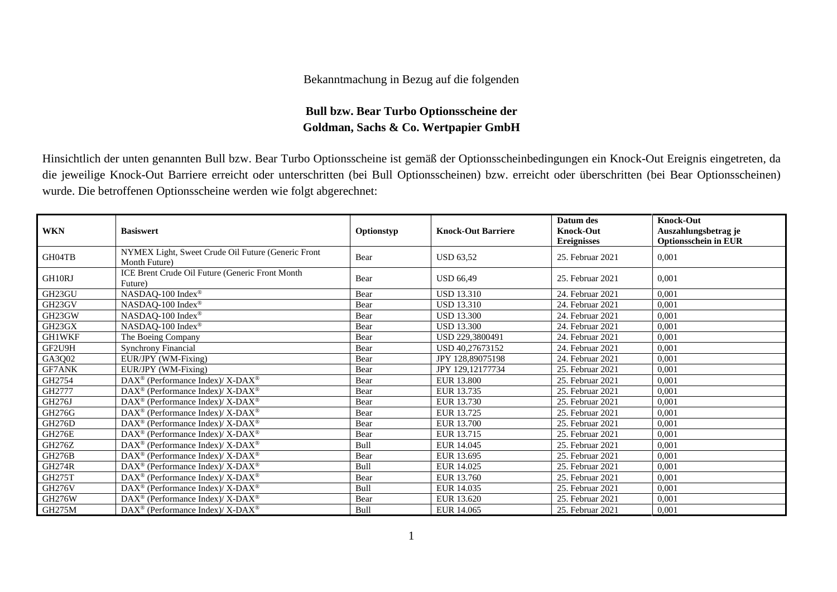## Bekanntmachung in Bezug auf die folgenden

## **Bull bzw. Bear Turbo Optionsscheine der Goldman, Sachs & Co. Wertpapier GmbH**

Hinsichtlich der unten genannten Bull bzw. Bear Turbo Optionsscheine ist gemäß der Optionsscheinbedingungen ein Knock-Out Ereignis eingetreten, da die jeweilige Knock-Out Barriere erreicht oder unterschritten (bei Bull Optionsscheinen) bzw. erreicht oder überschritten (bei Bear Optionsscheinen) wurde. Die betroffenen Optionsscheine werden wie folgt abgerechnet:

| <b>WKN</b>    | <b>Basiswert</b>                                                    | Optionstyp | <b>Knock-Out Barriere</b> | Datum des<br><b>Knock-Out</b><br><b>Ereignisses</b> | <b>Knock-Out</b><br>Auszahlungsbetrag je<br><b>Optionsschein in EUR</b> |
|---------------|---------------------------------------------------------------------|------------|---------------------------|-----------------------------------------------------|-------------------------------------------------------------------------|
| GH04TB        | NYMEX Light, Sweet Crude Oil Future (Generic Front<br>Month Future) | Bear       | <b>USD 63,52</b>          | 25. Februar 2021                                    | 0,001                                                                   |
| GH10RJ        | ICE Brent Crude Oil Future (Generic Front Month<br>Future)          | Bear       | <b>USD 66,49</b>          | 25. Februar 2021                                    | 0,001                                                                   |
| GH23GU        | NASDAQ-100 Index®                                                   | Bear       | <b>USD 13.310</b>         | 24. Februar 2021                                    | 0,001                                                                   |
| GH23GV        | NASDAQ-100 Index <sup>®</sup>                                       | Bear       | <b>USD 13.310</b>         | 24. Februar 2021                                    | 0,001                                                                   |
| GH23GW        | NASDAQ-100 Index®                                                   | Bear       | <b>USD 13.300</b>         | 24. Februar 2021                                    | 0,001                                                                   |
| GH23GX        | NASDAQ-100 Index®                                                   | Bear       | <b>USD 13.300</b>         | 24. Februar 2021                                    | 0,001                                                                   |
| GH1WKF        | The Boeing Company                                                  | Bear       | USD 229.3800491           | 24. Februar 2021                                    | 0.001                                                                   |
| GF2U9H        | <b>Synchrony Financial</b>                                          | Bear       | USD 40.27673152           | 24. Februar 2021                                    | 0,001                                                                   |
| GA3Q02        | EUR/JPY (WM-Fixing)                                                 | Bear       | JPY 128,89075198          | 24. Februar 2021                                    | 0,001                                                                   |
| <b>GF7ANK</b> | EUR/JPY (WM-Fixing)                                                 | Bear       | JPY 129,12177734          | 25. Februar 2021                                    | 0,001                                                                   |
| GH2754        | DAX <sup>®</sup> (Performance Index)/ X-DAX <sup>®</sup>            | Bear       | EUR 13.800                | 25. Februar 2021                                    | 0,001                                                                   |
| GH2777        | $\text{DAX}^{\circledast}$ (Performance Index)/X-DAX <sup>®</sup>   | Bear       | EUR 13.735                | 25. Februar 2021                                    | 0,001                                                                   |
| GH276J        | $DAX^{\circledast}$ (Performance Index)/ X-DAX <sup>®</sup>         | Bear       | EUR 13.730                | 25. Februar 2021                                    | 0,001                                                                   |
| <b>GH276G</b> | $DAX^{\circledast}$ (Performance Index)/X-DAX <sup>®</sup>          | Bear       | EUR 13.725                | 25. Februar 2021                                    | 0,001                                                                   |
| <b>GH276D</b> | $DAX^{\circledast}$ (Performance Index)/ X-DAX <sup>®</sup>         | Bear       | <b>EUR 13.700</b>         | 25. Februar 2021                                    | 0,001                                                                   |
| <b>GH276E</b> | $DAX^{\circledast}$ (Performance Index)/ X-DAX <sup>®</sup>         | Bear       | EUR 13.715                | 25. Februar 2021                                    | 0.001                                                                   |
| GH276Z        | DAX <sup>®</sup> (Performance Index)/ X-DAX <sup>®</sup>            | Bull       | EUR 14.045                | 25. Februar 2021                                    | 0,001                                                                   |
| <b>GH276B</b> | DAX <sup>®</sup> (Performance Index)/ X-DAX <sup>®</sup>            | Bear       | EUR 13.695                | 25. Februar 2021                                    | 0,001                                                                   |
| <b>GH274R</b> | $DAX^{\circledast}$ (Performance Index)/X-DAX <sup>®</sup>          | Bull       | EUR 14.025                | 25. Februar 2021                                    | 0,001                                                                   |
| <b>GH275T</b> | $\text{DAX}^{\circledast}$ (Performance Index)/X-DAX <sup>®</sup>   | Bear       | EUR 13.760                | 25. Februar 2021                                    | 0,001                                                                   |
| <b>GH276V</b> | DAX <sup>®</sup> (Performance Index)/X-DAX <sup>®</sup>             | Bull       | EUR 14.035                | 25. Februar 2021                                    | 0,001                                                                   |
| <b>GH276W</b> | $DAX^{\circledast}$ (Performance Index)/X-DAX <sup>®</sup>          | Bear       | EUR 13.620                | 25. Februar 2021                                    | 0,001                                                                   |
| <b>GH275M</b> | DAX <sup>®</sup> (Performance Index)/ X-DAX <sup>®</sup>            | Bull       | EUR 14.065                | 25. Februar 2021                                    | 0,001                                                                   |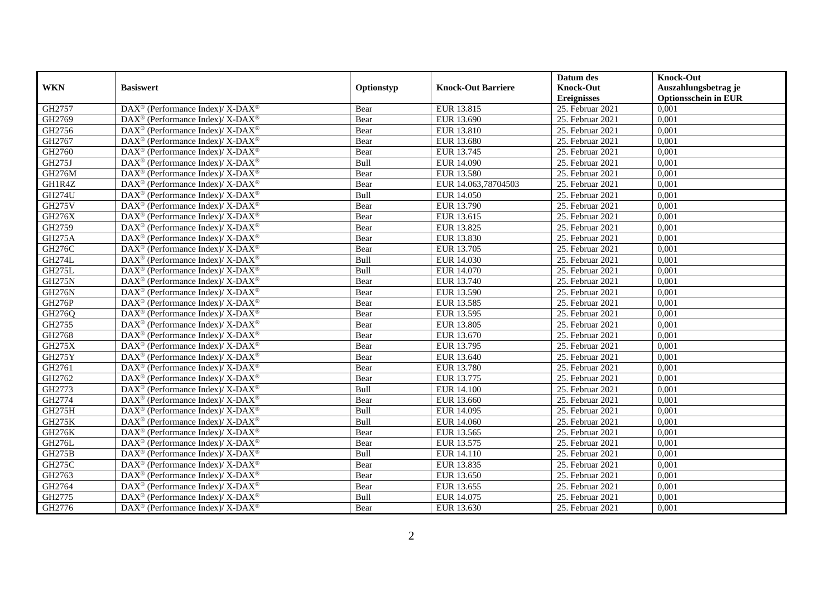|               |                                                                          |            |                           | Datum des          | <b>Knock-Out</b>            |
|---------------|--------------------------------------------------------------------------|------------|---------------------------|--------------------|-----------------------------|
| <b>WKN</b>    | <b>Basiswert</b>                                                         | Optionstyp | <b>Knock-Out Barriere</b> | <b>Knock-Out</b>   | Auszahlungsbetrag je        |
|               |                                                                          |            |                           | <b>Ereignisses</b> | <b>Optionsschein in EUR</b> |
| GH2757        | DAX <sup>®</sup> (Performance Index)/X-DAX <sup>®</sup>                  | Bear       | EUR 13.815                | $25.$ Februar 2021 | 0,001                       |
| GH2769        | $\text{DAX}^{\circledast}$ (Performance Index)/ X-DAX <sup>®</sup>       | Bear       | EUR 13.690                | 25. Februar 2021   | 0,001                       |
| GH2756        | $\text{DAX}^{\circledast}$ (Performance Index)/ X-DAX <sup>®</sup>       | Bear       | EUR 13.810                | 25. Februar 2021   | 0,001                       |
| GH2767        | DAX <sup>®</sup> (Performance Index)/X-DAX <sup>®</sup>                  | Bear       | EUR 13.680                | 25. Februar 2021   | 0,001                       |
| GH2760        | DAX <sup>®</sup> (Performance Index)/ X-DAX <sup>®</sup>                 | Bear       | EUR 13.745                | 25. Februar 2021   | 0,001                       |
| <b>GH275J</b> | DAX <sup>®</sup> (Performance Index)/ X-DAX <sup>®</sup>                 | Bull       | EUR 14.090                | 25. Februar 2021   | 0,001                       |
| <b>GH276M</b> | $\overline{\text{DAX}^{\otimes}}$ (Performance Index)/X-DAX <sup>®</sup> | Bear       | <b>EUR 13.580</b>         | 25. Februar 2021   | 0,001                       |
| GH1R4Z        | $\text{DAX}^{\otimes}$ (Performance Index)/X-DAX <sup>®</sup>            | Bear       | EUR 14.063,78704503       | 25. Februar 2021   | 0,001                       |
| <b>GH274U</b> | $\text{DAX}^{\circledast}$ (Performance Index)/ X-DAX <sup>®</sup>       | Bull       | <b>EUR 14.050</b>         | 25. Februar 2021   | 0,001                       |
| <b>GH275V</b> | DAX <sup>®</sup> (Performance Index)/X-DAX <sup>®</sup>                  | Bear       | EUR 13.790                | 25. Februar 2021   | 0,001                       |
| GH276X        | $\text{DAX}^{\circledast}$ (Performance Index)/ X-DAX <sup>®</sup>       | Bear       | EUR 13.615                | 25. Februar 2021   | 0,001                       |
| GH2759        | DAX <sup>®</sup> (Performance Index)/ X-DAX <sup>®</sup>                 | Bear       | EUR 13.825                | $25.$ Februar 2021 | 0,001                       |
| <b>GH275A</b> | $\text{DAX}^{\circledast}$ (Performance Index)/ X-DAX <sup>®</sup>       | Bear       | EUR 13.830                | 25. Februar 2021   | 0,001                       |
| <b>GH276C</b> | $\text{DAX}^{\circledast}$ (Performance Index)/ X-DAX <sup>®</sup>       | Bear       | EUR 13.705                | 25. Februar 2021   | 0,001                       |
| <b>GH274L</b> | DAX <sup>®</sup> (Performance Index)/ X-DAX <sup>®</sup>                 | Bull       | EUR 14.030                | 25. Februar 2021   | 0,001                       |
| <b>GH275L</b> | DAX <sup>®</sup> (Performance Index)/ X-DAX <sup>®</sup>                 | Bull       | <b>EUR 14.070</b>         | 25. Februar 2021   | 0,001                       |
| <b>GH275N</b> | DAX <sup>®</sup> (Performance Index)/ X-DAX <sup>®</sup>                 | Bear       | EUR 13.740                | 25. Februar 2021   | 0,001                       |
| <b>GH276N</b> | $\text{DAX}^{\circledast}$ (Performance Index)/ X-DAX <sup>®</sup>       | Bear       | EUR 13.590                | 25. Februar 2021   | 0.001                       |
| <b>GH276P</b> | $\text{DAX}^{\circledast}$ (Performance Index)/ X-DAX <sup>®</sup>       | Bear       | EUR 13.585                | 25. Februar 2021   | 0,001                       |
| GH276Q        | $\text{DAX}^{\circledast}$ (Performance Index)/ X-DAX <sup>®</sup>       | Bear       | EUR 13.595                | 25. Februar 2021   | 0,001                       |
| GH2755        | $\text{DAX}^{\circledast}$ (Performance Index)/ X-DAX <sup>®</sup>       | Bear       | <b>EUR 13.805</b>         | 25. Februar 2021   | 0,001                       |
| GH2768        | $\text{DAX}^{\circledast}$ (Performance Index)/ X-DAX <sup>®</sup>       | Bear       | EUR 13.670                | 25. Februar 2021   | 0,001                       |
| <b>GH275X</b> | DAX <sup>®</sup> (Performance Index)/ X-DAX <sup>®</sup>                 | Bear       | EUR 13.795                | $25.$ Februar 2021 | 0,001                       |
| <b>GH275Y</b> | DAX <sup>®</sup> (Performance Index)/ X-DAX <sup>®</sup>                 | Bear       | EUR 13.640                | 25. Februar 2021   | 0,001                       |
| GH2761        | $\text{DAX}^{\circledast}$ (Performance Index)/ X-DAX <sup>®</sup>       | Bear       | <b>EUR 13.780</b>         | 25. Februar 2021   | 0.001                       |
| GH2762        | $\text{DAX}^{\circledast}$ (Performance Index)/ X-DAX <sup>®</sup>       | Bear       | EUR 13.775                | 25. Februar 2021   | 0,001                       |
| GH2773        | DAX <sup>®</sup> (Performance Index)/ X-DAX <sup>®</sup>                 | Bull       | <b>EUR 14.100</b>         | 25. Februar 2021   | 0,001                       |
| GH2774        | DAX <sup>®</sup> (Performance Index)/ X-DAX <sup>®</sup>                 | Bear       | EUR 13.660                | 25. Februar 2021   | 0,001                       |
| GH275H        | DAX <sup>®</sup> (Performance Index)/ X-DAX <sup>®</sup>                 | Bull       | EUR 14.095                | 25. Februar 2021   | 0,001                       |
| <b>GH275K</b> | $\text{DAX}^{\otimes}$ (Performance Index)/X-DAX <sup>®</sup>            | Bull       | EUR 14.060                | 25. Februar 2021   | 0,001                       |
| <b>GH276K</b> | $\text{DAX}^{\circledast}$ (Performance Index)/ X-DAX <sup>®</sup>       | Bear       | EUR 13.565                | 25. Februar 2021   | 0,001                       |
| <b>GH276L</b> | $\overline{\text{DAX}^{\otimes}}$ (Performance Index)/X-DAX <sup>®</sup> | Bear       | EUR 13.575                | 25. Februar 2021   | 0.001                       |
| <b>GH275B</b> | $\text{DAX}^{\circledast}$ (Performance Index)/ X-DAX <sup>®</sup>       | Bull       | EUR 14.110                | 25. Februar 2021   | 0,001                       |
| <b>GH275C</b> | DAX <sup>®</sup> (Performance Index)/ X-DAX <sup>®</sup>                 | Bear       | EUR 13.835                | 25. Februar 2021   | 0,001                       |
| GH2763        | DAX <sup>®</sup> (Performance Index)/ X-DAX <sup>®</sup>                 | Bear       | EUR 13.650                | 25. Februar 2021   | 0,001                       |
| GH2764        | $\text{DAX}^{\otimes}$ (Performance Index)/X-DAX <sup>®</sup>            | Bear       | EUR 13.655                | 25. Februar 2021   | 0,001                       |
| GH2775        | DAX <sup>®</sup> (Performance Index)/ X-DAX <sup>®</sup>                 | Bull       | EUR 14.075                | 25. Februar 2021   | 0,001                       |
| GH2776        | DAX <sup>®</sup> (Performance Index)/ X-DAX <sup>®</sup>                 | Bear       | EUR 13.630                | 25. Februar 2021   | 0,001                       |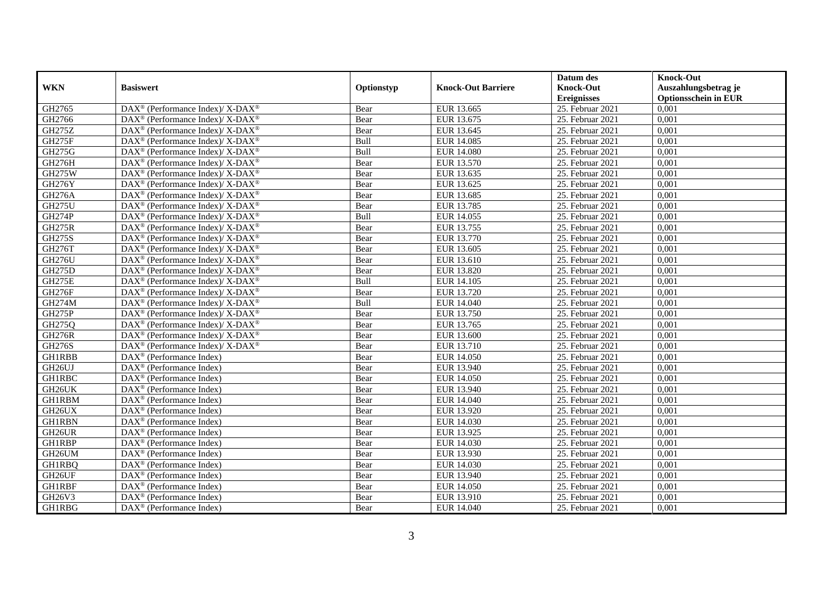|               |                                                                    |            |                           | Datum des          | <b>Knock-Out</b>            |
|---------------|--------------------------------------------------------------------|------------|---------------------------|--------------------|-----------------------------|
| <b>WKN</b>    | <b>Basiswert</b>                                                   | Optionstyp | <b>Knock-Out Barriere</b> | <b>Knock-Out</b>   | Auszahlungsbetrag je        |
|               |                                                                    |            |                           | <b>Ereignisses</b> | <b>Optionsschein in EUR</b> |
| GH2765        | DAX <sup>®</sup> (Performance Index)/ X-DAX <sup>®</sup>           | Bear       | EUR 13.665                | 25. Februar 2021   | 0,001                       |
| GH2766        | $\text{DAX}^{\circledR}$ (Performance Index)/ X-DAX <sup>®</sup>   | Bear       | EUR 13.675                | 25. Februar 2021   | 0,001                       |
| GH275Z        | $\text{DAX}^{\circledast}$ (Performance Index)/ X-DAX <sup>®</sup> | Bear       | EUR 13.645                | 25. Februar 2021   | 0,001                       |
| GH275F        | DAX <sup>®</sup> (Performance Index)/ X-DAX <sup>®</sup>           | Bull       | EUR 14.085                | 25. Februar 2021   | 0,001                       |
| GH275G        | $\text{DAX}^{\circledast}$ (Performance Index)/ X-DAX <sup>®</sup> | Bull       | <b>EUR 14.080</b>         | 25. Februar 2021   | 0,001                       |
| GH276H        | $\text{DAX}^{\circledast}$ (Performance Index)/ X-DAX <sup>®</sup> | Bear       | EUR 13.570                | $25.$ Februar 2021 | 0,001                       |
| <b>GH275W</b> | $\text{DAX}^{\circledast}$ (Performance Index)/ X-DAX <sup>®</sup> | Bear       | EUR 13.635                | 25. Februar 2021   | 0,001                       |
| <b>GH276Y</b> | DAX <sup>®</sup> (Performance Index)/ X-DAX <sup>®</sup>           | Bear       | EUR 13.625                | 25. Februar 2021   | 0,001                       |
| <b>GH276A</b> | DAX <sup>®</sup> (Performance Index)/ X-DAX <sup>®</sup>           | Bear       | EUR 13.685                | 25. Februar 2021   | 0,001                       |
| <b>GH275U</b> | $DAX^{\circledast}$ (Performance Index)/X-DAX <sup>®</sup>         | Bear       | EUR 13.785                | 25. Februar 2021   | 0,001                       |
| <b>GH274P</b> | $\text{DAX}^{\circledast}$ (Performance Index)/ X-DAX <sup>®</sup> | Bull       | EUR 14.055                | 25. Februar 2021   | 0,001                       |
| <b>GH275R</b> | $\text{DAX}^{\circledR}$ (Performance Index)/ X-DAX <sup>®</sup>   | Bear       | EUR 13.755                | 25. Februar 2021   | 0,001                       |
| GH275S        | $\text{DAX}^{\circledast}$ (Performance Index)/ X-DAX <sup>®</sup> | Bear       | EUR 13.770                | 25. Februar 2021   | 0,001                       |
| <b>GH276T</b> | $\text{DAX}^{\circledast}$ (Performance Index)/X-DAX <sup>®</sup>  | Bear       | EUR 13.605                | 25. Februar 2021   | 0,001                       |
| <b>GH276U</b> | DAX <sup>®</sup> (Performance Index)/ X-DAX <sup>®</sup>           | Bear       | EUR 13.610                | 25. Februar 2021   | 0,001                       |
| GH275D        | DAX <sup>®</sup> (Performance Index)/ X-DAX <sup>®</sup>           | Bear       | <b>EUR 13.820</b>         | 25. Februar 2021   | 0,001                       |
| <b>GH275E</b> | DAX <sup>®</sup> (Performance Index)/ X-DAX <sup>®</sup>           | Bull       | EUR 14.105                | 25. Februar 2021   | 0,001                       |
| <b>GH276F</b> | $DAX^{\circledcirc}$ (Performance Index)/X-DAX <sup>®</sup>        | Bear       | EUR 13.720                | 25. Februar 2021   | 0,001                       |
| <b>GH274M</b> | $\text{DAX}^{\circledast}$ (Performance Index)/ X-DAX <sup>®</sup> | Bull       | EUR 14.040                | 25. Februar 2021   | 0,001                       |
| <b>GH275P</b> | $\text{DAX}^{\circledast}$ (Performance Index)/ X-DAX <sup>®</sup> | Bear       | EUR 13.750                | 25. Februar 2021   | 0,001                       |
| GH275Q        | DAX <sup>®</sup> (Performance Index)/ X-DAX <sup>®</sup>           | Bear       | EUR 13.765                | 25. Februar 2021   | 0,001                       |
| <b>GH276R</b> | DAX <sup>®</sup> (Performance Index)/ X-DAX <sup>®</sup>           | Bear       | EUR 13.600                | 25. Februar 2021   | 0,001                       |
| <b>GH276S</b> | $\text{DAX}^{\circledast}$ (Performance Index)/X-DAX <sup>®</sup>  | Bear       | EUR 13.710                | $25.$ Februar 2021 | 0,001                       |
| <b>GH1RBB</b> | DAX <sup>®</sup> (Performance Index)                               | Bear       | <b>EUR 14.050</b>         | 25. Februar 2021   | 0,001                       |
| GH26UJ        | DAX <sup>®</sup> (Performance Index)                               | Bear       | EUR 13.940                | 25. Februar 2021   | 0,001                       |
| <b>GH1RBC</b> | $\text{DAX}^{\otimes}$ (Performance Index)                         | Bear       | EUR 14.050                | 25. Februar 2021   | 0,001                       |
| GH26UK        | $\text{DAX}^{\circledast}$ (Performance Index)                     | Bear       | EUR 13.940                | 25. Februar 2021   | 0,001                       |
| <b>GH1RBM</b> | $\text{DAX}^{\textcircled{p}}$ (Performance Index)                 | Bear       | <b>EUR 14.040</b>         | $25.$ Februar 2021 | 0.001                       |
| GH26UX        | $\text{DAX}^{\textcircled{p}}$ (Performance Index)                 | Bear       | EUR 13.920                | 25. Februar 2021   | 0,001                       |
| <b>GH1RBN</b> | $DAX^{\circledR}$ (Performance Index)                              | Bear       | EUR 14.030                | 25. Februar 2021   | 0,001                       |
| GH26UR        | DAX <sup>®</sup> (Performance Index)                               | Bear       | EUR 13.925                | 25. Februar 2021   | 0,001                       |
| GH1RBP        | $\text{DAX}^{\otimes}$ (Performance Index)                         | Bear       | EUR 14.030                | 25. Februar 2021   | 0.001                       |
| GH26UM        | $\overline{\text{DAX}^{\otimes}}$ (Performance Index)              | Bear       | EUR 13.930                | 25. Februar 2021   | 0,001                       |
| <b>GH1RBQ</b> | $\text{DAX}^{\otimes}$ (Performance Index)                         | Bear       | EUR 14.030                | 25. Februar 2021   | 0,001                       |
| GH26UF        | $\text{DAX}^{\textcircled{n}}$ (Performance Index)                 | Bear       | EUR 13.940                | 25. Februar 2021   | 0,001                       |
| GH1RBF        | $\text{DAX}^{\textcircled{n}}$ (Performance Index)                 | Bear       | EUR 14.050                | 25. Februar 2021   | 0,001                       |
| GH26V3        | $\text{DAX}^{\otimes}$ (Performance Index)                         | Bear       | EUR 13.910                | 25. Februar 2021   | 0,001                       |
| GH1RBG        | $\overline{\text{DAX}}^{\textcirc}$ (Performance Index)            | Bear       | EUR 14.040                | 25. Februar 2021   | 0,001                       |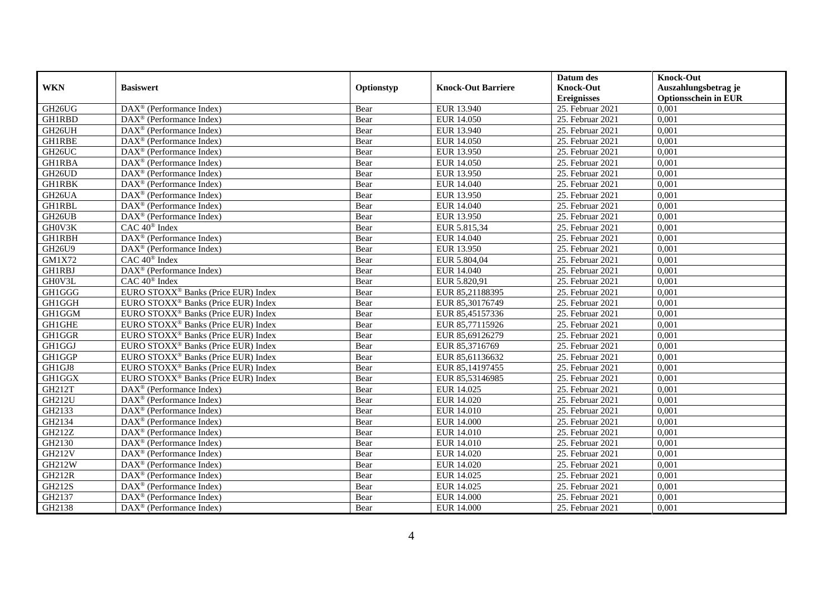|                     |                                                              |            |                           | Datum des          | <b>Knock-Out</b>            |
|---------------------|--------------------------------------------------------------|------------|---------------------------|--------------------|-----------------------------|
| <b>WKN</b>          | <b>Basiswert</b>                                             | Optionstyp | <b>Knock-Out Barriere</b> | <b>Knock-Out</b>   | Auszahlungsbetrag je        |
|                     |                                                              |            |                           | <b>Ereignisses</b> | <b>Optionsschein in EUR</b> |
| GH26UG              | $\overline{\text{DAX}}^{\textcircled{}}$ (Performance Index) | Bear       | EUR 13.940                | 25. Februar 2021   | 0,001                       |
| <b>GH1RBD</b>       | $DAX^{\circledR}$ (Performance Index)                        | Bear       | <b>EUR 14.050</b>         | 25. Februar 2021   | 0,001                       |
| GH26UH              | DAX <sup>®</sup> (Performance Index)                         | Bear       | EUR 13.940                | 25. Februar 2021   | 0,001                       |
| GH1RBE              | $\text{DAX}^{\otimes}$ (Performance Index)                   | Bear       | <b>EUR 14.050</b>         | 25. Februar 2021   | 0,001                       |
| GH26UC              | DAX <sup>®</sup> (Performance Index)                         | Bear       | EUR 13.950                | 25. Februar 2021   | 0,001                       |
| <b>GH1RBA</b>       | $\text{DAX}^{\textcircled{n}}$ (Performance Index)           | Bear       | EUR 14.050                | 25. Februar 2021   | 0,001                       |
| GH26UD              | $\text{DAX}^{\textcircled{n}}$ (Performance Index)           | Bear       | EUR 13.950                | 25. Februar 2021   | 0,001                       |
| <b>GH1RBK</b>       | $DAX^{\otimes}$ (Performance Index)                          | Bear       | <b>EUR 14.040</b>         | 25. Februar 2021   | 0,001                       |
| GH <sub>26</sub> UA | $\text{DAX}^{\textcircled{p}}$ (Performance Index)           | Bear       | EUR 13.950                | 25. Februar 2021   | 0,001                       |
| GH1RBL              | $DAX^{\otimes}$ (Performance Index)                          | Bear       | <b>EUR 14.040</b>         | 25. Februar 2021   | 0,001                       |
| GH26UB              | DAX <sup>®</sup> (Performance Index)                         | Bear       | EUR 13.950                | 25. Februar 2021   | 0,001                       |
| GH0V3K              | CAC 40 <sup>®</sup> Index                                    | Bear       | EUR 5.815,34              | 25. Februar 2021   | 0,001                       |
| <b>GH1RBH</b>       | DAX <sup>®</sup> (Performance Index)                         | Bear       | EUR 14.040                | 25. Februar 2021   | 0,001                       |
| GH26U9              | $\text{DAX}^{\textcircled{n}}$ (Performance Index)           | Bear       | EUR 13.950                | 25. Februar 2021   | 0,001                       |
| GM1X72              | CAC 40 <sup>®</sup> Index                                    | Bear       | EUR 5.804,04              | 25. Februar 2021   | 0,001                       |
| <b>GH1RBJ</b>       | $\overline{\text{DAX}^{\circledast}}$ (Performance Index)    | Bear       | <b>EUR 14.040</b>         | 25. Februar 2021   | 0,001                       |
| GH0V3L              | CAC 40 <sup>®</sup> Index                                    | Bear       | EUR 5.820,91              | 25. Februar 2021   | 0,001                       |
| GH1GGG              | EURO STOXX <sup>®</sup> Banks (Price EUR) Index              | Bear       | EUR 85.21188395           | 25. Februar 2021   | 0.001                       |
| GH1GGH              | EURO STOXX <sup>®</sup> Banks (Price EUR) Index              | Bear       | EUR 85,30176749           | 25. Februar 2021   | 0,001                       |
| GH1GGM              | EURO STOXX <sup>®</sup> Banks (Price EUR) Index              | Bear       | EUR 85,45157336           | 25. Februar 2021   | 0,001                       |
| <b>GH1GHE</b>       | EURO STOXX <sup>®</sup> Banks (Price EUR) Index              | Bear       | EUR 85,77115926           | 25. Februar 2021   | 0,001                       |
| GH1GGR              | EURO STOXX <sup>®</sup> Banks (Price EUR) Index              | Bear       | EUR 85,69126279           | 25. Februar 2021   | 0,001                       |
| GH1GGJ              | EURO STOXX <sup>®</sup> Banks (Price EUR) Index              | Bear       | EUR 85,3716769            | $25.$ Februar 2021 | 0,001                       |
| GH1GGP              | EURO STOXX <sup>®</sup> Banks (Price EUR) Index              | Bear       | EUR 85,61136632           | 25. Februar 2021   | 0,001                       |
| GH1GJ8              | EURO STOXX <sup>®</sup> Banks (Price EUR) Index              | Bear       | EUR 85,14197455           | 25. Februar 2021   | 0,001                       |
| GH1GGX              | EURO STOXX <sup>®</sup> Banks (Price EUR) Index              | Bear       | EUR 85,53146985           | 25. Februar 2021   | 0,001                       |
| GH212T              | DAX <sup>®</sup> (Performance Index)                         | Bear       | EUR 14.025                | 25. Februar 2021   | 0,001                       |
| GH212U              | $\text{DAX}^{\textcircled{p}}$ (Performance Index)           | Bear       | EUR 14.020                | $25.$ Februar 2021 | 0.001                       |
| GH2133              | $\text{DAX}^{\textcircled{p}}$ (Performance Index)           | Bear       | EUR 14.010                | 25. Februar 2021   | 0,001                       |
| GH2134              | $DAX^{\circledR}$ (Performance Index)                        | Bear       | EUR 14.000                | 25. Februar 2021   | 0,001                       |
| GH212Z              | DAX <sup>®</sup> (Performance Index)                         | Bear       | EUR 14.010                | 25. Februar 2021   | 0,001                       |
| GH2130              | $\text{DAX}^{\textcircled{n}}$ (Performance Index)           | Bear       | EUR 14.010                | 25. Februar 2021   | 0.001                       |
| <b>GH212V</b>       | $\overline{\text{DAX}^{\otimes}}$ (Performance Index)        | Bear       | EUR 14.020                | 25. Februar 2021   | 0,001                       |
| GH212W              | DAX <sup>®</sup> (Performance Index)                         | Bear       | EUR 14.020                | 25. Februar 2021   | 0,001                       |
| <b>GH212R</b>       | $\text{DAX}^{\textcircled{n}}$ (Performance Index)           | Bear       | EUR 14.025                | 25. Februar 2021   | 0,001                       |
| GH212S              | $\text{DAX}^{\textcircled{n}}$ (Performance Index)           | Bear       | EUR 14.025                | 25. Februar 2021   | 0,001                       |
| GH2137              | $\text{DAX}^{\otimes}$ (Performance Index)                   | Bear       | <b>EUR 14.000</b>         | 25. Februar 2021   | 0,001                       |
| GH2138              | $\overline{\text{DAX}}^{\textcirc}$ (Performance Index)      | Bear       | <b>EUR 14.000</b>         | 25. Februar 2021   | 0,001                       |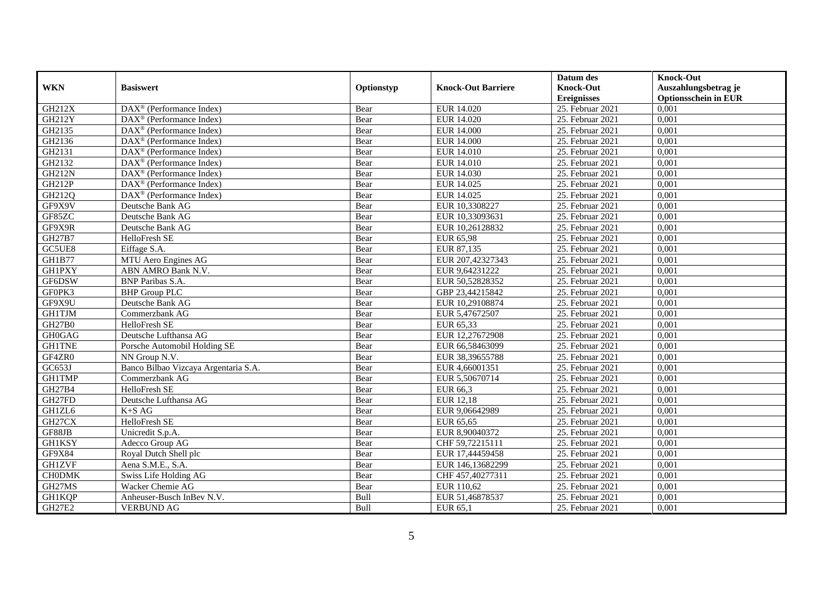|                     |                                                       |            |                           | Datum des          | <b>Knock-Out</b>            |
|---------------------|-------------------------------------------------------|------------|---------------------------|--------------------|-----------------------------|
| <b>WKN</b>          | <b>Basiswert</b>                                      | Optionstyp | <b>Knock-Out Barriere</b> | <b>Knock-Out</b>   | Auszahlungsbetrag je        |
|                     |                                                       |            |                           | <b>Ereignisses</b> | <b>Optionsschein in EUR</b> |
| <b>GH212X</b>       | $\overline{\text{DAX}^{\otimes}}$ (Performance Index) | Bear       | EUR 14.020                | 25. Februar 2021   | 0,001                       |
| <b>GH212Y</b>       | $\text{DAX}^{\textcircled{p}}$ (Performance Index)    | Bear       | EUR 14.020                | 25. Februar 2021   | 0,001                       |
| GH2135              | DAX <sup>®</sup> (Performance Index)                  | Bear       | <b>EUR 14.000</b>         | 25. Februar 2021   | 0,001                       |
| GH2136              | $\text{DAX}^{\textcircled{n}}$ (Performance Index)    | Bear       | <b>EUR 14.000</b>         | 25. Februar 2021   | 0,001                       |
| GH2131              | DAX <sup>®</sup> (Performance Index)                  | Bear       | <b>EUR 14.010</b>         | 25. Februar 2021   | 0,001                       |
| GH2132              | DAX <sup>®</sup> (Performance Index)                  | Bear       | EUR 14.010                | 25. Februar 2021   | 0,001                       |
| <b>GH212N</b>       | $\text{DAX}^{\textcircled{n}}$ (Performance Index)    | Bear       | EUR 14.030                | 25. Februar 2021   | 0,001                       |
| <b>GH212P</b>       | $\text{DAX}^{\textcircled{p}}$ (Performance Index)    | Bear       | EUR 14.025                | 25. Februar 2021   | 0,001                       |
| GH212Q              | $\text{DAX}^{\textcircled{p}}$ (Performance Index)    | Bear       | EUR 14.025                | 25. Februar 2021   | 0,001                       |
| GF9X9V              | Deutsche Bank AG                                      | Bear       | EUR 10,3308227            | 25. Februar 2021   | 0,001                       |
| GF85ZC              | Deutsche Bank AG                                      | Bear       | EUR 10,33093631           | 25. Februar 2021   | 0,001                       |
| GF9X9R              | Deutsche Bank AG                                      | Bear       | EUR 10,26128832           | 25. Februar 2021   | 0,001                       |
| GH27B7              | HelloFresh SE                                         | Bear       | EUR 65,98                 | 25. Februar 2021   | 0,001                       |
| GC5UE8              | Eiffage S.A.                                          | Bear       | EUR 87,135                | 25. Februar 2021   | 0,001                       |
| <b>GH1B77</b>       | MTU Aero Engines AG                                   | Bear       | EUR 207,42327343          | 25. Februar 2021   | 0,001                       |
| <b>GH1PXY</b>       | ABN AMRO Bank N.V.                                    | Bear       | EUR 9,64231222            | 25. Februar 2021   | 0,001                       |
| GF6DSW              | <b>BNP</b> Paribas S.A.                               | Bear       | EUR 50,52828352           | 25. Februar 2021   | 0,001                       |
| GF0PK3              | <b>BHP Group PLC</b>                                  | Bear       | GBP 23,44215842           | 25. Februar 2021   | 0,001                       |
| GF9X9U              | Deutsche Bank AG                                      | Bear       | EUR 10,29108874           | 25. Februar 2021   | 0,001                       |
| <b>GH1TJM</b>       | Commerzbank AG                                        | Bear       | EUR 5,47672507            | 25. Februar 2021   | 0,001                       |
| <b>GH27B0</b>       | HelloFresh SE                                         | Bear       | EUR 65,33                 | 25. Februar 2021   | 0,001                       |
| <b>GH0GAG</b>       | Deutsche Lufthansa AG                                 | Bear       | EUR 12,27672908           | 25. Februar 2021   | 0,001                       |
| <b>GH1TNE</b>       | Porsche Automobil Holding SE                          | Bear       | EUR 66,58463099           | $25.$ Februar 2021 | 0,001                       |
| GF4ZR0              | NN Group N.V.                                         | Bear       | EUR 38,39655788           | 25. Februar 2021   | 0,001                       |
| GC653J              | Banco Bilbao Vizcaya Argentaria S.A.                  | Bear       | EUR 4,66001351            | 25. Februar 2021   | 0,001                       |
| <b>GH1TMP</b>       | Commerzbank AG                                        | Bear       | EUR 5,50670714            | 25. Februar 2021   | 0,001                       |
| GH27B4              | HelloFresh SE                                         | Bear       | EUR 66,3                  | 25. Februar 2021   | 0,001                       |
| GH27FD              | Deutsche Lufthansa AG                                 | Bear       | EUR 12,18                 | $25.$ Februar 2021 | 0.001                       |
| GH1ZL6              | $K+SAG$                                               | Bear       | EUR 9,06642989            | 25. Februar 2021   | 0,001                       |
| GH <sub>27</sub> CX | <b>HelloFresh SE</b>                                  | Bear       | EUR 65,65                 | 25. Februar 2021   | 0,001                       |
| GF88JB              | Unicredit S.p.A.                                      | Bear       | EUR 8,90040372            | 25. Februar 2021   | 0,001                       |
| <b>GH1KSY</b>       | Adecco Group AG                                       | Bear       | CHF 59,72215111           | 25. Februar 2021   | 0,001                       |
| GF9X84              | Royal Dutch Shell plc                                 | Bear       | EUR 17,44459458           | 25. Februar 2021   | 0,001                       |
| <b>GH1ZVF</b>       | Aena S.M.E., S.A.                                     | Bear       | EUR 146,13682299          | 25. Februar 2021   | 0,001                       |
| <b>CHODMK</b>       | Swiss Life Holding AG                                 | Bear       | CHF 457,40277311          | 25. Februar 2021   | 0,001                       |
| GH27MS              | Wacker Chemie AG                                      | Bear       | EUR 110,62                | 25. Februar 2021   | 0,001                       |
| <b>GH1KQP</b>       | Anheuser-Busch InBev N.V.                             | Bull       | EUR 51,46878537           | 25. Februar 2021   | 0,001                       |
| GH27E2              | <b>VERBUND AG</b>                                     | Bull       | EUR 65,1                  | 25. Februar 2021   | 0,001                       |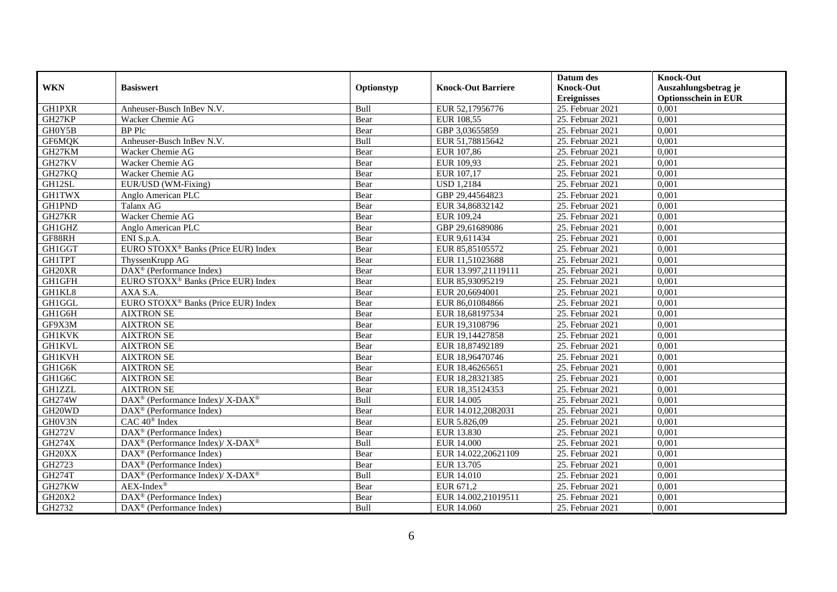|                     |                                                                  |            |                           | Datum des          | <b>Knock-Out</b>            |
|---------------------|------------------------------------------------------------------|------------|---------------------------|--------------------|-----------------------------|
| <b>WKN</b>          | <b>Basiswert</b>                                                 | Optionstyp | <b>Knock-Out Barriere</b> | <b>Knock-Out</b>   | Auszahlungsbetrag je        |
|                     |                                                                  |            |                           | <b>Ereignisses</b> | <b>Optionsschein in EUR</b> |
| <b>GH1PXR</b>       | Anheuser-Busch InBev N.V.                                        | Bull       | EUR 52,17956776           | 25. Februar 2021   | 0,001                       |
| GH27KP              | Wacker Chemie AG                                                 | Bear       | EUR 108,55                | 25. Februar 2021   | 0,001                       |
| GH0Y5B              | <b>BP</b> Plc                                                    | Bear       | GBP 3,03655859            | 25. Februar 2021   | 0,001                       |
| GF6MQK              | Anheuser-Busch InBev N.V.                                        | Bull       | EUR 51,78815642           | 25. Februar 2021   | 0,001                       |
| GH27KM              | Wacker Chemie AG                                                 | Bear       | EUR 107,86                | 25. Februar 2021   | 0,001                       |
| GH27KV              | Wacker Chemie AG                                                 | Bear       | EUR 109,93                | 25. Februar 2021   | 0,001                       |
| GH27KQ              | Wacker Chemie AG                                                 | Bear       | EUR 107,17                | 25. Februar 2021   | 0,001                       |
| GH12SL              | EUR/USD (WM-Fixing)                                              | Bear       | <b>USD 1,2184</b>         | 25. Februar 2021   | 0,001                       |
| <b>GH1TWX</b>       | Anglo American PLC                                               | Bear       | GBP 29,44564823           | 25. Februar 2021   | 0,001                       |
| <b>GH1PND</b>       | Talanx AG                                                        | Bear       | EUR 34,86832142           | 25. Februar 2021   | 0,001                       |
| GH27KR              | Wacker Chemie AG                                                 | Bear       | EUR 109,24                | 25. Februar 2021   | 0,001                       |
| GH1GHZ              | Anglo American PLC                                               | Bear       | GBP 29,61689086           | 25. Februar 2021   | 0,001                       |
| GF88RH              | ENI S.p.A.                                                       | Bear       | EUR 9,611434              | 25. Februar 2021   | 0,001                       |
| GH1GGT              | EURO STOXX <sup>®</sup> Banks (Price EUR) Index                  | Bear       | EUR 85,85105572           | 25. Februar 2021   | 0.001                       |
| <b>GH1TPT</b>       | ThyssenKrupp AG                                                  | Bear       | EUR 11,51023688           | 25. Februar 2021   | 0,001                       |
| GH20XR              | DAX <sup>®</sup> (Performance Index)                             | Bear       | EUR 13.997,21119111       | 25. Februar 2021   | 0,001                       |
| GH1GFH              | EURO STOXX <sup>®</sup> Banks (Price EUR) Index                  | Bear       | EUR 85,93095219           | $25.$ Februar 2021 | 0,001                       |
| GH1KL8              | AXA S.A.                                                         | Bear       | EUR 20,6694001            | $25.$ Februar 2021 | 0,001                       |
| GH1GGL              | EURO STOXX <sup>®</sup> Banks (Price EUR) Index                  | Bear       | EUR 86,01084866           | 25. Februar 2021   | 0,001                       |
| GH1G6H              | <b>AIXTRON SE</b>                                                | Bear       | EUR 18,68197534           | 25. Februar 2021   | 0,001                       |
| GF9X3M              | <b>AIXTRON SE</b>                                                | Bear       | EUR 19,3108796            | 25. Februar 2021   | 0,001                       |
| <b>GH1KVK</b>       | <b>AIXTRON SE</b>                                                | Bear       | EUR 19,14427858           | 25. Februar 2021   | 0,001                       |
| <b>GH1KVL</b>       | <b>AIXTRON SE</b>                                                | Bear       | EUR 18,87492189           | 25. Februar 2021   | 0,001                       |
| <b>GH1KVH</b>       | <b>AIXTRON SE</b>                                                | Bear       | EUR 18,96470746           | 25. Februar 2021   | 0,001                       |
| GH1G6K              | <b>AIXTRON SE</b>                                                | Bear       | EUR 18,46265651           | 25. Februar 2021   | 0,001                       |
| GH1G6C              | <b>AIXTRON SE</b>                                                | Bear       | EUR 18,28321385           | 25. Februar 2021   | 0,001                       |
| <b>GH1ZZL</b>       | <b>AIXTRON SE</b>                                                | Bear       | EUR 18,35124353           | 25. Februar 2021   | 0,001                       |
| <b>GH274W</b>       | DAX <sup>®</sup> (Performance Index)/ X-DAX <sup>®</sup>         | Bull       | EUR 14.005                | 25. Februar 2021   | 0,001                       |
| GH20WD              | $\text{DAX}^{\textcircled{n}}$ (Performance Index)               | Bear       | EUR 14.012.2082031        | $25.$ Februar 2021 | 0,001                       |
| GH0V3N              | $CAC 40$ <sup>®</sup> Index                                      | Bear       | EUR 5.826,09              | 25. Februar 2021   | 0,001                       |
| <b>GH272V</b>       | DAX <sup>®</sup> (Performance Index)                             | Bear       | EUR 13.830                | 25. Februar 2021   | 0,001                       |
| <b>GH274X</b>       | $\text{DAX}^{\circledR}$ (Performance Index)/ X-DAX <sup>®</sup> | Bull       | <b>EUR 14.000</b>         | 25. Februar 2021   | 0,001                       |
| GH <sub>20</sub> XX | $\text{DAX}^{\textcircled{p}}$ (Performance Index)               | Bear       | EUR 14.022,20621109       | 25. Februar 2021   | 0,001                       |
| GH2723              | DAX <sup>®</sup> (Performance Index)                             | Bear       | EUR 13.705                | 25. Februar 2021   | 0,001                       |
| GH274T              | DAX <sup>®</sup> (Performance Index)/ X-DAX <sup>®</sup>         | Bull       | EUR 14.010                | 25. Februar 2021   | 0,001                       |
| GH27KW              | $AEX-Index^{\circledR}$                                          | Bear       | EUR 671,2                 | 25. Februar 2021   | 0,001                       |
| GH20X2              | $\overline{\text{DAX}^{\otimes}}$ (Performance Index)            | Bear       | EUR 14.002,21019511       | 25. Februar 2021   | 0,001                       |
| GH2732              | $\text{DAX}^{\textcircled{n}}$ (Performance Index)               | Bull       | EUR 14.060                | 25. Februar 2021   | 0,001                       |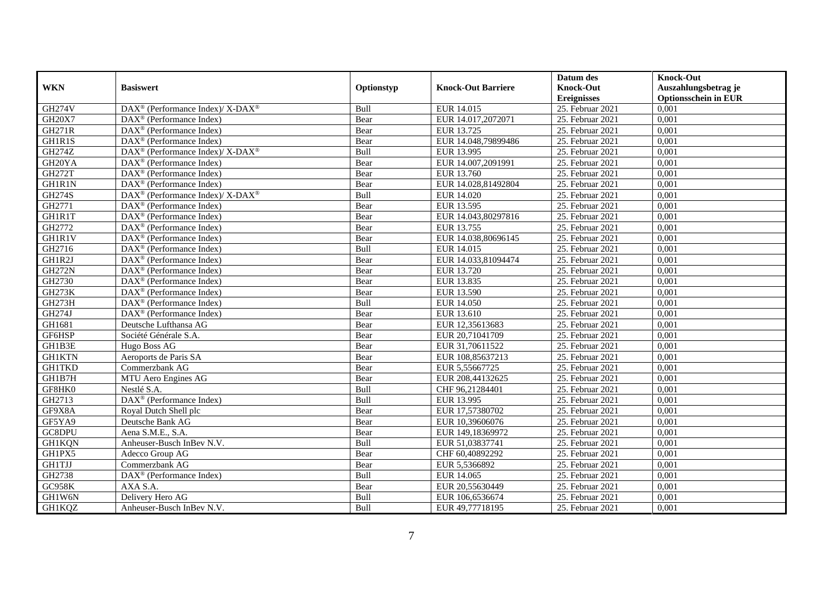|                     |                                                                  |            |                           | Datum des          | <b>Knock-Out</b>            |
|---------------------|------------------------------------------------------------------|------------|---------------------------|--------------------|-----------------------------|
| <b>WKN</b>          | <b>Basiswert</b>                                                 | Optionstyp | <b>Knock-Out Barriere</b> | <b>Knock-Out</b>   | Auszahlungsbetrag je        |
|                     |                                                                  |            |                           | <b>Ereignisses</b> | <b>Optionsschein in EUR</b> |
| <b>GH274V</b>       | $\text{DAX}^{\circledR}$ (Performance Index)/ X-DAX <sup>®</sup> | Bull       | EUR 14.015                | 25. Februar 2021   | 0,001                       |
| GH20X7              | $\text{DAX}^{\textcircled{p}}$ (Performance Index)               | Bear       | EUR 14.017,2072071        | 25. Februar 2021   | 0,001                       |
| <b>GH271R</b>       | DAX <sup>®</sup> (Performance Index)                             | Bear       | EUR 13.725                | 25. Februar 2021   | 0,001                       |
| GH1R1S              | $\text{DAX}^{\textcircled{n}}$ (Performance Index)               | Bear       | EUR 14.048,79899486       | 25. Februar 2021   | 0,001                       |
| GH274Z              | $\text{DAX}^{\circledR}$ (Performance Index)/ X-DAX <sup>®</sup> | Bull       | EUR 13.995                | 25. Februar 2021   | 0,001                       |
| GH <sub>20</sub> YA | $\text{DAX}^{\textcircled{n}}$ (Performance Index)               | Bear       | EUR 14.007,2091991        | 25. Februar 2021   | 0,001                       |
| <b>GH272T</b>       | $\text{DAX}^{\textcircled{n}}$ (Performance Index)               | Bear       | EUR 13.760                | 25. Februar 2021   | 0,001                       |
| GH1R1N              | $\text{DAX}^{\textcircled{p}}$ (Performance Index)               | Bear       | EUR 14.028,81492804       | 25. Februar 2021   | 0,001                       |
| <b>GH274S</b>       | $\text{DAX}^{\circledR}$ (Performance Index)/ X-DAX <sup>®</sup> | Bull       | EUR 14.020                | 25. Februar 2021   | 0,001                       |
| GH2771              | $DAX^{\circledcirc}$ (Performance Index)                         | Bear       | EUR 13.595                | 25. Februar 2021   | 0,001                       |
| <b>GHIRIT</b>       | $\overline{\text{DAX}}^{\textcircled{}}$ (Performance Index)     | Bear       | EUR 14.043,80297816       | 25. Februar 2021   | 0,001                       |
| GH2772              | $\overline{\text{DAX}^{\otimes}}$ (Performance Index)            | Bear       | EUR 13.755                | 25. Februar 2021   | 0,001                       |
| GH1R1V              | $\text{DAX}^{\textcircled{n}}$ (Performance Index)               | Bear       | EUR 14.038,80696145       | 25. Februar 2021   | 0,001                       |
| GH2716              | DAX <sup>®</sup> (Performance Index)                             | Bull       | EUR 14.015                | 25. Februar 2021   | 0,001                       |
| GH1R2J              | $\text{DAX}^{\otimes}$ (Performance Index)                       | Bear       | EUR 14.033,81094474       | $25.$ Februar 2021 | 0,001                       |
| <b>GH272N</b>       | DAX <sup>®</sup> (Performance Index)                             | Bear       | EUR 13.720                | 25. Februar 2021   | 0,001                       |
| GH2730              | DAX <sup>®</sup> (Performance Index)                             | Bear       | EUR 13.835                | 25. Februar 2021   | 0,001                       |
| <b>GH273K</b>       | $DAX^{\circledR}$ (Performance Index)                            | Bear       | EUR 13.590                | 25. Februar 2021   | 0,001                       |
| GH273H              | $\overline{\text{DAX}}^{\textcircled{}}$ (Performance Index)     | Bull       | <b>EUR 14.050</b>         | 25. Februar 2021   | 0,001                       |
| GH274J              | $\overline{\text{DAX}^{\otimes}}$ (Performance Index)            | Bear       | EUR 13.610                | 25. Februar 2021   | 0,001                       |
| GH1681              | Deutsche Lufthansa AG                                            | Bear       | EUR 12,35613683           | 25. Februar 2021   | 0,001                       |
| GF6HSP              | Société Générale S.A.                                            | Bear       | EUR 20,71041709           | 25. Februar 2021   | 0,001                       |
| GH1B3E              | Hugo Boss AG                                                     | Bear       | EUR 31,70611522           | $25.$ Februar 2021 | 0,001                       |
| <b>GH1KTN</b>       | Aeroports de Paris SA                                            | Bear       | EUR 108,85637213          | 25. Februar 2021   | 0,001                       |
| <b>GH1TKD</b>       | Commerzbank AG                                                   | Bear       | EUR 5,55667725            | 25. Februar 2021   | 0,001                       |
| GH1B7H              | MTU Aero Engines AG                                              | Bear       | EUR 208,44132625          | 25. Februar 2021   | 0,001                       |
| GF8HK0              | Nestlé S.A.                                                      | Bull       | CHF 96,21284401           | 25. Februar 2021   | 0,001                       |
| GH2713              | $\text{DAX}^{\textcircled{D}}$ (Performance Index)               | Bull       | EUR 13.995                | $25.$ Februar 2021 | 0.001                       |
| GF9X8A              | Royal Dutch Shell plc                                            | Bear       | EUR 17,57380702           | 25. Februar 2021   | 0,001                       |
| GF5YA9              | Deutsche Bank AG                                                 | Bear       | EUR 10,39606076           | 25. Februar 2021   | 0,001                       |
| GC8DPU              | Aena S.M.E., S.A.                                                | Bear       | EUR 149,18369972          | 25. Februar 2021   | 0,001                       |
| <b>GH1KQN</b>       | Anheuser-Busch InBev N.V.                                        | Bull       | EUR 51,03837741           | 25. Februar 2021   | 0,001                       |
| GH1PX5              | Adecco Group AG                                                  | Bear       | CHF 60,40892292           | 25. Februar 2021   | 0,001                       |
| GH1TJJ              | Commerzbank AG                                                   | Bear       | EUR 5,5366892             | 25. Februar 2021   | 0,001                       |
| GH2738              | DAX <sup>®</sup> (Performance Index)                             | Bull       | EUR 14.065                | 25. Februar 2021   | 0,001                       |
| <b>GC958K</b>       | AXA S.A.                                                         | Bear       | EUR 20,55630449           | 25. Februar 2021   | 0,001                       |
| GH1W6N              | Delivery Hero AG                                                 | Bull       | EUR 106,6536674           | 25. Februar 2021   | 0,001                       |
| GH1KQZ              | Anheuser-Busch InBev N.V.                                        | Bull       | EUR 49,77718195           | 25. Februar 2021   | 0,001                       |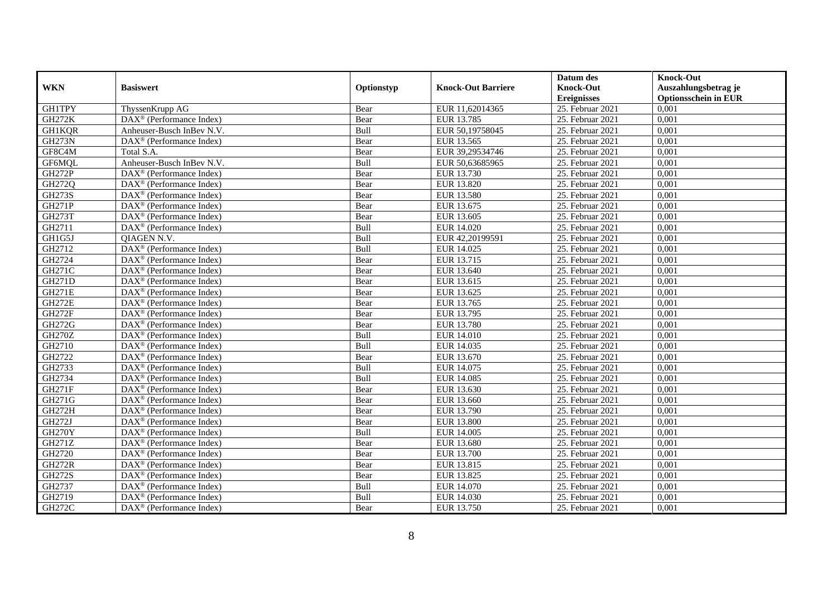|               |                                                              |            |                           | Datum des          | <b>Knock-Out</b>            |
|---------------|--------------------------------------------------------------|------------|---------------------------|--------------------|-----------------------------|
| <b>WKN</b>    | <b>Basiswert</b>                                             | Optionstyp | <b>Knock-Out Barriere</b> | <b>Knock-Out</b>   | Auszahlungsbetrag je        |
|               |                                                              |            |                           | <b>Ereignisses</b> | <b>Optionsschein in EUR</b> |
| <b>GH1TPY</b> | ThyssenKrupp AG                                              | Bear       | EUR 11,62014365           | 25. Februar 2021   | 0,001                       |
| <b>GH272K</b> | DAX <sup>®</sup> (Performance Index)                         | Bear       | EUR 13.785                | 25. Februar 2021   | 0,001                       |
| <b>GH1KQR</b> | Anheuser-Busch InBev N.V.                                    | Bull       | EUR 50,19758045           | 25. Februar 2021   | 0,001                       |
| <b>GH273N</b> | $\text{DAX}^{\circledast}$ (Performance Index)               | Bear       | EUR 13.565                | 25. Februar 2021   | 0,001                       |
| GF8C4M        | Total S.A.                                                   | Bear       | EUR 39,29534746           | 25. Februar 2021   | 0,001                       |
| GF6MQL        | Anheuser-Busch InBev N.V.                                    | Bull       | EUR 50,63685965           | 25. Februar 2021   | 0,001                       |
| <b>GH272P</b> | $\text{DAX}^{\textcircled{n}}$ (Performance Index)           | Bear       | EUR 13.730                | 25. Februar 2021   | 0,001                       |
| GH272Q        | $\text{DAX}^{\textcircled{D}}$ (Performance Index)           | Bear       | <b>EUR 13.820</b>         | 25. Februar 2021   | 0,001                       |
| <b>GH273S</b> | $\text{DAX}^{\textcircled{D}}$ (Performance Index)           | Bear       | <b>EUR 13.580</b>         | 25. Februar 2021   | 0,001                       |
| <b>GH271P</b> | $DAX^{\otimes}$ (Performance Index)                          | Bear       | EUR 13.675                | 25. Februar 2021   | 0,001                       |
| <b>GH273T</b> | $\overline{\text{DAX}}^{\textcircled{}}$ (Performance Index) | Bear       | EUR 13.605                | 25. Februar 2021   | 0,001                       |
| GH2711        | DAX <sup>®</sup> (Performance Index)                         | Bull       | EUR 14.020                | 25. Februar 2021   | 0,001                       |
| GH1G5J        | <b>OIAGEN N.V.</b>                                           | Bull       | EUR 42,20199591           | 25. Februar 2021   | 0,001                       |
| GH2712        | $\text{DAX}^{\textcircled{n}}$ (Performance Index)           | Bull       | EUR 14.025                | 25. Februar 2021   | 0,001                       |
| GH2724        | DAX <sup>®</sup> (Performance Index)                         | Bear       | EUR 13.715                | 25. Februar 2021   | 0,001                       |
| <b>GH271C</b> | DAX <sup>®</sup> (Performance Index)                         | Bear       | EUR 13.640                | 25. Februar 2021   | 0,001                       |
| GH271D        | DAX <sup>®</sup> (Performance Index)                         | Bear       | EUR 13.615                | 25. Februar 2021   | 0,001                       |
| <b>GH271E</b> | $DAX^{\circledR}$ (Performance Index)                        | Bear       | EUR 13.625                | 25. Februar 2021   | 0,001                       |
| <b>GH272E</b> | $\overline{\text{DAX}}^{\textcircled{}}$ (Performance Index) | Bear       | EUR 13.765                | 25. Februar 2021   | 0,001                       |
| <b>GH272F</b> | DAX <sup>®</sup> (Performance Index)                         | Bear       | EUR 13.795                | 25. Februar 2021   | 0,001                       |
| <b>GH272G</b> | DAX <sup>®</sup> (Performance Index)                         | Bear       | <b>EUR 13.780</b>         | 25. Februar 2021   | 0,001                       |
| <b>GH270Z</b> | $\overline{\text{DAX}^{\otimes}}$ (Performance Index)        | Bull       | <b>EUR 14.010</b>         | 25. Februar 2021   | 0,001                       |
| GH2710        | $\text{DAX}^{\circledast}$ (Performance Index)               | Bull       | EUR 14.035                | $25.$ Februar 2021 | 0,001                       |
| GH2722        | DAX <sup>®</sup> (Performance Index)                         | Bear       | EUR 13.670                | 25. Februar 2021   | 0,001                       |
| GH2733        | DAX <sup>®</sup> (Performance Index)                         | Bull       | EUR 14.075                | 25. Februar 2021   | 0,001                       |
| GH2734        | $\text{DAX}^{\otimes}$ (Performance Index)                   | Bull       | EUR 14.085                | 25. Februar 2021   | 0,001                       |
| <b>GH271F</b> | DAX <sup>®</sup> (Performance Index)                         | Bear       | EUR 13.630                | 25. Februar 2021   | 0,001                       |
| GH271G        | $\text{DAX}^{\textcircled{D}}$ (Performance Index)           | Bear       | EUR 13.660                | $25.$ Februar 2021 | 0.001                       |
| <b>GH272H</b> | $\text{DAX}^{\textcircled{D}}$ (Performance Index)           | Bear       | EUR 13.790                | 25. Februar 2021   | 0,001                       |
| GH272J        | $\text{DAX}^{\textcircled{D}}$ (Performance Index)           | Bear       | <b>EUR 13.800</b>         | 25. Februar 2021   | 0,001                       |
| <b>GH270Y</b> | DAX <sup>®</sup> (Performance Index)                         | Bull       | EUR 14.005                | 25. Februar 2021   | 0,001                       |
| GH271Z        | DAX <sup>®</sup> (Performance Index)                         | Bear       | <b>EUR 13.680</b>         | 25. Februar 2021   | 0.001                       |
| GH2720        | $\overline{\text{DAX}^{\otimes}}$ (Performance Index)        | Bear       | EUR 13.700                | 25. Februar 2021   | 0,001                       |
| <b>GH272R</b> | DAX <sup>®</sup> (Performance Index)                         | Bear       | EUR 13.815                | 25. Februar 2021   | 0,001                       |
| <b>GH272S</b> | $\text{DAX}^{\textcircled{n}}$ (Performance Index)           | Bear       | EUR 13.825                | 25. Februar 2021   | 0,001                       |
| GH2737        | $\text{DAX}^{\textcircled{n}}$ (Performance Index)           | Bull       | EUR 14.070                | 25. Februar 2021   | 0,001                       |
| GH2719        | $\text{DAX}^{\otimes}$ (Performance Index)                   | Bull       | EUR 14.030                | 25. Februar 2021   | 0,001                       |
| GH272C        | $\overline{\text{DAX}}^{\textcirc}$ (Performance Index)      | Bear       | EUR 13.750                | 25. Februar 2021   | 0,001                       |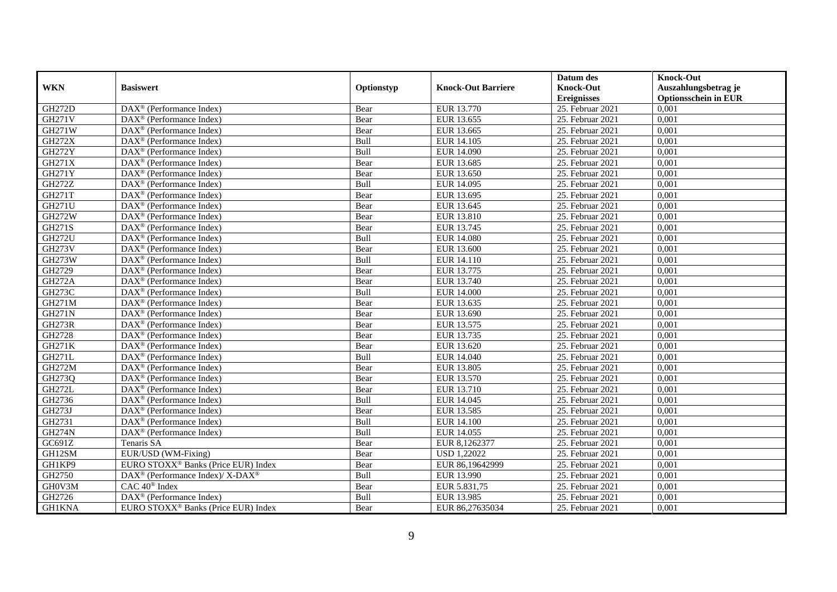|               |                                                                  |            |                           | Datum des          | <b>Knock-Out</b>            |
|---------------|------------------------------------------------------------------|------------|---------------------------|--------------------|-----------------------------|
| <b>WKN</b>    | <b>Basiswert</b>                                                 | Optionstyp | <b>Knock-Out Barriere</b> | <b>Knock-Out</b>   | Auszahlungsbetrag je        |
|               |                                                                  |            |                           | <b>Ereignisses</b> | <b>Optionsschein in EUR</b> |
| <b>GH272D</b> | DAX <sup>®</sup> (Performance Index)                             | Bear       | EUR 13.770                | 25. Februar 2021   | 0,001                       |
| <b>GH271V</b> | $\text{DAX}^{\textcircled{n}}$ (Performance Index)               | Bear       | EUR 13.655                | 25. Februar 2021   | 0,001                       |
| <b>GH271W</b> | DAX <sup>®</sup> (Performance Index)                             | Bear       | EUR 13.665                | $25.$ Februar 2021 | 0,001                       |
| <b>GH272X</b> | $DAX^{\circledcirc}$ (Performance Index)                         | Bull       | EUR 14.105                | 25. Februar 2021   | 0,001                       |
| <b>GH272Y</b> | DAX <sup>®</sup> (Performance Index)                             | Bull       | <b>EUR 14.090</b>         | 25. Februar 2021   | 0,001                       |
| <b>GH271X</b> | $\text{DAX}^{\textcircled{p}}$ (Performance Index)               | Bear       | EUR 13.685                | 25. Februar 2021   | 0,001                       |
| <b>GH271Y</b> | $DAX^{\otimes}$ (Performance Index)                              | Bear       | EUR 13.650                | 25. Februar 2021   | 0,001                       |
| GH272Z        | $\text{DAX}^{\textcircled{n}}$ (Performance Index)               | Bull       | EUR 14.095                | 25. Februar 2021   | 0,001                       |
| GH271T        | $\text{DAX}^{\textcircled{n}}$ (Performance Index)               | Bear       | EUR 13.695                | 25. Februar 2021   | 0,001                       |
| GH271U        | $\text{DAX}^{\otimes}$ (Performance Index)                       | Bear       | EUR 13.645                | 25. Februar 2021   | 0,001                       |
| <b>GH272W</b> | $\overline{\text{DAX}}^{\textcircled{}}$ (Performance Index)     | Bear       | EUR 13.810                | 25. Februar 2021   | 0.001                       |
| <b>GH271S</b> | DAX <sup>®</sup> (Performance Index)                             | Bear       | EUR 13.745                | $25.$ Februar 2021 | 0,001                       |
| <b>GH272U</b> | DAX <sup>®</sup> (Performance Index)                             | Bull       | <b>EUR 14.080</b>         | 25. Februar 2021   | 0,001                       |
| <b>GH273V</b> | $DAX^{\circledR}$ (Performance Index)                            | Bear       | EUR 13.600                | 25. Februar 2021   | 0,001                       |
| GH273W        | $\text{DAX}^{\otimes}$ (Performance Index)                       | Bull       | EUR 14.110                | 25. Februar 2021   | 0,001                       |
| GH2729        | DAX <sup>®</sup> (Performance Index)                             | Bear       | EUR 13.775                | 25. Februar 2021   | 0,001                       |
| <b>GH272A</b> | DAX <sup>®</sup> (Performance Index)                             | Bear       | EUR 13.740                | 25. Februar 2021   | 0,001                       |
| <b>GH273C</b> | $DAX^{\circledR}$ (Performance Index)                            | Bull       | EUR 14.000                | 25. Februar 2021   | 0.001                       |
| <b>GH271M</b> | DAX <sup>®</sup> (Performance Index)                             | Bear       | EUR 13.635                | 25. Februar 2021   | 0,001                       |
| <b>GH271N</b> | DAX <sup>®</sup> (Performance Index)                             | Bear       | EUR 13.690                | 25. Februar 2021   | 0,001                       |
| <b>GH273R</b> | DAX <sup>®</sup> (Performance Index)                             | Bear       | EUR 13.575                | 25. Februar 2021   | 0,001                       |
| GH2728        | $\overline{\text{DAX}^{\otimes}}$ (Performance Index)            | Bear       | EUR 13.735                | 25. Februar 2021   | 0,001                       |
| <b>GH271K</b> | DAX <sup>®</sup> (Performance Index)                             | Bear       | EUR 13.620                | 25. Februar 2021   | 0,001                       |
| <b>GH271L</b> | DAX <sup>®</sup> (Performance Index)                             | Bull       | <b>EUR 14.040</b>         | 25. Februar 2021   | 0,001                       |
| <b>GH272M</b> | DAX <sup>®</sup> (Performance Index)                             | Bear       | EUR 13.805                | 25. Februar 2021   | 0.001                       |
| GH273Q        | DAX <sup>®</sup> (Performance Index)                             | Bear       | EUR 13.570                | 25. Februar 2021   | 0,001                       |
| <b>GH272L</b> | DAX <sup>®</sup> (Performance Index)                             | Bear       | EUR 13.710                | 25. Februar 2021   | 0,001                       |
| GH2736        | $\text{DAX}^{\textcircled{p}}$ (Performance Index)               | Bull       | EUR 14.045                | 25. Februar 2021   | 0,001                       |
| GH273J        | $\overline{\text{DAX}^{\otimes}}$ (Performance Index)            | Bear       | EUR 13.585                | 25. Februar 2021   | 0,001                       |
| GH2731        | $\text{DAX}^{\circledast}$ (Performance Index)                   | Bull       | EUR 14.100                | 25. Februar 2021   | 0,001                       |
| <b>GH274N</b> | DAX <sup>®</sup> (Performance Index)                             | Bull       | EUR 14.055                | 25. Februar 2021   | 0,001                       |
| GC691Z        | Tenaris SA                                                       | Bear       | EUR 8,1262377             | 25. Februar 2021   | 0.001                       |
| GH12SM        | EUR/USD (WM-Fixing)                                              | Bear       | <b>USD 1,22022</b>        | 25. Februar 2021   | 0,001                       |
| GH1KP9        | EURO STOXX <sup>®</sup> Banks (Price EUR) Index                  | Bear       | EUR 86,19642999           | 25. Februar 2021   | 0,001                       |
| GH2750        | $\text{DAX}^{\circledR}$ (Performance Index)/ X-DAX <sup>®</sup> | Bull       | EUR 13.990                | 25. Februar 2021   | 0,001                       |
| GH0V3M        | CAC 40 <sup>®</sup> Index                                        | Bear       | EUR 5.831,75              | 25. Februar 2021   | 0,001                       |
| GH2726        | $\text{DAX}^{\otimes}$ (Performance Index)                       | Bull       | EUR 13.985                | 25. Februar 2021   | 0,001                       |
| <b>GH1KNA</b> | EURO STOXX <sup>®</sup> Banks (Price EUR) Index                  | Bear       | EUR 86,27635034           | 25. Februar 2021   | 0,001                       |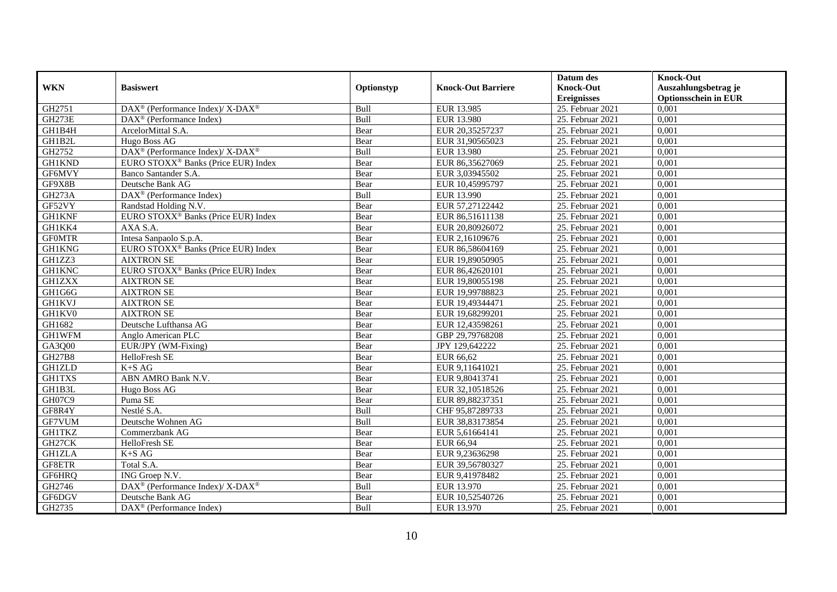|               |                                                                    |            |                           | Datum des          | <b>Knock-Out</b>            |
|---------------|--------------------------------------------------------------------|------------|---------------------------|--------------------|-----------------------------|
| <b>WKN</b>    | <b>Basiswert</b>                                                   | Optionstyp | <b>Knock-Out Barriere</b> | <b>Knock-Out</b>   | Auszahlungsbetrag je        |
|               |                                                                    |            |                           | <b>Ereignisses</b> | <b>Optionsschein in EUR</b> |
| GH2751        | $\text{DAX}^{\circledR}$ (Performance Index)/ X-DAX <sup>®</sup>   | Bull       | EUR 13.985                | 25. Februar 2021   | 0,001                       |
| <b>GH273E</b> | $\text{DAX}^{\textcircled{p}}$ (Performance Index)                 | Bull       | <b>EUR 13.980</b>         | 25. Februar 2021   | 0,001                       |
| GH1B4H        | ArcelorMittal S.A.                                                 | Bear       | EUR 20,35257237           | 25. Februar 2021   | 0,001                       |
| GH1B2L        | Hugo Boss AG                                                       | Bear       | EUR 31,90565023           | 25. Februar 2021   | 0,001                       |
| GH2752        | DAX <sup>®</sup> (Performance Index)/ X-DAX <sup>®</sup>           | Bull       | EUR 13.980                | 25. Februar 2021   | 0,001                       |
| <b>GH1KND</b> | EURO STOXX <sup>®</sup> Banks (Price EUR) Index                    | Bear       | EUR 86,35627069           | 25. Februar 2021   | 0,001                       |
| GF6MVY        | Banco Santander S.A.                                               | Bear       | EUR 3,03945502            | 25. Februar 2021   | 0,001                       |
| GF9X8B        | Deutsche Bank AG                                                   | Bear       | EUR 10,45995797           | 25. Februar 2021   | 0,001                       |
| <b>GH273A</b> | DAX <sup>®</sup> (Performance Index)                               | Bull       | EUR 13.990                | 25. Februar 2021   | 0,001                       |
| GF52VY        | Randstad Holding N.V.                                              | Bear       | EUR 57,27122442           | 25. Februar 2021   | 0,001                       |
| <b>GH1KNF</b> | EURO STOXX <sup>®</sup> Banks (Price EUR) Index                    | Bear       | EUR 86,51611138           | 25. Februar 2021   | 0,001                       |
| GH1KK4        | AXA S.A.                                                           | Bear       | EUR 20,80926072           | 25. Februar 2021   | 0,001                       |
| <b>GFOMTR</b> | Intesa Sanpaolo S.p.A.                                             | Bear       | EUR 2,16109676            | 25. Februar 2021   | 0,001                       |
| <b>GH1KNG</b> | EURO STOXX <sup>®</sup> Banks (Price EUR) Index                    | Bear       | EUR 86,58604169           | 25. Februar 2021   | 0.001                       |
| GH1ZZ3        | <b>AIXTRON SE</b>                                                  | Bear       | EUR 19,89050905           | 25. Februar 2021   | 0,001                       |
| <b>GH1KNC</b> | EURO STOXX <sup>®</sup> Banks (Price EUR) Index                    | Bear       | EUR 86,42620101           | 25. Februar 2021   | 0,001                       |
| <b>GH1ZXX</b> | <b>AIXTRON SE</b>                                                  | Bear       | EUR 19,80055198           | $25.$ Februar 2021 | 0,001                       |
| GH1G6G        | <b>AIXTRON SE</b>                                                  | Bear       | EUR 19,99788823           | $25.$ Februar 2021 | 0,001                       |
| <b>GH1KVJ</b> | <b>AIXTRON SE</b>                                                  | Bear       | EUR 19,49344471           | 25. Februar 2021   | 0,001                       |
| GH1KV0        | <b>AIXTRON SE</b>                                                  | Bear       | EUR 19,68299201           | 25. Februar 2021   | 0,001                       |
| GH1682        | Deutsche Lufthansa AG                                              | Bear       | EUR 12,43598261           | 25. Februar 2021   | 0,001                       |
| <b>GH1WFM</b> | Anglo American PLC                                                 | Bear       | GBP 29,79768208           | 25. Februar 2021   | 0,001                       |
| GA3Q00        | EUR/JPY (WM-Fixing)                                                | Bear       | JPY 129,642222            | 25. Februar 2021   | 0,001                       |
| <b>GH27B8</b> | <b>HelloFresh SE</b>                                               | Bear       | EUR 66,62                 | 25. Februar 2021   | 0,001                       |
| <b>GH1ZLD</b> | $K+SAG$                                                            | Bear       | EUR 9,11641021            | 25. Februar 2021   | 0,001                       |
| <b>GH1TXS</b> | ABN AMRO Bank N.V.                                                 | Bear       | EUR 9,80413741            | 25. Februar 2021   | 0,001                       |
| GH1B3L        | Hugo Boss AG                                                       | Bear       | EUR 32,10518526           | 25. Februar 2021   | 0,001                       |
| GH07C9        | Puma SE                                                            | Bear       | EUR 89,88237351           | 25. Februar 2021   | 0,001                       |
| GF8R4Y        | Nestlé S.A.                                                        | Bull       | CHF 95,87289733           | $25.$ Februar 2021 | 0,001                       |
| GF7VUM        | Deutsche Wohnen AG                                                 | Bull       | EUR 38,83173854           | 25. Februar 2021   | 0,001                       |
| <b>GH1TKZ</b> | Commerzbank AG                                                     | Bear       | EUR 5,61664141            | 25. Februar 2021   | 0,001                       |
| GH27CK        | HelloFresh SE                                                      | Bear       | EUR 66,94                 | 25. Februar 2021   | 0,001                       |
| <b>GH1ZLA</b> | $K+SAG$                                                            | Bear       | EUR 9,23636298            | 25. Februar 2021   | 0,001                       |
| GF8ETR        | Total S.A.                                                         | Bear       | EUR 39,56780327           | 25. Februar 2021   | 0,001                       |
| GF6HRQ        | ING Groep N.V.                                                     | Bear       | EUR 9,41978482            | 25. Februar 2021   | 0,001                       |
| GH2746        | $\text{DAX}^{\circledast}$ (Performance Index)/ X-DAX <sup>®</sup> | Bull       | EUR 13.970                | 25. Februar 2021   | 0,001                       |
| GF6DGV        | Deutsche Bank AG                                                   | Bear       | EUR 10,52540726           | 25. Februar 2021   | 0,001                       |
| GH2735        | $\overline{\text{DAX}}^{\textcircled{}}$ (Performance Index)       | Bull       | EUR 13.970                | 25. Februar 2021   | 0,001                       |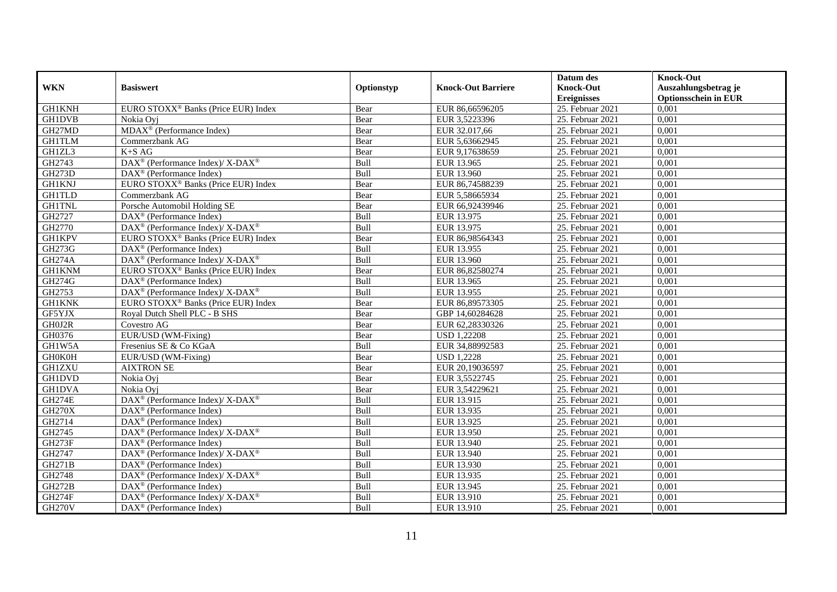|               |                                                                    |            |                           | Datum des          | <b>Knock-Out</b>            |
|---------------|--------------------------------------------------------------------|------------|---------------------------|--------------------|-----------------------------|
| <b>WKN</b>    | <b>Basiswert</b>                                                   | Optionstyp | <b>Knock-Out Barriere</b> | <b>Knock-Out</b>   | Auszahlungsbetrag je        |
|               |                                                                    |            |                           | <b>Ereignisses</b> | <b>Optionsschein in EUR</b> |
| <b>GH1KNH</b> | EURO STOXX <sup>®</sup> Banks (Price EUR) Index                    | Bear       | EUR 86,66596205           | 25. Februar 2021   | 0,001                       |
| <b>GH1DVB</b> | Nokia Ovi                                                          | Bear       | EUR 3,5223396             | 25. Februar 2021   | 0,001                       |
| GH27MD        | MDAX <sup>®</sup> (Performance Index)                              | Bear       | EUR 32.017,66             | 25. Februar 2021   | 0,001                       |
| <b>GH1TLM</b> | Commerzbank AG                                                     | Bear       | EUR 5,63662945            | 25. Februar 2021   | 0,001                       |
| GH1ZL3        | $K+SAG$                                                            | Bear       | EUR 9,17638659            | 25. Februar 2021   | 0,001                       |
| GH2743        | DAX <sup>®</sup> (Performance Index)/ X-DAX <sup>®</sup>           | Bull       | EUR 13.965                | 25. Februar 2021   | 0,001                       |
| <b>GH273D</b> | $\text{DAX}^{\textcircled{n}}$ (Performance Index)                 | Bull       | EUR 13.960                | 25. Februar 2021   | 0,001                       |
| <b>GH1KNJ</b> | EURO STOXX <sup>®</sup> Banks (Price EUR) Index                    | Bear       | EUR 86,74588239           | 25. Februar 2021   | 0,001                       |
| <b>GH1TLD</b> | Commerzbank AG                                                     | Bear       | EUR 5,58665934            | 25. Februar 2021   | 0,001                       |
| <b>GH1TNL</b> | Porsche Automobil Holding SE                                       | Bear       | EUR 66,92439946           | 25. Februar 2021   | 0,001                       |
| GH2727        | DAX <sup>®</sup> (Performance Index)                               | Bull       | EUR 13.975                | 25. Februar 2021   | 0,001                       |
| GH2770        | $\text{DAX}^{\circledR}$ (Performance Index)/ X-DAX <sup>®</sup>   | Bull       | EUR 13.975                | 25. Februar 2021   | 0,001                       |
| <b>GH1KPV</b> | EURO STOXX <sup>®</sup> Banks (Price EUR) Index                    | Bear       | EUR 86,98564343           | 25. Februar 2021   | 0.001                       |
| GH273G        | $\text{DAX}^{\textcircled{n}}$ (Performance Index)                 | Bull       | EUR 13.955                | 25. Februar 2021   | 0,001                       |
| <b>GH274A</b> | DAX <sup>®</sup> (Performance Index)/ X-DAX <sup>®</sup>           | Bull       | EUR 13.960                | 25. Februar 2021   | 0,001                       |
| <b>GH1KNM</b> | EURO STOXX <sup>®</sup> Banks (Price EUR) Index                    | Bear       | EUR 86,82580274           | 25. Februar 2021   | 0,001                       |
| GH274G        | DAX <sup>®</sup> (Performance Index)                               | Bull       | EUR 13.965                | 25. Februar 2021   | 0,001                       |
| GH2753        | $\text{DAX}^{\circledast}$ (Performance Index)/ X-DAX <sup>®</sup> | Bull       | EUR 13.955                | 25. Februar 2021   | 0,001                       |
| <b>GH1KNK</b> | EURO STOXX <sup>®</sup> Banks (Price EUR) Index                    | Bear       | EUR 86,89573305           | 25. Februar 2021   | 0,001                       |
| GF5YJX        | Royal Dutch Shell PLC - B SHS                                      | Bear       | GBP 14,60284628           | 25. Februar 2021   | 0,001                       |
| GH0J2R        | Covestro AG                                                        | Bear       | EUR 62,28330326           | 25. Februar 2021   | 0,001                       |
| GH0376        | EUR/USD (WM-Fixing)                                                | Bear       | <b>USD 1,22208</b>        | 25. Februar 2021   | 0,001                       |
| GH1W5A        | Fresenius SE & Co KGaA                                             | Bull       | EUR 34,88992583           | 25. Februar 2021   | 0,001                       |
| <b>GH0K0H</b> | EUR/USD (WM-Fixing)                                                | Bear       | <b>USD 1,2228</b>         | 25. Februar 2021   | 0,001                       |
| <b>GH1ZXU</b> | <b>AIXTRON SE</b>                                                  | Bear       | EUR 20,19036597           | 25. Februar 2021   | 0,001                       |
| GH1DVD        | Nokia Oyj                                                          | Bear       | EUR 3,5522745             | 25. Februar 2021   | 0,001                       |
| <b>GH1DVA</b> | Nokia Oyj                                                          | Bear       | EUR 3,54229621            | 25. Februar 2021   | 0,001                       |
| <b>GH274E</b> | $DAX^{\circledcirc}$ (Performance Index)/X-DAX <sup>®</sup>        | Bull       | EUR 13.915                | 25. Februar 2021   | 0.001                       |
| <b>GH270X</b> | $\text{DAX}^{\textcircled{D}}$ (Performance Index)                 | Bull       | EUR 13.935                | 25. Februar 2021   | 0,001                       |
| GH2714        | $DAX^{\circledR}$ (Performance Index)                              | Bull       | EUR 13.925                | 25. Februar 2021   | 0,001                       |
| GH2745        | $\text{DAX}^{\circledR}$ (Performance Index)/ X-DAX <sup>®</sup>   | Bull       | EUR 13.950                | 25. Februar 2021   | 0,001                       |
| GH273F        | $\text{DAX}^{\textcircled{n}}$ (Performance Index)                 | Bull       | EUR 13.940                | 25. Februar 2021   | 0.001                       |
| GH2747        | $\text{DAX}^{\circledR}$ (Performance Index)/ X-DAX <sup>®</sup>   | Bull       | EUR 13.940                | $25.$ Februar 2021 | 0,001                       |
| GH271B        | $\overline{\text{DAX}^{\otimes}}$ (Performance Index)              | Bull       | EUR 13.930                | 25. Februar 2021   | 0,001                       |
| GH2748        | $\text{DAX}^{\otimes}$ (Performance Index)/X-DAX <sup>®</sup>      | Bull       | EUR 13.935                | 25. Februar 2021   | 0,001                       |
| GH272B        | $\text{DAX}^{\circledast}$ (Performance Index)                     | Bull       | EUR 13.945                | 25. Februar 2021   | 0,001                       |
| <b>GH274F</b> | $\text{DAX}^{\circledast}$ (Performance Index)/ X-DAX <sup>®</sup> | Bull       | EUR 13.910                | 25. Februar 2021   | 0,001                       |
| <b>GH270V</b> | $\text{DAX}^{\textcircled{n}}$ (Performance Index)                 | Bull       | EUR 13.910                | 25. Februar 2021   | 0,001                       |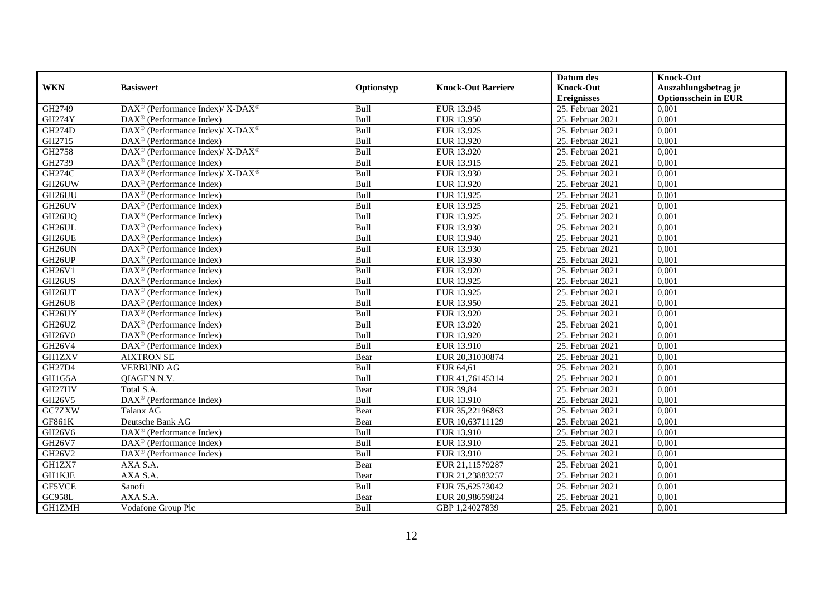|               |                                                                    |            |                           | Datum des          | <b>Knock-Out</b>            |
|---------------|--------------------------------------------------------------------|------------|---------------------------|--------------------|-----------------------------|
| <b>WKN</b>    | <b>Basiswert</b>                                                   | Optionstyp | <b>Knock-Out Barriere</b> | <b>Knock-Out</b>   | Auszahlungsbetrag je        |
|               |                                                                    |            |                           | <b>Ereignisses</b> | <b>Optionsschein in EUR</b> |
| GH2749        | DAX <sup>®</sup> (Performance Index)/ X-DAX <sup>®</sup>           | Bull       | EUR 13.945                | 25. Februar 2021   | 0,001                       |
| <b>GH274Y</b> | $\text{DAX}^{\textcircled{p}}$ (Performance Index)                 | Bull       | EUR 13.950                | 25. Februar 2021   | 0,001                       |
| <b>GH274D</b> | $\text{DAX}^{\circledast}$ (Performance Index)/ X-DAX <sup>®</sup> | Bull       | EUR 13.925                | 25. Februar 2021   | 0,001                       |
| GH2715        | $\text{DAX}^{\circledast}$ (Performance Index)                     | Bull       | EUR 13.920                | 25. Februar 2021   | 0,001                       |
| GH2758        | $\text{DAX}^{\circledR}$ (Performance Index)/ X-DAX <sup>®</sup>   | Bull       | EUR 13.920                | 25. Februar 2021   | 0,001                       |
| GH2739        | $\text{DAX}^{\textcircled{D}}$ (Performance Index)                 | Bull       | EUR 13.915                | $25.$ Februar 2021 | 0,001                       |
| <b>GH274C</b> | $\text{DAX}^{\circledR}$ (Performance Index)/ X-DAX <sup>®</sup>   | Bull       | EUR 13.930                | 25. Februar 2021   | 0,001                       |
| GH26UW        | $\text{DAX}^{\textcircled{p}}$ (Performance Index)                 | Bull       | EUR 13.920                | 25. Februar 2021   | 0,001                       |
| GH26UU        | $\text{DAX}^{\textcircled{D}}$ (Performance Index)                 | Bull       | EUR 13.925                | 25. Februar 2021   | 0,001                       |
| GH26UV        | DAX <sup>®</sup> (Performance Index)                               | Bull       | EUR 13.925                | 25. Februar 2021   | 0,001                       |
| GH26UQ        | DAX <sup>®</sup> (Performance Index)                               | Bull       | EUR 13.925                | 25. Februar 2021   | 0,001                       |
| GH26UL        | DAX <sup>®</sup> (Performance Index)                               | Bull       | EUR 13.930                | 25. Februar 2021   | 0,001                       |
| GH26UE        | $\text{DAX}^{\textcircled{n}}$ (Performance Index)                 | Bull       | EUR 13.940                | 25. Februar 2021   | 0,001                       |
| GH26UN        | $DAX^{\circledR}$ (Performance Index)                              | Bull       | EUR 13.930                | 25. Februar 2021   | 0,001                       |
| GH26UP        | DAX <sup>®</sup> (Performance Index)                               | Bull       | EUR 13.930                | 25. Februar 2021   | 0,001                       |
| GH26V1        | DAX <sup>®</sup> (Performance Index)                               | Bull       | EUR 13.920                | 25. Februar 2021   | 0,001                       |
| GH26US        | $\text{DAX}^{\textcircled{p}}$ (Performance Index)                 | Bull       | EUR 13.925                | 25. Februar 2021   | 0,001                       |
| GH26UT        | $\overline{\text{DAX}^{\otimes}}$ (Performance Index)              | Bull       | EUR 13.925                | 25. Februar 2021   | 0,001                       |
| GH26U8        | $\text{DAX}^{\textcircled{n}}$ (Performance Index)                 | Bull       | EUR 13.950                | 25. Februar 2021   | 0,001                       |
| GH26UY        | $\text{DAX}^{\textcircled{n}}$ (Performance Index)                 | Bull       | EUR 13.920                | 25. Februar 2021   | 0,001                       |
| GH26UZ        | DAX <sup>®</sup> (Performance Index)                               | Bull       | EUR 13.920                | 25. Februar 2021   | 0,001                       |
| <b>GH26V0</b> | $\text{DAX}^{\textcircled{n}}$ (Performance Index)                 | Bull       | EUR 13.920                | 25. Februar 2021   | 0,001                       |
| GH26V4        | DAX <sup>®</sup> (Performance Index)                               | Bull       | EUR 13.910                | $25.$ Februar 2021 | 0,001                       |
| <b>GH1ZXV</b> | <b>AIXTRON SE</b>                                                  | Bear       | EUR 20,31030874           | 25. Februar 2021   | 0,001                       |
| GH27D4        | <b>VERBUND AG</b>                                                  | Bull       | EUR 64,61                 | 25. Februar 2021   | 0,001                       |
| GH1G5A        | QIAGEN N.V.                                                        | Bull       | EUR 41,76145314           | 25. Februar 2021   | 0,001                       |
| GH27HV        | Total S.A.                                                         | Bear       | <b>EUR 39,84</b>          | 25. Februar 2021   | 0,001                       |
| GH26V5        | DAX <sup>®</sup> (Performance Index)                               | Bull       | EUR 13.910                | $25.$ Februar 2021 | 0,001                       |
| GC7ZXW        | Talanx AG                                                          | Bear       | EUR 35,22196863           | 25. Februar 2021   | 0,001                       |
| GF861K        | Deutsche Bank AG                                                   | Bear       | EUR 10.63711129           | 25. Februar 2021   | 0.001                       |
| GH26V6        | DAX <sup>®</sup> (Performance Index)                               | Bull       | EUR 13.910                | 25. Februar 2021   | 0,001                       |
| GH26V7        | $\text{DAX}^{\textcircled{D}}$ (Performance Index)                 | Bull       | EUR 13.910                | 25. Februar 2021   | 0,001                       |
| GH26V2        | DAX <sup>®</sup> (Performance Index)                               | Bull       | EUR 13.910                | 25. Februar 2021   | 0,001                       |
| GH1ZX7        | AXA S.A.                                                           | Bear       | EUR 21,11579287           | 25. Februar 2021   | 0,001                       |
| <b>GH1KJE</b> | AXA S.A.                                                           | Bear       | EUR 21,23883257           | 25. Februar 2021   | 0,001                       |
| GF5VCE        | Sanofi                                                             | Bull       | EUR 75,62573042           | 25. Februar 2021   | 0,001                       |
| GC958L        | AXA S.A.                                                           | Bear       | EUR 20,98659824           | 25. Februar 2021   | 0,001                       |
| <b>GH1ZMH</b> | Vodafone Group Plc                                                 | Bull       | GBP 1,24027839            | 25. Februar 2021   | 0,001                       |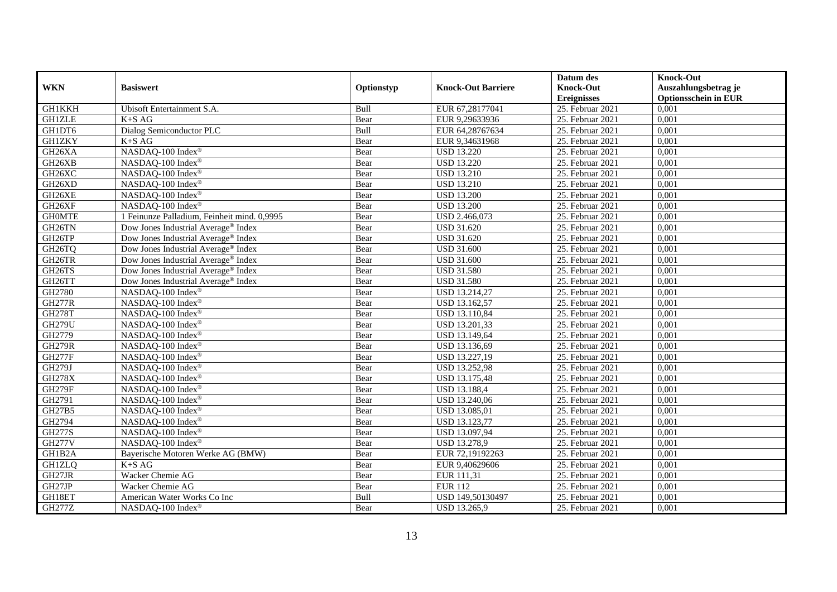|                     |                                                 |            |                           | Datum des          | <b>Knock-Out</b>            |
|---------------------|-------------------------------------------------|------------|---------------------------|--------------------|-----------------------------|
| <b>WKN</b>          | <b>Basiswert</b>                                | Optionstyp | <b>Knock-Out Barriere</b> | <b>Knock-Out</b>   | Auszahlungsbetrag je        |
|                     |                                                 |            |                           | <b>Ereignisses</b> | <b>Optionsschein in EUR</b> |
| <b>GH1KKH</b>       | Ubisoft Entertainment S.A.                      | Bull       | EUR 67,28177041           | 25. Februar 2021   | 0,001                       |
| <b>GH1ZLE</b>       | $K+SAG$                                         | Bear       | EUR 9,29633936            | 25. Februar 2021   | 0,001                       |
| GH1DT6              | Dialog Semiconductor PLC                        | Bull       | EUR 64,28767634           | 25. Februar 2021   | 0,001                       |
| <b>GH1ZKY</b>       | $\mathrm{K}{+}\mathrm{S}\ \mathrm{A}\mathrm{G}$ | Bear       | EUR 9,34631968            | 25. Februar 2021   | 0,001                       |
| GH26XA              | NASDAQ-100 Index®                               | Bear       | <b>USD 13.220</b>         | 25. Februar 2021   | 0,001                       |
| GH26XB              | NASDAQ-100 Index®                               | Bear       | <b>USD 13.220</b>         | $25.$ Februar 2021 | 0,001                       |
| GH26XC              | NASDAQ-100 Index®                               | Bear       | <b>USD 13.210</b>         | 25. Februar 2021   | 0,001                       |
| GH26XD              | NASDAQ-100 Index®                               | Bear       | <b>USD 13.210</b>         | 25. Februar 2021   | 0,001                       |
| GH26XE              | NASDAQ-100 Index®                               | Bear       | <b>USD 13.200</b>         | 25. Februar 2021   | 0,001                       |
| GH26XF              | NASDAQ-100 Index®                               | Bear       | <b>USD 13.200</b>         | 25. Februar 2021   | 0,001                       |
| <b>GHOMTE</b>       | 1 Feinunze Palladium, Feinheit mind. 0,9995     | Bear       | USD 2.466,073             | 25. Februar 2021   | 0,001                       |
| GH <sub>26</sub> TN | Dow Jones Industrial Average <sup>®</sup> Index | Bear       | <b>USD 31.620</b>         | 25. Februar 2021   | 0,001                       |
| GH26TP              | Dow Jones Industrial Average <sup>®</sup> Index | Bear       | <b>USD 31.620</b>         | 25. Februar 2021   | 0,001                       |
| GH <sub>26</sub> TQ | Dow Jones Industrial Average <sup>®</sup> Index | Bear       | <b>USD 31.600</b>         | 25. Februar 2021   | 0,001                       |
| GH26TR              | Dow Jones Industrial Average® Index             | Bear       | <b>USD 31.600</b>         | 25. Februar 2021   | 0,001                       |
| GH26TS              | Dow Jones Industrial Average® Index             | Bear       | <b>USD 31.580</b>         | 25. Februar 2021   | 0,001                       |
| GH26TT              | Dow Jones Industrial Average® Index             | Bear       | <b>USD 31.580</b>         | 25. Februar 2021   | 0,001                       |
| GH2780              | NASDAQ-100 Index <sup>®</sup>                   | Bear       | <b>USD 13.214.27</b>      | 25. Februar 2021   | 0,001                       |
| <b>GH277R</b>       | NASDAQ-100 Index®                               | Bear       | USD 13.162,57             | 25. Februar 2021   | 0,001                       |
| <b>GH278T</b>       | NASDAQ-100 Index®                               | Bear       | <b>USD 13.110,84</b>      | 25. Februar 2021   | 0,001                       |
| <b>GH279U</b>       | NASDAQ-100 Index®                               | Bear       | USD 13.201,33             | 25. Februar 2021   | 0,001                       |
| GH2779              | NASDAQ-100 Index®                               | Bear       | USD 13.149,64             | 25. Februar 2021   | 0,001                       |
| <b>GH279R</b>       | NASDAQ-100 Index®                               | Bear       | USD 13.136,69             | $25.$ Februar 2021 | 0,001                       |
| <b>GH277F</b>       | NASDAQ-100 Index®                               | Bear       | USD 13.227,19             | 25. Februar 2021   | 0,001                       |
| GH279J              | NASDAQ-100 Index®                               | Bear       | <b>USD 13.252,98</b>      | 25. Februar 2021   | 0,001                       |
| <b>GH278X</b>       | NASDAQ-100 Index <sup>®</sup>                   | Bear       | USD 13.175,48             | 25. Februar 2021   | 0,001                       |
| <b>GH279F</b>       | NASDAQ-100 Index®                               | Bear       | USD 13.188,4              | 25. Februar 2021   | 0,001                       |
| GH2791              | NASDAQ-100 Index®                               | Bear       | USD 13.240,06             | $25.$ Februar 2021 | 0.001                       |
| GH27B5              | NASDAQ-100 Index®                               | Bear       | USD 13.085,01             | 25. Februar 2021   | 0,001                       |
| GH2794              | NASDAQ-100 Index®                               | Bear       | <b>USD 13.123,77</b>      | 25. Februar 2021   | 0,001                       |
| <b>GH277S</b>       | NASDAQ-100 Index®                               | Bear       | USD 13.097,94             | 25. Februar 2021   | 0,001                       |
| <b>GH277V</b>       | NASDAQ-100 Index®                               | Bear       | USD 13.278,9              | 25. Februar 2021   | 0.001                       |
| GH1B2A              | Bayerische Motoren Werke AG (BMW)               | Bear       | EUR 72,19192263           | 25. Februar 2021   | 0,001                       |
| <b>GH1ZLQ</b>       | $K+SAG$                                         | Bear       | EUR 9,40629606            | 25. Februar 2021   | 0,001                       |
| GH27JR              | Wacker Chemie AG                                | Bear       | EUR 111,31                | 25. Februar 2021   | 0,001                       |
| GH27JP              | Wacker Chemie AG                                | Bear       | <b>EUR 112</b>            | 25. Februar 2021   | 0,001                       |
| GH18ET              | American Water Works Co Inc                     | Bull       | USD 149,50130497          | 25. Februar 2021   | 0,001                       |
| <b>GH277Z</b>       | NASDAQ-100 Index®                               | Bear       | USD 13.265,9              | 25. Februar 2021   | 0,001                       |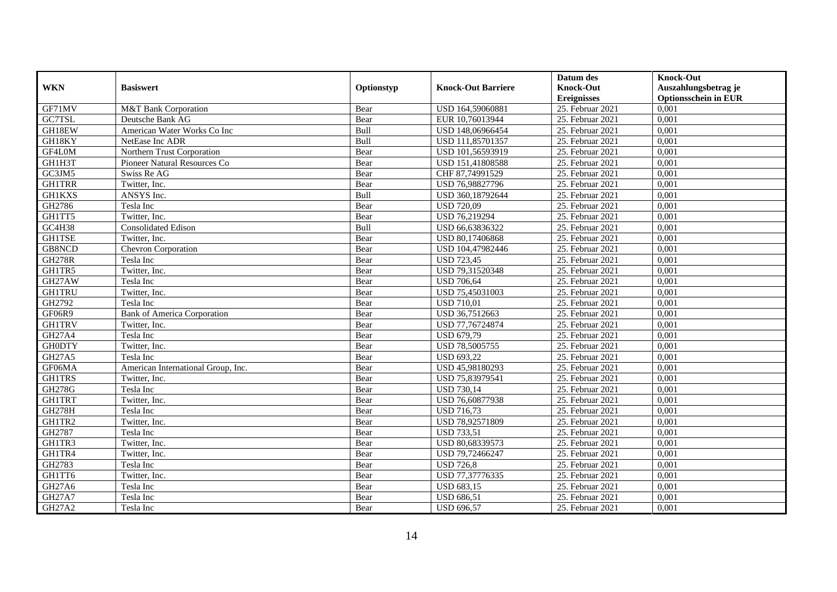|               |                                    |            |                           | Datum des          | <b>Knock-Out</b>            |
|---------------|------------------------------------|------------|---------------------------|--------------------|-----------------------------|
| <b>WKN</b>    | <b>Basiswert</b>                   | Optionstyp | <b>Knock-Out Barriere</b> | <b>Knock-Out</b>   | Auszahlungsbetrag je        |
|               |                                    |            |                           | <b>Ereignisses</b> | <b>Optionsschein in EUR</b> |
| GF71MV        | M&T Bank Corporation               | Bear       | USD 164,59060881          | 25. Februar 2021   | 0,001                       |
| GC7TSL        | Deutsche Bank AG                   | Bear       | EUR 10,76013944           | 25. Februar 2021   | 0,001                       |
| GH18EW        | American Water Works Co Inc        | Bull       | USD 148,06966454          | 25. Februar 2021   | 0,001                       |
| GH18KY        | NetEase Inc ADR                    | Bull       | USD 111,85701357          | 25. Februar 2021   | 0,001                       |
| GF4L0M        | Northern Trust Corporation         | Bear       | USD 101,56593919          | 25. Februar 2021   | 0,001                       |
| GH1H3T        | Pioneer Natural Resources Co       | Bear       | USD 151,41808588          | 25. Februar 2021   | 0,001                       |
| GC3JM5        | Swiss Re AG                        | Bear       | CHF 87,74991529           | 25. Februar 2021   | 0,001                       |
| <b>GH1TRR</b> | Twitter, Inc.                      | Bear       | USD 76,98827796           | 25. Februar 2021   | 0,001                       |
| GH1KXS        | ANSYS Inc.                         | Bull       | USD 360,18792644          | 25. Februar 2021   | 0,001                       |
| GH2786        | Tesla Inc                          | Bear       | <b>USD 720,09</b>         | 25. Februar 2021   | 0,001                       |
| GH1TT5        | Twitter, Inc.                      | Bear       | USD 76,219294             | 25. Februar 2021   | 0,001                       |
| GC4H38        | <b>Consolidated Edison</b>         | Bull       | USD 66,63836322           | 25. Februar 2021   | 0,001                       |
| <b>GH1TSE</b> | Twitter, Inc.                      | Bear       | USD 80,17406868           | 25. Februar 2021   | 0,001                       |
| GB8NCD        | Chevron Corporation                | Bear       | USD 104.47982446          | 25. Februar 2021   | 0.001                       |
| <b>GH278R</b> | Tesla Inc                          | Bear       | <b>USD 723,45</b>         | 25. Februar 2021   | 0,001                       |
| GH1TR5        | Twitter, Inc.                      | Bear       | USD 79,31520348           | 25. Februar 2021   | 0,001                       |
| GH27AW        | Tesla Inc                          | Bear       | <b>USD 706,64</b>         | $25.$ Februar 2021 | 0,001                       |
| <b>GH1TRU</b> | Twitter, Inc.                      | Bear       | USD 75,45031003           | $25.$ Februar 2021 | 0,001                       |
| GH2792        | Tesla Inc                          | Bear       | <b>USD 710,01</b>         | 25. Februar 2021   | 0,001                       |
| GF06R9        | <b>Bank of America Corporation</b> | Bear       | USD 36,7512663            | 25. Februar 2021   | 0,001                       |
| <b>GH1TRV</b> | Twitter, Inc.                      | Bear       | USD 77,76724874           | 25. Februar 2021   | 0,001                       |
| <b>GH27A4</b> | Tesla Inc                          | Bear       | <b>USD 679,79</b>         | 25. Februar 2021   | 0,001                       |
| <b>GH0DTY</b> | Twitter, Inc.                      | Bear       | USD 78,5005755            | 25. Februar 2021   | 0,001                       |
| GH27A5        | Tesla Inc                          | Bear       | <b>USD 693,22</b>         | 25. Februar 2021   | 0,001                       |
| GF06MA        | American International Group, Inc. | Bear       | USD 45,98180293           | 25. Februar 2021   | 0,001                       |
| <b>GH1TRS</b> | Twitter, Inc.                      | Bear       | USD 75,83979541           | 25. Februar 2021   | 0,001                       |
| <b>GH278G</b> | Tesla Inc                          | Bear       | <b>USD 730,14</b>         | 25. Februar 2021   | 0,001                       |
| <b>GH1TRT</b> | Twitter, Inc.                      | Bear       | USD 76,60877938           | 25. Februar 2021   | 0,001                       |
| <b>GH278H</b> | Tesla Inc                          | Bear       | <b>USD 716,73</b>         | $25.$ Februar 2021 | 0,001                       |
| GH1TR2        | Twitter, Inc.                      | Bear       | USD 78,92571809           | 25. Februar 2021   | 0,001                       |
| GH2787        | Tesla Inc                          | Bear       | <b>USD 733,51</b>         | 25. Februar 2021   | 0,001                       |
| GH1TR3        | Twitter, Inc.                      | Bear       | USD 80,68339573           | 25. Februar 2021   | 0,001                       |
| GH1TR4        | Twitter, Inc.                      | Bear       | USD 79,72466247           | 25. Februar 2021   | 0,001                       |
| GH2783        | Tesla Inc                          | Bear       | <b>USD 726.8</b>          | 25. Februar 2021   | 0,001                       |
| GH1TT6        | Twitter, Inc.                      | Bear       | USD 77,37776335           | 25. Februar 2021   | 0,001                       |
| GH27A6        | Tesla Inc                          | Bear       | <b>USD 683,15</b>         | 25. Februar 2021   | 0,001                       |
| GH27A7        | Tesla Inc                          | Bear       | <b>USD 686,51</b>         | 25. Februar 2021   | 0,001                       |
| GH27A2        | Tesla Inc                          | Bear       | <b>USD 696,57</b>         | 25. Februar 2021   | 0,001                       |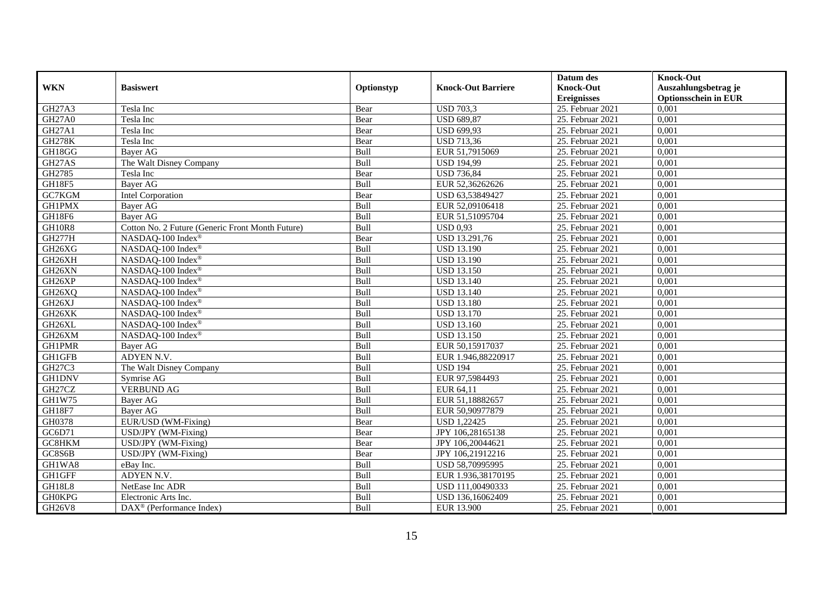|                     |                                                   |            |                           | Datum des          | <b>Knock-Out</b>            |
|---------------------|---------------------------------------------------|------------|---------------------------|--------------------|-----------------------------|
| <b>WKN</b>          | <b>Basiswert</b>                                  | Optionstyp | <b>Knock-Out Barriere</b> | <b>Knock-Out</b>   | Auszahlungsbetrag je        |
|                     |                                                   |            |                           | <b>Ereignisses</b> | <b>Optionsschein in EUR</b> |
| GH27A3              | Tesla Inc                                         | Bear       | <b>USD 703,3</b>          | 25. Februar 2021   | 0,001                       |
| <b>GH27A0</b>       | Tesla Inc                                         | Bear       | <b>USD 689,87</b>         | 25. Februar 2021   | 0,001                       |
| GH27A1              | Tesla Inc                                         | Bear       | USD 699,93                | 25. Februar 2021   | 0,001                       |
| <b>GH278K</b>       | Tesla Inc                                         | Bear       | USD 713,36                | 25. Februar 2021   | 0,001                       |
| GH18GG              | Bayer AG                                          | Bull       | EUR 51,7915069            | 25. Februar 2021   | 0,001                       |
| GH27AS              | The Walt Disney Company                           | Bull       | <b>USD 194,99</b>         | 25. Februar 2021   | 0,001                       |
| GH2785              | Tesla Inc                                         | Bear       | <b>USD 736,84</b>         | 25. Februar 2021   | 0,001                       |
| <b>GH18F5</b>       | <b>Bayer AG</b>                                   | Bull       | EUR 52,36262626           | 25. Februar 2021   | 0,001                       |
| GC7KGM              | Intel Corporation                                 | Bear       | USD 63,53849427           | 25. Februar 2021   | 0,001                       |
| <b>GH1PMX</b>       | Bayer AG                                          | Bull       | EUR 52,09106418           | 25. Februar 2021   | 0,001                       |
| GH18F6              | Bayer AG                                          | Bull       | EUR 51,51095704           | 25. Februar 2021   | 0,001                       |
| <b>GH10R8</b>       | Cotton No. 2 Future (Generic Front Month Future)  | Bull       | <b>USD 0,93</b>           | 25. Februar 2021   | 0,001                       |
| <b>GH277H</b>       | NASDAQ-100 Index®                                 | Bear       | USD 13.291,76             | 25. Februar 2021   | 0,001                       |
| GH26XG              | NASDAQ-100 Index®                                 | Bull       | <b>USD 13.190</b>         | 25. Februar 2021   | 0,001                       |
| GH26XH              | NASDAQ-100 Index®                                 | Bull       | <b>USD 13.190</b>         | 25. Februar 2021   | 0,001                       |
| GH26XN              | NASDAQ-100 Index®                                 | Bull       | <b>USD 13.150</b>         | 25. Februar 2021   | 0,001                       |
| GH26XP              | NASDAQ-100 Index®                                 | Bull       | <b>USD 13.140</b>         | 25. Februar 2021   | 0,001                       |
| GH <sub>26</sub> XQ | NASDAQ-100 Index®                                 | Bull       | <b>USD 13.140</b>         | 25. Februar 2021   | 0,001                       |
| GH26XJ              | NASDAQ-100 Index®                                 | Bull       | <b>USD 13.180</b>         | 25. Februar 2021   | 0,001                       |
| GH26XK              | NASDAQ-100 Index®                                 | Bull       | <b>USD 13.170</b>         | 25. Februar 2021   | 0,001                       |
| GH26XL              | NASDAQ-100 Index®                                 | Bull       | <b>USD 13.160</b>         | 25. Februar 2021   | 0,001                       |
| GH26XM              | NASDAQ-100 Index®                                 | Bull       | <b>USD 13.150</b>         | 25. Februar 2021   | 0.001                       |
| <b>GH1PMR</b>       | Bayer AG                                          | Bull       | EUR 50,15917037           | 25. Februar 2021   | 0,001                       |
| GH1GFB              | ADYEN N.V.                                        | Bull       | EUR 1.946,88220917        | 25. Februar 2021   | 0,001                       |
| GH27C3              | The Walt Disney Company                           | Bull       | <b>USD 194</b>            | 25. Februar 2021   | 0,001                       |
| <b>GH1DNV</b>       | Symrise AG                                        | Bull       | EUR 97,5984493            | 25. Februar 2021   | 0,001                       |
| GH27CZ              | <b>VERBUND AG</b>                                 | Bull       | EUR 64,11                 | 25. Februar 2021   | 0,001                       |
| GH1W75              | Bayer AG                                          | Bull       | EUR 51,18882657           | 25. Februar 2021   | 0,001                       |
| GH18F7              | Bayer AG                                          | Bull       | EUR 50,90977879           | 25. Februar 2021   | 0,001                       |
| GH0378              | EUR/USD (WM-Fixing)                               | Bear       | <b>USD 1.22425</b>        | 25. Februar 2021   | 0.001                       |
| GC6D71              | USD/JPY (WM-Fixing)                               | Bear       | JPY 106,28165138          | 25. Februar 2021   | 0,001                       |
| GC8HKM              | USD/JPY (WM-Fixing)                               | Bear       | JPY 106,20044621          | 25. Februar 2021   | 0,001                       |
| GC8S6B              | USD/JPY (WM-Fixing)                               | Bear       | JPY 106,21912216          | 25. Februar 2021   | 0,001                       |
| GH1WA8              | eBay Inc.                                         | Bull       | USD 58,70995995           | 25. Februar 2021   | 0,001                       |
| <b>GH1GFF</b>       | ADYEN N.V.                                        | Bull       | EUR 1.936,38170195        | 25. Februar 2021   | 0,001                       |
| GH18L8              | NetEase Inc ADR                                   | Bull       | USD 111,00490333          | 25. Februar 2021   | 0,001                       |
| <b>GH0KPG</b>       | Electronic Arts Inc.                              | Bull       | USD 136,16062409          | 25. Februar 2021   | 0,001                       |
| GH26V8              | $\text{DAX}^{\textcircled{}}$ (Performance Index) | Bull       | <b>EUR 13.900</b>         | 25. Februar 2021   | 0,001                       |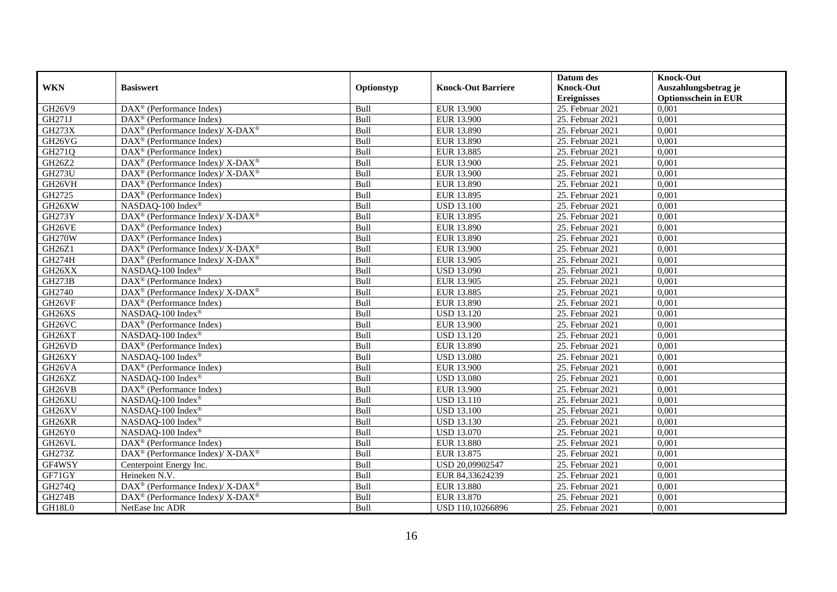|                                 |                                                                   |            |                           | Datum des          | <b>Knock-Out</b>            |
|---------------------------------|-------------------------------------------------------------------|------------|---------------------------|--------------------|-----------------------------|
| <b>WKN</b>                      | <b>Basiswert</b>                                                  | Optionstyp | <b>Knock-Out Barriere</b> | <b>Knock-Out</b>   | Auszahlungsbetrag je        |
|                                 |                                                                   |            |                           | <b>Ereignisses</b> | <b>Optionsschein in EUR</b> |
| GH26V9                          | DAX <sup>®</sup> (Performance Index)                              | Bull       | EUR 13.900                | 25. Februar 2021   | 0,001                       |
| GH271J                          | $DAX^{\circledR}$ (Performance Index)                             | Bull       | <b>EUR 13.900</b>         | 25. Februar 2021   | 0,001                       |
| <b>GH273X</b>                   | $\text{DAX}^{\circledast}$ (Performance Index)/X-DAX <sup>®</sup> | Bull       | <b>EUR 13.890</b>         | 25. Februar 2021   | 0,001                       |
| GH26VG                          | DAX <sup>®</sup> (Performance Index)                              | Bull       | EUR 13.890                | 25. Februar 2021   | 0,001                       |
| GH271Q                          | $\overline{\text{DAX}^{\otimes}}$ (Performance Index)             | Bull       | EUR 13.885                | 25. Februar 2021   | 0,001                       |
| GH26Z2                          | $DAX^{\circledast}$ (Performance Index)/ X-DAX <sup>®</sup>       | Bull       | EUR 13.900                | 25. Februar 2021   | 0,001                       |
| <b>GH273U</b>                   | $DAX^{\circledcirc}$ (Performance Index)/X-DAX <sup>®</sup>       | Bull       | <b>EUR 13.900</b>         | 25. Februar 2021   | 0,001                       |
| GH26VH                          | DAX <sup>®</sup> (Performance Index)                              | Bull       | EUR 13.890                | 25. Februar 2021   | 0,001                       |
| GH2725                          | DAX <sup>®</sup> (Performance Index)                              | Bull       | EUR 13.895                | 25. Februar 2021   | 0,001                       |
| GH26XW                          | NASDAQ-100 Index®                                                 | Bull       | <b>USD 13.100</b>         | 25. Februar 2021   | 0,001                       |
| <b>GH273Y</b>                   | DAX <sup>®</sup> (Performance Index)/X-DAX <sup>®</sup>           | Bull       | EUR 13.895                | 25. Februar 2021   | 0,001                       |
| GH26VE                          | DAX <sup>®</sup> (Performance Index)                              | Bull       | EUR 13.890                | 25. Februar 2021   | 0,001                       |
| <b>GH270W</b>                   | $\text{DAX}^{\circledast}$ (Performance Index)                    | Bull       | EUR 13.890                | 25. Februar 2021   | 0,001                       |
| GH26Z1                          | $DAX^{\circledcirc}$ (Performance Index)/X-DAX <sup>®</sup>       | Bull       | EUR 13.900                | 25. Februar 2021   | 0.001                       |
| <b>GH274H</b>                   | DAX <sup>®</sup> (Performance Index)/ X-DAX <sup>®</sup>          | Bull       | <b>EUR 13.905</b>         | 25. Februar 2021   | 0,001                       |
| GH26XX                          | NASDAQ-100 Index®                                                 | Bull       | <b>USD 13.090</b>         | 25. Februar 2021   | 0,001                       |
| <b>GH273B</b>                   | $\overline{\text{DAX}^{\otimes}}$ (Performance Index)             | Bull       | EUR 13.905                | $25.$ Februar 2021 | 0,001                       |
| GH2740                          | $\text{DAX}^{\circledR}$ (Performance Index)/ X-DAX <sup>®</sup>  | Bull       | <b>EUR 13.885</b>         | $25.$ Februar 2021 | 0,001                       |
| GH26VF                          | $\text{DAX}^{\textcircled{n}}$ (Performance Index)                | Bull       | EUR 13.890                | 25. Februar 2021   | 0,001                       |
| GH26XS                          | NASDAQ-100 Index®                                                 | Bull       | <b>USD 13.120</b>         | 25. Februar 2021   | 0,001                       |
| GH <sub>26</sub> VC             | DAX <sup>®</sup> (Performance Index)                              | Bull       | <b>EUR 13.900</b>         | 25. Februar 2021   | 0,001                       |
| GH26XT                          | NASDAQ-100 Index <sup>®</sup>                                     | Bull       | <b>USD 13.120</b>         | 25. Februar 2021   | 0,001                       |
| GH <sub>26</sub> V <sub>D</sub> | DAX <sup>®</sup> (Performance Index)                              | Bull       | EUR 13.890                | 25. Februar 2021   | 0,001                       |
| GH26XY                          | NASDAQ-100 Index®                                                 | Bull       | <b>USD 13.080</b>         | 25. Februar 2021   | 0,001                       |
| GH <sub>26</sub> VA             | $\text{DAX}^{\textcircled{p}}$ (Performance Index)                | Bull       | <b>EUR 13.900</b>         | 25. Februar 2021   | 0,001                       |
| GH26XZ                          | NASDAQ-100 Index®                                                 | Bull       | <b>USD 13.080</b>         | 25. Februar 2021   | 0,001                       |
| GH <sub>26</sub> VB             | DAX <sup>®</sup> (Performance Index)                              | Bull       | <b>EUR 13.900</b>         | 25. Februar 2021   | 0,001                       |
| GH26XU                          | NASDAQ-100 Index®                                                 | Bull       | <b>USD 13.110</b>         | 25. Februar 2021   | 0,001                       |
| GH26XV                          | NASDAQ-100 Index®                                                 | Bull       | <b>USD 13.100</b>         | 25. Februar 2021   | 0,001                       |
| GH26XR                          | NASDAQ-100 Index®                                                 | Bull       | <b>USD 13.130</b>         | 25. Februar 2021   | 0,001                       |
| GH26Y0                          | NASDAQ-100 Index®                                                 | Bull       | <b>USD 13.070</b>         | 25. Februar 2021   | 0,001                       |
| GH26VL                          | DAX <sup>®</sup> (Performance Index)                              | Bull       | <b>EUR 13.880</b>         | 25. Februar 2021   | 0,001                       |
| <b>GH273Z</b>                   | $\text{DAX}^{\circledR}$ (Performance Index)/ X-DAX <sup>®</sup>  | Bull       | EUR 13.875                | 25. Februar 2021   | 0,001                       |
| GF4WSY                          | Centerpoint Energy Inc.                                           | Bull       | USD 20,09902547           | 25. Februar 2021   | 0,001                       |
| GF71GY                          | Heineken N.V.                                                     | Bull       | EUR 84,33624239           | 25. Februar 2021   | 0,001                       |
| GH274Q                          | $\text{DAX}^{\otimes}$ (Performance Index)/X-DAX <sup>®</sup>     | Bull       | EUR 13.880                | 25. Februar 2021   | 0,001                       |
| <b>GH274B</b>                   | $DAX^{\circledast}$ (Performance Index)/X-DAX <sup>®</sup>        | Bull       | EUR 13.870                | 25. Februar 2021   | 0,001                       |
| GH18L0                          | NetEase Inc ADR                                                   | Bull       | USD 110,10266896          | 25. Februar 2021   | 0,001                       |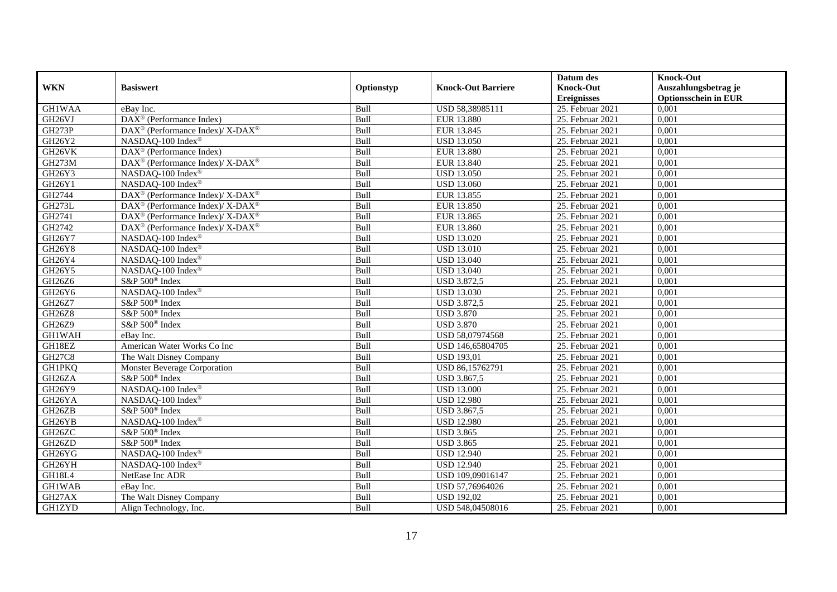|                     |                                                                  |            |                           | Datum des          | <b>Knock-Out</b>            |
|---------------------|------------------------------------------------------------------|------------|---------------------------|--------------------|-----------------------------|
| <b>WKN</b>          | <b>Basiswert</b>                                                 | Optionstyp | <b>Knock-Out Barriere</b> | <b>Knock-Out</b>   | Auszahlungsbetrag je        |
|                     |                                                                  |            |                           | <b>Ereignisses</b> | <b>Optionsschein in EUR</b> |
| <b>GH1WAA</b>       | eBay Inc.                                                        | Bull       | USD 58,38985111           | 25. Februar 2021   | 0,001                       |
| GH26VJ              | DAX <sup>®</sup> (Performance Index)                             | Bull       | <b>EUR 13.880</b>         | 25. Februar 2021   | 0,001                       |
| <b>GH273P</b>       | $\text{DAX}^{\circledR}$ (Performance Index)/ X-DAX <sup>®</sup> | Bull       | EUR 13.845                | 25. Februar 2021   | 0,001                       |
| GH26Y2              | NASDAQ-100 Index®                                                | Bull       | <b>USD 13.050</b>         | 25. Februar 2021   | 0,001                       |
| GH26VK              | DAX <sup>®</sup> (Performance Index)                             | Bull       | <b>EUR 13.880</b>         | 25. Februar 2021   | 0,001                       |
| <b>GH273M</b>       | DAX <sup>®</sup> (Performance Index)/ X-DAX <sup>®</sup>         | Bull       | EUR 13.840                | 25. Februar 2021   | 0,001                       |
| GH26Y3              | NASDAO-100 Index®                                                | Bull       | <b>USD 13.050</b>         | 25. Februar 2021   | 0,001                       |
| GH26Y1              | NASDAQ-100 Index®                                                | Bull       | <b>USD 13.060</b>         | 25. Februar 2021   | 0,001                       |
| GH2744              | $\text{DAX}^{\circledR}$ (Performance Index)/ X-DAX <sup>®</sup> | Bull       | EUR 13.855                | 25. Februar 2021   | 0,001                       |
| <b>GH273L</b>       | DAX <sup>®</sup> (Performance Index)/ X-DAX <sup>®</sup>         | Bull       | EUR 13.850                | 25. Februar 2021   | 0,001                       |
| GH2741              | DAX <sup>®</sup> (Performance Index)/ X-DAX <sup>®</sup>         | Bull       | EUR 13.865                | 25. Februar 2021   | 0,001                       |
| GH2742              | DAX <sup>®</sup> (Performance Index)/X-DAX <sup>®</sup>          | Bull       | EUR 13.860                | 25. Februar 2021   | 0,001                       |
| GH26Y7              | NASDAQ-100 Index®                                                | Bull       | <b>USD 13.020</b>         | 25. Februar 2021   | 0,001                       |
| <b>GH26Y8</b>       | NASDAQ-100 Index®                                                | Bull       | <b>USD 13.010</b>         | 25. Februar 2021   | 0.001                       |
| GH26Y4              | NASDAQ-100 Index®                                                | Bull       | <b>USD 13.040</b>         | 25. Februar 2021   | 0,001                       |
| GH26Y5              | NASDAQ-100 Index®                                                | Bull       | <b>USD 13.040</b>         | 25. Februar 2021   | 0,001                       |
| GH26Z6              | S&P 500 <sup>®</sup> Index                                       | Bull       | <b>USD 3.872,5</b>        | $25.$ Februar 2021 | 0,001                       |
| GH26Y6              | NASDAQ-100 Index®                                                | Bull       | <b>USD 13.030</b>         | $25.$ Februar 2021 | 0,001                       |
| GH26Z7              | S&P 500 <sup>®</sup> Index                                       | Bull       | <b>USD 3.872,5</b>        | 25. Februar 2021   | 0,001                       |
| GH26Z8              | S&P 500 <sup>®</sup> Index                                       | Bull       | <b>USD 3.870</b>          | 25. Februar 2021   | 0,001                       |
| GH26Z9              | S&P 500 <sup>®</sup> Index                                       | Bull       | <b>USD 3.870</b>          | 25. Februar 2021   | 0,001                       |
| <b>GH1WAH</b>       | eBay Inc.                                                        | Bull       | USD 58,07974568           | 25. Februar 2021   | 0,001                       |
| GH18EZ              | American Water Works Co Inc                                      | Bull       | USD 146,65804705          | 25. Februar 2021   | 0,001                       |
| <b>GH27C8</b>       | The Walt Disney Company                                          | Bull       | <b>USD 193,01</b>         | 25. Februar 2021   | 0,001                       |
| <b>GH1PKQ</b>       | <b>Monster Beverage Corporation</b>                              | Bull       | USD 86,15762791           | 25. Februar 2021   | 0,001                       |
| GH26ZA              | S&P 500 <sup>®</sup> Index                                       | Bull       | <b>USD 3.867,5</b>        | 25. Februar 2021   | 0,001                       |
| GH26Y9              | NASDAQ-100 Index®                                                | Bull       | <b>USD 13.000</b>         | 25. Februar 2021   | 0,001                       |
| GH <sub>26</sub> YA | NASDAQ-100 Index®                                                | Bull       | <b>USD 12.980</b>         | 25. Februar 2021   | 0,001                       |
| GH26ZB              | S&P 500 <sup>®</sup> Index                                       | Bull       | USD 3.867,5               | 25. Februar 2021   | 0,001                       |
| GH26YB              | NASDAQ-100 Index <sup>®</sup>                                    | Bull       | <b>USD 12.980</b>         | 25. Februar 2021   | 0,001                       |
| GH26ZC              | S&P 500 <sup>®</sup> Index                                       | Bull       | <b>USD 3.865</b>          | 25. Februar 2021   | 0,001                       |
| GH26ZD              | S&P 500 <sup>®</sup> Index                                       | Bull       | <b>USD 3.865</b>          | 25. Februar 2021   | 0,001                       |
| GH26YG              | NASDAQ-100 Index®                                                | Bull       | <b>USD 12.940</b>         | 25. Februar 2021   | 0,001                       |
| GH26YH              | NASDAQ-100 Index®                                                | Bull       | <b>USD 12.940</b>         | 25. Februar 2021   | 0,001                       |
| GH18L4              | NetEase Inc ADR                                                  | Bull       | USD 109,09016147          | 25. Februar 2021   | 0,001                       |
| GH1WAB              | eBay Inc.                                                        | Bull       | USD 57,76964026           | 25. Februar 2021   | 0,001                       |
| GH27AX              | The Walt Disney Company                                          | Bull       | <b>USD 192,02</b>         | 25. Februar 2021   | 0,001                       |
| <b>GH1ZYD</b>       | Align Technology, Inc.                                           | Bull       | USD 548,04508016          | 25. Februar 2021   | 0,001                       |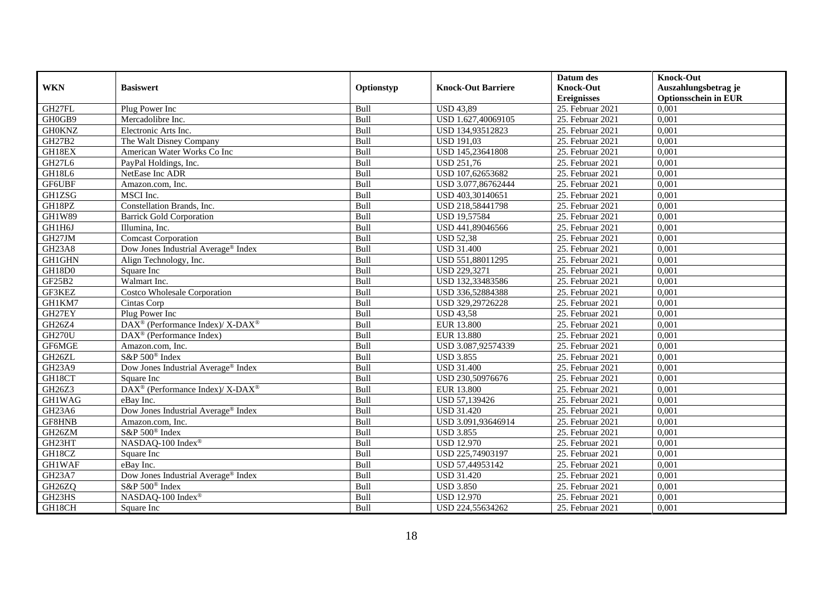|               |                                                          |            |                           | Datum des          | <b>Knock-Out</b>            |
|---------------|----------------------------------------------------------|------------|---------------------------|--------------------|-----------------------------|
| <b>WKN</b>    | <b>Basiswert</b>                                         | Optionstyp | <b>Knock-Out Barriere</b> | <b>Knock-Out</b>   | Auszahlungsbetrag je        |
|               |                                                          |            |                           | <b>Ereignisses</b> | <b>Optionsschein in EUR</b> |
| GH27FL        | Plug Power Inc                                           | Bull       | <b>USD 43,89</b>          | 25. Februar 2021   | 0,001                       |
| GH0GB9        | Mercadolibre Inc.                                        | Bull       | USD 1.627,40069105        | 25. Februar 2021   | 0,001                       |
| <b>GH0KNZ</b> | Electronic Arts Inc.                                     | Bull       | USD 134,93512823          | 25. Februar 2021   | 0,001                       |
| GH27B2        | The Walt Disney Company                                  | Bull       | <b>USD 191,03</b>         | 25. Februar 2021   | 0,001                       |
| GH18EX        | American Water Works Co Inc                              | Bull       | USD 145,23641808          | 25. Februar 2021   | 0,001                       |
| <b>GH27L6</b> | PayPal Holdings, Inc.                                    | Bull       | <b>USD 251,76</b>         | $25.$ Februar 2021 | 0,001                       |
| GH18L6        | NetEase Inc ADR                                          | Bull       | USD 107,62653682          | 25. Februar 2021   | 0,001                       |
| GF6UBF        | Amazon.com, Inc.                                         | Bull       | USD 3.077,86762444        | 25. Februar 2021   | 0,001                       |
| <b>GH1ZSG</b> | MSCI Inc.                                                | Bull       | USD 403,30140651          | 25. Februar 2021   | 0,001                       |
| GH18PZ        | Constellation Brands, Inc.                               | Bull       | USD 218,58441798          | 25. Februar 2021   | 0,001                       |
| GH1W89        | <b>Barrick Gold Corporation</b>                          | Bull       | <b>USD 19,57584</b>       | 25. Februar 2021   | 0,001                       |
| GH1H6J        | Illumina, Inc.                                           | Bull       | USD 441,89046566          | 25. Februar 2021   | 0,001                       |
| GH27JM        | <b>Comcast Corporation</b>                               | Bull       | <b>USD 52,38</b>          | 25. Februar 2021   | 0,001                       |
| <b>GH23A8</b> | Dow Jones Industrial Average® Index                      | Bull       | <b>USD 31.400</b>         | 25. Februar 2021   | 0,001                       |
| <b>GH1GHN</b> | Align Technology, Inc.                                   | Bull       | USD 551,88011295          | 25. Februar 2021   | 0,001                       |
| GH18D0        | Square Inc                                               | Bull       | USD 229,3271              | 25. Februar 2021   | 0,001                       |
| GF25B2        | Walmart Inc.                                             | Bull       | USD 132,33483586          | 25. Februar 2021   | 0,001                       |
| GF3KEZ        | <b>Costco Wholesale Corporation</b>                      | Bull       | USD 336,52884388          | 25. Februar 2021   | 0,001                       |
| GH1KM7        | Cintas Corp                                              | Bull       | USD 329,29726228          | 25. Februar 2021   | 0,001                       |
| GH27EY        | Plug Power Inc                                           | Bull       | <b>USD 43,58</b>          | 25. Februar 2021   | 0,001                       |
| GH26Z4        | DAX <sup>®</sup> (Performance Index)/ X-DAX <sup>®</sup> | Bull       | <b>EUR 13.800</b>         | 25. Februar 2021   | 0,001                       |
| <b>GH270U</b> | $\text{DAX}^{\textcircled{p}}$ (Performance Index)       | Bull       | <b>EUR 13.880</b>         | 25. Februar 2021   | 0.001                       |
| GF6MGE        | Amazon.com, Inc.                                         | Bull       | USD 3.087,92574339        | $25.$ Februar 2021 | 0,001                       |
| GH26ZL        | S&P 500 <sup>®</sup> Index                               | Bull       | <b>USD 3.855</b>          | 25. Februar 2021   | 0,001                       |
| GH23A9        | Dow Jones Industrial Average® Index                      | Bull       | <b>USD 31.400</b>         | 25. Februar 2021   | 0,001                       |
| GH18CT        | Square Inc                                               | Bull       | USD 230,50976676          | 25. Februar 2021   | 0,001                       |
| GH26Z3        | DAX <sup>®</sup> (Performance Index)/X-DAX <sup>®</sup>  | Bull       | <b>EUR 13.800</b>         | 25. Februar 2021   | 0,001                       |
| <b>GH1WAG</b> | eBay Inc.                                                | Bull       | USD 57,139426             | $25.$ Februar 2021 | 0,001                       |
| GH23A6        | Dow Jones Industrial Average® Index                      | Bull       | <b>USD 31.420</b>         | 25. Februar 2021   | 0,001                       |
| GF8HNB        | Amazon.com, Inc.                                         | Bull       | USD 3.091.93646914        | 25. Februar 2021   | 0.001                       |
| GH26ZM        | S&P 500 <sup>®</sup> Index                               | Bull       | <b>USD 3.855</b>          | 25. Februar 2021   | 0,001                       |
| GH23HT        | NASDAQ-100 Index®                                        | Bull       | <b>USD 12.970</b>         | 25. Februar 2021   | 0,001                       |
| GH18CZ        | Square Inc                                               | Bull       | USD 225,74903197          | 25. Februar 2021   | 0,001                       |
| <b>GH1WAF</b> | eBav Inc.                                                | Bull       | USD 57,44953142           | $25.$ Februar 2021 | 0,001                       |
| <b>GH23A7</b> | Dow Jones Industrial Average <sup>®</sup> Index          | Bull       | <b>USD 31.420</b>         | 25. Februar 2021   | 0,001                       |
| GH26ZQ        | S&P 500 <sup>®</sup> Index                               | Bull       | <b>USD 3.850</b>          | 25. Februar 2021   | 0,001                       |
| GH23HS        | NASDAQ-100 Index®                                        | Bull       | <b>USD 12.970</b>         | 25. Februar 2021   | 0,001                       |
| GH18CH        | Square Inc                                               | Bull       | USD 224,55634262          | 25. Februar 2021   | 0,001                       |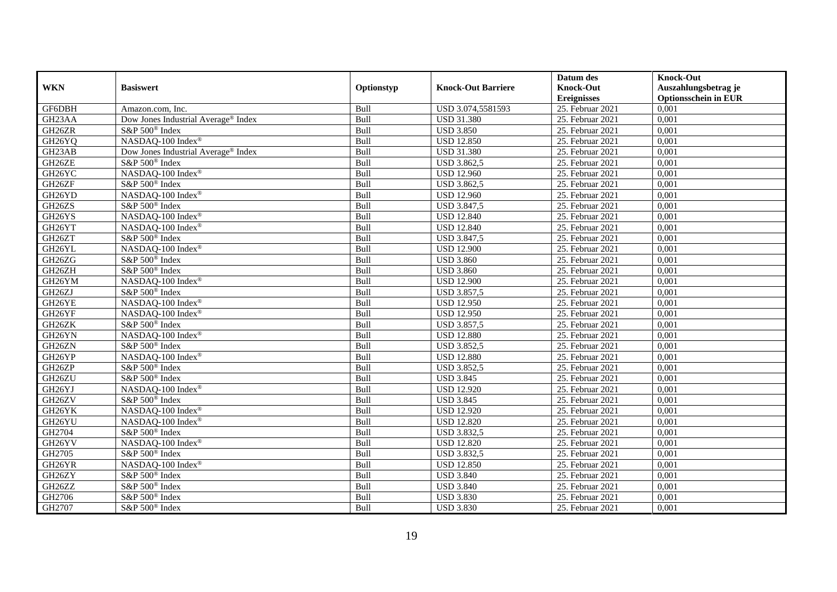|                     |                                                 |            |                           | Datum des          | <b>Knock-Out</b>            |
|---------------------|-------------------------------------------------|------------|---------------------------|--------------------|-----------------------------|
| <b>WKN</b>          | <b>Basiswert</b>                                | Optionstyp | <b>Knock-Out Barriere</b> | <b>Knock-Out</b>   | Auszahlungsbetrag je        |
|                     |                                                 |            |                           | <b>Ereignisses</b> | <b>Optionsschein in EUR</b> |
| GF6DBH              | Amazon.com, Inc.                                | Bull       | USD 3.074,5581593         | 25. Februar 2021   | 0,001                       |
| GH23AA              | Dow Jones Industrial Average® Index             | Bull       | <b>USD 31.380</b>         | 25. Februar 2021   | 0,001                       |
| GH <sub>26</sub> ZR | S&P 500 <sup>®</sup> Index                      | Bull       | <b>USD 3.850</b>          | 25. Februar 2021   | 0,001                       |
| GH26YQ              | NASDAQ-100 Index®                               | Bull       | <b>USD 12.850</b>         | 25. Februar 2021   | 0,001                       |
| GH23AB              | Dow Jones Industrial Average <sup>®</sup> Index | Bull       | <b>USD 31.380</b>         | 25. Februar 2021   | 0,001                       |
| GH26ZE              | S&P 500 <sup>®</sup> Index                      | Bull       | <b>USD 3.862,5</b>        | 25. Februar 2021   | 0,001                       |
| GH <sub>26</sub> YC | NASDAQ-100 Index®                               | Bull       | <b>USD 12.960</b>         | 25. Februar 2021   | 0,001                       |
| GH26ZF              | S&P 500 <sup>®</sup> Index                      | Bull       | USD 3.862,5               | 25. Februar 2021   | 0,001                       |
| GH26YD              | NASDAQ-100 Index®                               | Bull       | <b>USD 12.960</b>         | 25. Februar 2021   | 0,001                       |
| GH26ZS              | S&P 500 <sup>®</sup> Index                      | Bull       | <b>USD 3.847,5</b>        | 25. Februar 2021   | 0,001                       |
| GH26YS              | NASDAQ-100 Index®                               | Bull       | <b>USD 12.840</b>         | 25. Februar 2021   | 0,001                       |
| GH26YT              | NASDAQ-100 Index®                               | Bull       | <b>USD 12.840</b>         | 25. Februar 2021   | 0,001                       |
| GH26ZT              | S&P 500 <sup>®</sup> Index                      | Bull       | <b>USD 3.847,5</b>        | 25. Februar 2021   | 0,001                       |
| GH26YL              | NASDAO-100 Index <sup>®</sup>                   | Bull       | <b>USD 12.900</b>         | 25. Februar 2021   | 0.001                       |
| GH26ZG              | S&P 500 <sup>®</sup> Index                      | Bull       | <b>USD 3.860</b>          | 25. Februar 2021   | 0,001                       |
| GH26ZH              | S&P 500 <sup>®</sup> Index                      | Bull       | <b>USD 3.860</b>          | 25. Februar 2021   | 0,001                       |
| GH26YM              | NASDAQ-100 Index®                               | Bull       | <b>USD 12.900</b>         | 25. Februar 2021   | 0,001                       |
| GH26ZJ              | S&P 500 <sup>®</sup> Index                      | Bull       | <b>USD 3.857,5</b>        | 25. Februar 2021   | 0,001                       |
| GH26YE              | NASDAQ-100 Index®                               | Bull       | <b>USD 12.950</b>         | 25. Februar 2021   | 0,001                       |
| GH26YF              | NASDAQ-100 Index®                               | Bull       | <b>USD 12.950</b>         | 25. Februar 2021   | 0,001                       |
| GH26ZK              | S&P 500 <sup>®</sup> Index                      | Bull       | <b>USD 3.857,5</b>        | 25. Februar 2021   | 0,001                       |
| GH26YN              | NASDAQ-100 Index®                               | Bull       | <b>USD 12.880</b>         | 25. Februar 2021   | 0,001                       |
| GH26ZN              | S&P 500 <sup>®</sup> Index                      | Bull       | <b>USD 3.852,5</b>        | 25. Februar 2021   | 0,001                       |
| GH26YP              | NASDAQ-100 Index®                               | Bull       | <b>USD 12.880</b>         | 25. Februar 2021   | 0,001                       |
| GH26ZP              | S&P 500 <sup>®</sup> Index                      | Bull       | <b>USD 3.852,5</b>        | 25. Februar 2021   | 0,001                       |
| GH26ZU              | S&P 500 <sup>®</sup> Index                      | Bull       | <b>USD 3.845</b>          | 25. Februar 2021   | 0,001                       |
| GH26YJ              | NASDAQ-100 Index®                               | Bull       | <b>USD 12.920</b>         | 25. Februar 2021   | 0,001                       |
| GH26ZV              | S&P 500 <sup>®</sup> Index                      | Bull       | <b>USD 3.845</b>          | 25. Februar 2021   | 0,001                       |
| GH26YK              | NASDAQ-100 Index®                               | Bull       | <b>USD 12.920</b>         | 25. Februar 2021   | 0,001                       |
| GH26YU              | NASDAQ-100 Index®                               | Bull       | <b>USD 12.820</b>         | 25. Februar 2021   | 0,001                       |
| GH2704              | S&P 500 <sup>®</sup> Index                      | Bull       | <b>USD 3.832,5</b>        | 25. Februar 2021   | 0,001                       |
| GH26YV              | NASDAQ-100 Index®                               | Bull       | <b>USD 12.820</b>         | 25. Februar 2021   | 0,001                       |
| GH2705              | S&P 500 <sup>®</sup> Index                      | Bull       | <b>USD 3.832,5</b>        | 25. Februar 2021   | 0,001                       |
| GH26YR              | NASDAQ-100 Index®                               | Bull       | <b>USD 12.850</b>         | 25. Februar 2021   | 0,001                       |
| GH26ZY              | S&P 500 <sup>®</sup> Index                      | Bull       | <b>USD 3.840</b>          | 25. Februar 2021   | 0,001                       |
| GH26ZZ              | S&P 500 <sup>®</sup> Index                      | Bull       | <b>USD 3.840</b>          | 25. Februar 2021   | 0,001                       |
| GH2706              | S&P 500 <sup>®</sup> Index                      | Bull       | <b>USD 3.830</b>          | 25. Februar 2021   | 0,001                       |
| GH2707              | S&P 500 <sup>®</sup> Index                      | Bull       | <b>USD 3.830</b>          | 25. Februar 2021   | 0,001                       |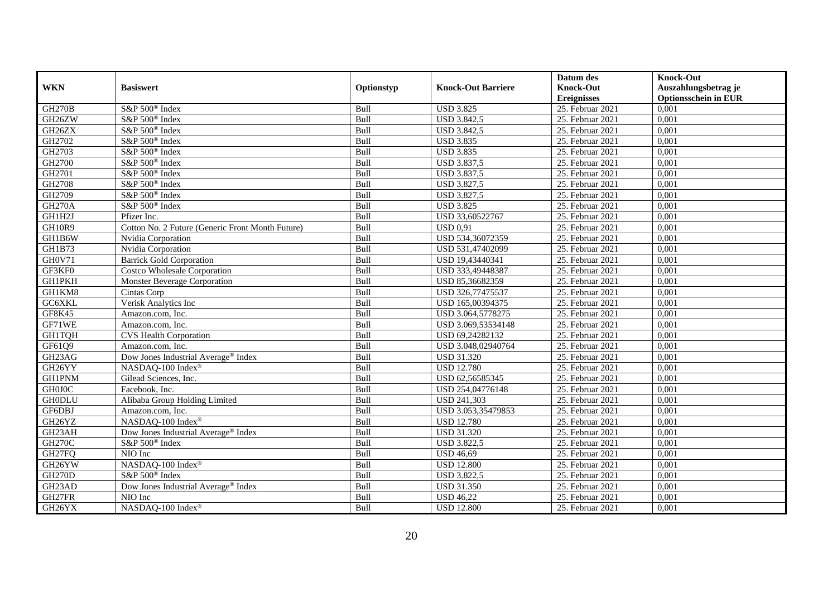|                     |                                                  |            |                           | Datum des          | <b>Knock-Out</b>            |
|---------------------|--------------------------------------------------|------------|---------------------------|--------------------|-----------------------------|
| <b>WKN</b>          | <b>Basiswert</b>                                 | Optionstyp | <b>Knock-Out Barriere</b> | <b>Knock-Out</b>   | Auszahlungsbetrag je        |
|                     |                                                  |            |                           | <b>Ereignisses</b> | <b>Optionsschein in EUR</b> |
| <b>GH270B</b>       | S&P 500 <sup>®</sup> Index                       | Bull       | <b>USD 3.825</b>          | 25. Februar 2021   | 0,001                       |
| GH26ZW              | S&P 500 <sup>®</sup> Index                       | Bull       | <b>USD 3.842,5</b>        | 25. Februar 2021   | 0,001                       |
| GH26ZX              | S&P 500 <sup>®</sup> Index                       | Bull       | <b>USD 3.842,5</b>        | 25. Februar 2021   | 0,001                       |
| GH2702              | S&P 500 <sup>®</sup> Index                       | Bull       | <b>USD 3.835</b>          | 25. Februar 2021   | 0,001                       |
| GH2703              | S&P 500 <sup>®</sup> Index                       | Bull       | <b>USD 3.835</b>          | 25. Februar 2021   | 0,001                       |
| GH2700              | S&P 500 <sup>®</sup> Index                       | Bull       | USD 3.837,5               | 25. Februar 2021   | 0,001                       |
| GH2701              | S&P 500 <sup>®</sup> Index                       | Bull       | USD 3.837,5               | 25. Februar 2021   | 0,001                       |
| GH2708              | S&P 500 <sup>®</sup> Index                       | Bull       | <b>USD 3.827,5</b>        | 25. Februar 2021   | 0,001                       |
| GH2709              | S&P 500 <sup>®</sup> Index                       | Bull       | <b>USD 3.827,5</b>        | 25. Februar 2021   | 0,001                       |
| <b>GH270A</b>       | S&P 500 <sup>®</sup> Index                       | Bull       | <b>USD 3.825</b>          | 25. Februar 2021   | 0,001                       |
| GH1H2J              | Pfizer Inc.                                      | Bull       | USD 33,60522767           | 25. Februar 2021   | 0,001                       |
| GH10R9              | Cotton No. 2 Future (Generic Front Month Future) | Bull       | $\overline{USD 0.91}$     | 25. Februar 2021   | 0,001                       |
| GH1B6W              | Nvidia Corporation                               | Bull       | USD 534,36072359          | 25. Februar 2021   | 0,001                       |
| GH1B73              | Nvidia Corporation                               | Bull       | USD 531,47402099          | 25. Februar 2021   | 0,001                       |
| GH0V71              | <b>Barrick Gold Corporation</b>                  | Bull       | USD 19,43440341           | $25.$ Februar 2021 | 0,001                       |
| GF3KF0              | <b>Costco Wholesale Corporation</b>              | Bull       | USD 333,49448387          | 25. Februar 2021   | 0,001                       |
| GH1PKH              | Monster Beverage Corporation                     | Bull       | USD 85,36682359           | 25. Februar 2021   | 0,001                       |
| GH1KM8              | Cintas Corp                                      | Bull       | USD 326,77475537          | 25. Februar 2021   | 0,001                       |
| GC6XKL              | Verisk Analytics Inc                             | Bull       | USD 165,00394375          | 25. Februar 2021   | 0,001                       |
| <b>GF8K45</b>       | Amazon.com, Inc.                                 | Bull       | USD 3.064,5778275         | 25. Februar 2021   | 0,001                       |
| GF71WE              | Amazon.com, Inc.                                 | Bull       | USD 3.069,53534148        | 25. Februar 2021   | 0,001                       |
| <b>GH1TQH</b>       | <b>CVS Health Corporation</b>                    | Bull       | USD 69,24282132           | 25. Februar 2021   | 0,001                       |
| GF61Q9              | Amazon.com, Inc.                                 | Bull       | USD 3.048,02940764        | $25.$ Februar 2021 | 0,001                       |
| GH <sub>23</sub> AG | Dow Jones Industrial Average® Index              | Bull       | <b>USD 31.320</b>         | 25. Februar 2021   | 0,001                       |
| GH26YY              | NASDAQ-100 Index®                                | Bull       | <b>USD 12.780</b>         | 25. Februar 2021   | 0,001                       |
| GH1PNM              | Gilead Sciences, Inc.                            | Bull       | USD 62,56585345           | 25. Februar 2021   | 0,001                       |
| GH0J0C              | Facebook, Inc.                                   | Bull       | USD 254,04776148          | 25. Februar 2021   | 0,001                       |
| <b>GH0DLU</b>       | Alibaba Group Holding Limited                    | Bull       | <b>USD 241,303</b>        | $25.$ Februar 2021 | 0.001                       |
| GF6DBJ              | Amazon.com, Inc.                                 | Bull       | USD 3.053,35479853        | 25. Februar 2021   | 0,001                       |
| GH26YZ              | NASDAQ-100 Index®                                | Bull       | <b>USD 12.780</b>         | 25. Februar 2021   | 0,001                       |
| GH23AH              | Dow Jones Industrial Average® Index              | Bull       | <b>USD 31.320</b>         | 25. Februar 2021   | 0,001                       |
| <b>GH270C</b>       | S&P 500 <sup>®</sup> Index                       | Bull       | <b>USD 3.822,5</b>        | 25. Februar 2021   | 0.001                       |
| GH27FQ              | NIO Inc                                          | Bull       | <b>USD 46,69</b>          | 25. Februar 2021   | 0,001                       |
| GH26YW              | NASDAQ-100 Index®                                | Bull       | <b>USD 12.800</b>         | 25. Februar 2021   | 0,001                       |
| <b>GH270D</b>       | S&P 500 <sup>®</sup> Index                       | Bull       | <b>USD 3.822,5</b>        | 25. Februar 2021   | 0,001                       |
| GH23AD              | Dow Jones Industrial Average <sup>®</sup> Index  | Bull       | <b>USD 31.350</b>         | 25. Februar 2021   | 0,001                       |
| GH27FR              | NIO Inc                                          | Bull       | <b>USD 46,22</b>          | 25. Februar 2021   | 0,001                       |
| GH26YX              | NASDAQ-100 Index®                                | Bull       | <b>USD 12.800</b>         | 25. Februar 2021   | 0,001                       |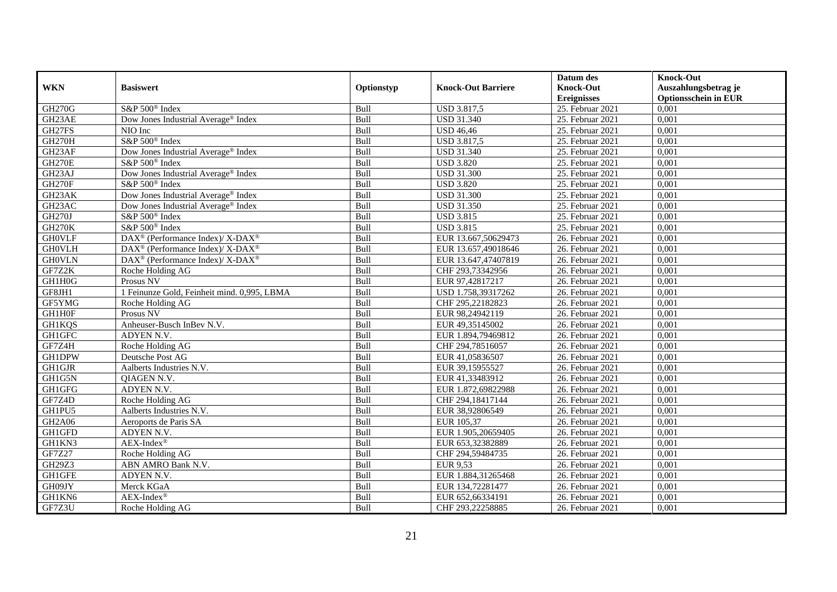|                     |                                                             |            |                           | Datum des          | <b>Knock-Out</b>            |
|---------------------|-------------------------------------------------------------|------------|---------------------------|--------------------|-----------------------------|
| <b>WKN</b>          | <b>Basiswert</b>                                            | Optionstyp | <b>Knock-Out Barriere</b> | <b>Knock-Out</b>   | Auszahlungsbetrag je        |
|                     |                                                             |            |                           | <b>Ereignisses</b> | <b>Optionsschein in EUR</b> |
| <b>GH270G</b>       | S&P 500 <sup>®</sup> Index                                  | Bull       | <b>USD 3.817,5</b>        | 25. Februar 2021   | 0,001                       |
| GH23AE              | Dow Jones Industrial Average® Index                         | Bull       | <b>USD 31.340</b>         | 25. Februar 2021   | 0,001                       |
| GH27FS              | NIO Inc                                                     | Bull       | <b>USD 46,46</b>          | 25. Februar 2021   | 0,001                       |
| <b>GH270H</b>       | S&P 500 <sup>®</sup> Index                                  | Bull       | <b>USD 3.817,5</b>        | 25. Februar 2021   | 0,001                       |
| GH23AF              | Dow Jones Industrial Average® Index                         | Bull       | <b>USD 31.340</b>         | 25. Februar 2021   | 0,001                       |
| <b>GH270E</b>       | S&P 500 <sup>®</sup> Index                                  | Bull       | <b>USD 3.820</b>          | 25. Februar 2021   | 0,001                       |
| GH <sub>23</sub> AJ | Dow Jones Industrial Average® Index                         | Bull       | <b>USD 31.300</b>         | 25. Februar 2021   | 0,001                       |
| <b>GH270F</b>       | S&P 500 <sup>®</sup> Index                                  | Bull       | <b>USD 3.820</b>          | 25. Februar 2021   | 0,001                       |
| GH23AK              | Dow Jones Industrial Average® Index                         | Bull       | <b>USD 31.300</b>         | 25. Februar 2021   | 0,001                       |
| GH23AC              | Dow Jones Industrial Average® Index                         | Bull       | <b>USD 31.350</b>         | 25. Februar 2021   | 0,001                       |
| <b>GH270J</b>       | S&P 500 <sup>®</sup> Index                                  | Bull       | <b>USD 3.815</b>          | 25. Februar 2021   | 0,001                       |
| <b>GH270K</b>       | S&P 500 <sup>®</sup> Index                                  | Bull       | <b>USD 3.815</b>          | 25. Februar 2021   | 0,001                       |
| <b>GHOVLF</b>       | DAX <sup>®</sup> (Performance Index)/ X-DAX <sup>®</sup>    | Bull       | EUR 13.667,50629473       | 26. Februar 2021   | 0,001                       |
| <b>GH0VLH</b>       | $DAX^{\circledcirc}$ (Performance Index)/X-DAX <sup>®</sup> | Bull       | EUR 13.657,49018646       | 26. Februar 2021   | 0.001                       |
| <b>GH0VLN</b>       | DAX <sup>®</sup> (Performance Index)/ X-DAX <sup>®</sup>    | Bull       | EUR 13.647,47407819       | 26. Februar 2021   | 0,001                       |
| GF7Z2K              | Roche Holding AG                                            | Bull       | CHF 293,73342956          | 26. Februar 2021   | 0,001                       |
| GH1H0G              | Prosus NV                                                   | Bull       | EUR 97,42817217           | $26.$ Februar 2021 | 0,001                       |
| GF8JH1              | 1 Feinunze Gold, Feinheit mind. 0,995, LBMA                 | Bull       | USD 1.758,39317262        | $26.$ Februar 2021 | 0,001                       |
| GF5YMG              | Roche Holding AG                                            | Bull       | CHF 295,22182823          | 26. Februar 2021   | 0,001                       |
| GH1H0F              | Prosus NV                                                   | Bull       | EUR 98,24942119           | 26. Februar 2021   | 0,001                       |
| <b>GH1KQS</b>       | Anheuser-Busch InBev N.V.                                   | Bull       | EUR 49,35145002           | 26. Februar 2021   | 0,001                       |
| <b>GH1GFC</b>       | ADYEN N.V.                                                  | Bull       | EUR 1.894,79469812        | 26. Februar 2021   | 0,001                       |
| GF7Z4H              | Roche Holding AG                                            | Bull       | CHF 294,78516057          | 26. Februar 2021   | 0,001                       |
| <b>GH1DPW</b>       | Deutsche Post AG                                            | Bull       | EUR 41,05836507           | 26. Februar 2021   | 0,001                       |
| <b>GH1GJR</b>       | Aalberts Industries N.V.                                    | Bull       | EUR 39,15955527           | 26. Februar 2021   | 0,001                       |
| GH1G5N              | QIAGEN N.V.                                                 | Bull       | EUR 41,33483912           | 26. Februar 2021   | 0,001                       |
| <b>GH1GFG</b>       | ADYEN N.V.                                                  | Bull       | EUR 1.872,69822988        | 26. Februar 2021   | 0,001                       |
| GF7Z4D              | Roche Holding AG                                            | Bull       | CHF 294,18417144          | 26. Februar 2021   | 0,001                       |
| GH1PU5              | Aalberts Industries N.V.                                    | Bull       | EUR 38,92806549           | 26. Februar 2021   | 0,001                       |
| GH2A06              | Aeroports de Paris SA                                       | Bull       | EUR 105,37                | 26. Februar 2021   | 0,001                       |
| GH1GFD              | ADYEN N.V.                                                  | Bull       | EUR 1.905,20659405        | 26. Februar 2021   | 0,001                       |
| GH1KN3              | $AEX-Index^{\circledR}$                                     | Bull       | EUR 653,32382889          | 26. Februar 2021   | 0,001                       |
| <b>GF7Z27</b>       | Roche Holding AG                                            | Bull       | CHF 294,59484735          | 26. Februar 2021   | 0,001                       |
| GH29Z3              | ABN AMRO Bank N.V.                                          | Bull       | EUR 9,53                  | 26. Februar 2021   | 0,001                       |
| GH1GFE              | ADYEN N.V.                                                  | Bull       | EUR 1.884,31265468        | 26. Februar 2021   | 0,001                       |
| GH09JY              | Merck KGaA                                                  | Bull       | EUR 134,72281477          | 26. Februar 2021   | 0,001                       |
| GH1KN6              | $AEX-Index^{\circledR}$                                     | Bull       | EUR 652,66334191          | 26. Februar 2021   | 0,001                       |
| GF7Z3U              | Roche Holding AG                                            | Bull       | CHF 293,22258885          | 26. Februar 2021   | 0,001                       |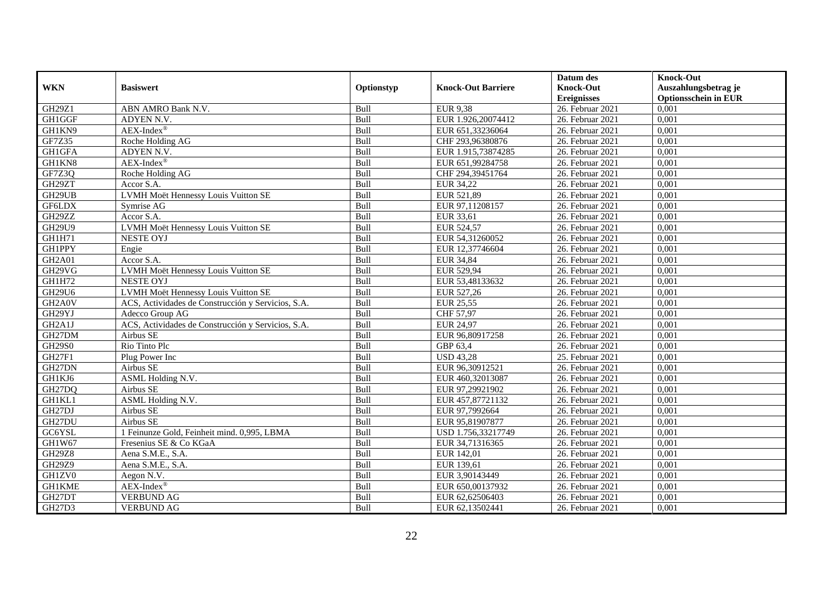|                                  |                                                    |             |                           | Datum des          | <b>Knock-Out</b>            |
|----------------------------------|----------------------------------------------------|-------------|---------------------------|--------------------|-----------------------------|
| <b>WKN</b>                       | <b>Basiswert</b>                                   | Optionstyp  | <b>Knock-Out Barriere</b> | <b>Knock-Out</b>   | Auszahlungsbetrag je        |
|                                  |                                                    |             |                           | <b>Ereignisses</b> | <b>Optionsschein in EUR</b> |
| GH29Z1                           | ABN AMRO Bank N.V.                                 | Bull        | <b>EUR 9,38</b>           | 26. Februar 2021   | 0,001                       |
| <b>GH1GGF</b>                    | ADYEN N.V.                                         | Bull        | EUR 1.926,20074412        | 26. Februar 2021   | 0,001                       |
| GH1KN9                           | $AEX-Index^{\circledR}$                            | Bull        | EUR 651,33236064          | $26.$ Februar 2021 | 0,001                       |
| GF7Z35                           | Roche Holding AG                                   | Bull        | CHF 293,96380876          | 26. Februar 2021   | 0.001                       |
| <b>GH1GFA</b>                    | ADYEN N.V.                                         | Bull        | EUR 1.915,73874285        | 26. Februar 2021   | 0,001                       |
| GH1KN8                           | $AEX-Index^{\circledR}$                            | Bull        | EUR 651,99284758          | 26. Februar 2021   | 0,001                       |
| GF7Z3Q                           | Roche Holding AG                                   | Bull        | CHF 294,39451764          | 26. Februar 2021   | 0,001                       |
| GH29ZT                           | Accor S.A.                                         | Bull        | EUR 34,22                 | 26. Februar 2021   | 0,001                       |
| GH29UB                           | LVMH Moët Hennessy Louis Vuitton SE                | Bull        | EUR 521,89                | 26. Februar 2021   | 0,001                       |
| GF6LDX                           | Symrise AG                                         | Bull        | EUR 97,11208157           | 26. Februar 2021   | 0,001                       |
| GH29ZZ                           | Accor S.A.                                         | Bull        | EUR 33,61                 | 26. Februar 2021   | 0,001                       |
| GH29U9                           | LVMH Moët Hennessy Louis Vuitton SE                | Bull        | EUR 524,57                | 26. Februar 2021   | 0,001                       |
| <b>GH1H71</b>                    | <b>NESTE OYJ</b>                                   | Bull        | EUR 54,31260052           | 26. Februar 2021   | 0,001                       |
| <b>GH1PPY</b>                    | Engie                                              | Bull        | EUR 12,37746604           | 26. Februar 2021   | 0,001                       |
| <b>GH2A01</b>                    | Accor S.A.                                         | Bull        | <b>EUR 34,84</b>          | 26. Februar 2021   | 0,001                       |
| GH29VG                           | LVMH Moët Hennessy Louis Vuitton SE                | Bull        | EUR 529,94                | 26. Februar 2021   | 0,001                       |
| GH1H72                           | <b>NESTE OYJ</b>                                   | Bull        | EUR 53,48133632           | 26. Februar 2021   | 0,001                       |
| GH29U6                           | LVMH Moët Hennessy Louis Vuitton SE                | <b>Bull</b> | EUR 527,26                | 26. Februar 2021   | 0,001                       |
| GH <sub>2</sub> A0V              | ACS, Actividades de Construcción y Servicios, S.A. | Bull        | <b>EUR 25,55</b>          | 26. Februar 2021   | 0,001                       |
| GH29YJ                           | Adecco Group AG                                    | Bull        | CHF 57,97                 | 26. Februar 2021   | 0,001                       |
| GH <sub>2</sub> A <sub>1</sub> J | ACS, Actividades de Construcción y Servicios, S.A. | Bull        | <b>EUR 24,97</b>          | 26. Februar 2021   | 0,001                       |
| GH27DM                           | Airbus SE                                          | Bull        | EUR 96,80917258           | 26. Februar 2021   | 0,001                       |
| GH29S0                           | Rio Tinto Plc                                      | Bull        | GBP 63,4                  | 26. Februar 2021   | 0,001                       |
| GH27F1                           | Plug Power Inc                                     | Bull        | <b>USD 43,28</b>          | 25. Februar 2021   | 0,001                       |
| GH27DN                           | Airbus SE                                          | Bull        | EUR 96,30912521           | 26. Februar 2021   | 0.001                       |
| GH1KJ6                           | ASML Holding N.V.                                  | Bull        | EUR 460,32013087          | 26. Februar 2021   | 0,001                       |
| GH27DQ                           | Airbus SE                                          | Bull        | EUR 97,29921902           | 26. Februar 2021   | 0,001                       |
| GH1KL1                           | ASML Holding N.V.                                  | Bull        | EUR 457,87721132          | $26.$ Februar 2021 | 0,001                       |
| GH27DJ                           | Airbus SE                                          | Bull        | EUR 97,7992664            | $26.$ Februar 2021 | 0,001                       |
| GH27DU                           | Airbus SE                                          | Bull        | EUR 95,81907877           | 26. Februar 2021   | 0,001                       |
| GC6YSL                           | 1 Feinunze Gold, Feinheit mind. 0,995, LBMA        | Bull        | USD 1.756,33217749        | 26. Februar 2021   | 0,001                       |
| GH1W67                           | Fresenius SE & Co KGaA                             | <b>Bull</b> | EUR 34,71316365           | 26. Februar 2021   | 0.001                       |
| <b>GH29Z8</b>                    | Aena S.M.E., S.A.                                  | Bull        | EUR 142,01                | 26. Februar 2021   | 0,001                       |
| GH29Z9                           | Aena S.M.E., S.A.                                  | Bull        | EUR 139,61                | 26. Februar 2021   | 0,001                       |
| GH1ZV0                           | Aegon N.V.                                         | Bull        | EUR 3,90143449            | 26. Februar 2021   | 0,001                       |
| <b>GH1KME</b>                    | $AEX-Index^{\circledR}$                            | Bull        | EUR 650,00137932          | 26. Februar 2021   | 0,001                       |
| GH27DT                           | <b>VERBUND AG</b>                                  | Bull        | EUR 62,62506403           | 26. Februar 2021   | 0,001                       |
| GH27D3                           | <b>VERBUND AG</b>                                  | Bull        | EUR 62,13502441           | 26. Februar 2021   | 0,001                       |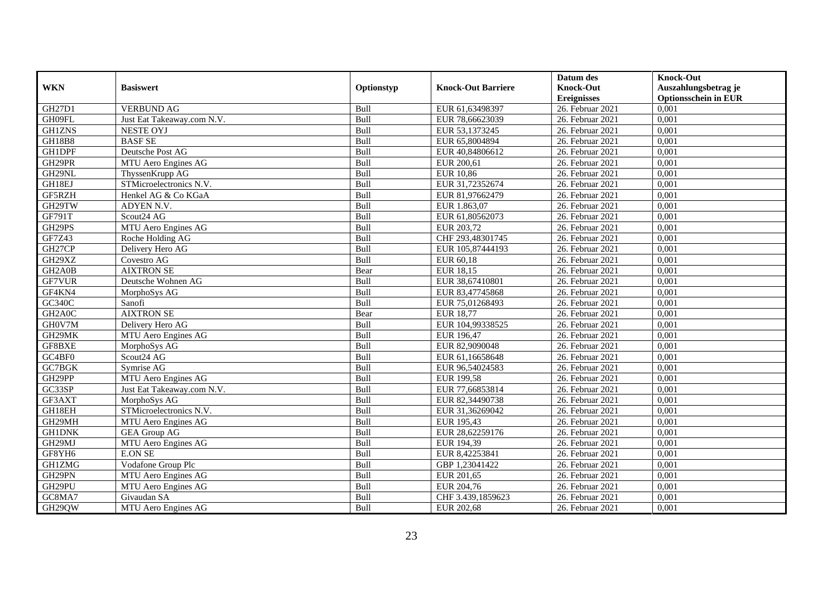|                     |                            |            |                           | Datum des          | <b>Knock-Out</b>            |
|---------------------|----------------------------|------------|---------------------------|--------------------|-----------------------------|
| <b>WKN</b>          | <b>Basiswert</b>           | Optionstyp | <b>Knock-Out Barriere</b> | <b>Knock-Out</b>   | Auszahlungsbetrag je        |
|                     |                            |            |                           | <b>Ereignisses</b> | <b>Optionsschein in EUR</b> |
| GH27D1              | <b>VERBUND AG</b>          | Bull       | EUR 61,63498397           | 26. Februar 2021   | 0,001                       |
| GH09FL              | Just Eat Takeaway.com N.V. | Bull       | EUR 78,66623039           | 26. Februar 2021   | 0,001                       |
| <b>GH1ZNS</b>       | <b>NESTE OYJ</b>           | Bull       | EUR 53,1373245            | 26. Februar 2021   | 0,001                       |
| <b>GH18B8</b>       | <b>BASF SE</b>             | Bull       | EUR 65,8004894            | 26. Februar 2021   | 0,001                       |
| <b>GH1DPF</b>       | Deutsche Post AG           | Bull       | EUR 40,84806612           | 26. Februar 2021   | 0,001                       |
| GH29PR              | MTU Aero Engines AG        | Bull       | EUR 200,61                | 26. Februar 2021   | 0,001                       |
| GH29NL              | ThyssenKrupp AG            | Bull       | <b>EUR 10,86</b>          | 26. Februar 2021   | 0,001                       |
| GH18EJ              | STMicroelectronics N.V.    | Bull       | EUR 31,72352674           | 26. Februar 2021   | 0,001                       |
| GF5RZH              | Henkel AG & Co KGaA        | Bull       | EUR 81,97662479           | 26. Februar 2021   | 0,001                       |
| GH29TW              | ADYEN N.V.                 | Bull       | EUR 1.863,07              | 26. Februar 2021   | 0,001                       |
| GF791T              | Scout <sub>24</sub> AG     | Bull       | EUR 61,80562073           | 26. Februar 2021   | 0,001                       |
| GH29PS              | MTU Aero Engines AG        | Bull       | EUR 203,72                | 26. Februar 2021   | 0,001                       |
| <b>GF7Z43</b>       | Roche Holding AG           | Bull       | CHF 293,48301745          | 26. Februar 2021   | 0.001                       |
| GH27CP              | Delivery Hero AG           | Bull       | EUR 105,87444193          | 26. Februar 2021   | 0,001                       |
| GH29XZ              | Covestro AG                | Bull       | EUR 60,18                 | 26. Februar 2021   | 0,001                       |
| GH2A0B              | <b>AIXTRON SE</b>          | Bear       | <b>EUR 18,15</b>          | 26. Februar 2021   | 0,001                       |
| GF7VUR              | Deutsche Wohnen AG         | Bull       | EUR 38,67410801           | 26. Februar 2021   | 0,001                       |
| GF4KN4              | MorphoSys AG               | Bull       | EUR 83,47745868           | 26. Februar 2021   | 0,001                       |
| GC340C              | Sanofi                     | Bull       | EUR 75,01268493           | 26. Februar 2021   | 0,001                       |
| GH <sub>2</sub> A0C | <b>AIXTRON SE</b>          | Bear       | <b>EUR 18,77</b>          | 26. Februar 2021   | 0,001                       |
| GH0V7M              | Delivery Hero AG           | Bull       | EUR 104,99338525          | 26. Februar 2021   | 0,001                       |
| GH29MK              | MTU Aero Engines AG        | Bull       | EUR 196,47                | 26. Februar 2021   | 0,001                       |
| GF8BXE              | MorphoSys AG               | Bull       | EUR 82,9090048            | 26. Februar 2021   | 0,001                       |
| GC4BF0              | Scout24 AG                 | Bull       | EUR 61,16658648           | 26. Februar 2021   | 0,001                       |
| GC7BGK              | Symrise AG                 | Bull       | EUR 96,54024583           | 26. Februar 2021   | 0,001                       |
| GH29PP              | MTU Aero Engines AG        | Bull       | EUR 199,58                | 26. Februar 2021   | 0,001                       |
| GC33SP              | Just Eat Takeaway.com N.V. | Bull       | EUR 77,66853814           | 26. Februar 2021   | 0,001                       |
| GF3AXT              | MorphoSys AG               | Bull       | EUR 82,34490738           | 26. Februar 2021   | 0.001                       |
| GH18EH              | STMicroelectronics N.V.    | Bull       | EUR 31,36269042           | 26. Februar 2021   | 0,001                       |
| GH29MH              | MTU Aero Engines AG        | Bull       | EUR 195,43                | 26. Februar 2021   | 0,001                       |
| <b>GH1DNK</b>       | <b>GEA Group AG</b>        | Bull       | EUR 28,62259176           | 26. Februar 2021   | 0,001                       |
| GH29MJ              | MTU Aero Engines AG        | Bull       | EUR 194,39                | 26. Februar 2021   | 0,001                       |
| GF8YH6              | <b>E.ON SE</b>             | Bull       | EUR 8,42253841            | 26. Februar 2021   | 0,001                       |
| <b>GH1ZMG</b>       | Vodafone Group Plc         | Bull       | GBP 1,23041422            | 26. Februar 2021   | 0,001                       |
| GH29PN              | MTU Aero Engines AG        | Bull       | EUR 201,65                | 26. Februar 2021   | 0,001                       |
| GH29PU              | MTU Aero Engines AG        | Bull       | EUR 204,76                | 26. Februar 2021   | 0,001                       |
| GC8MA7              | Givaudan SA                | Bull       | CHF 3.439,1859623         | 26. Februar 2021   | 0,001                       |
| GH29QW              | MTU Aero Engines AG        | Bull       | EUR 202,68                | 26. Februar 2021   | 0,001                       |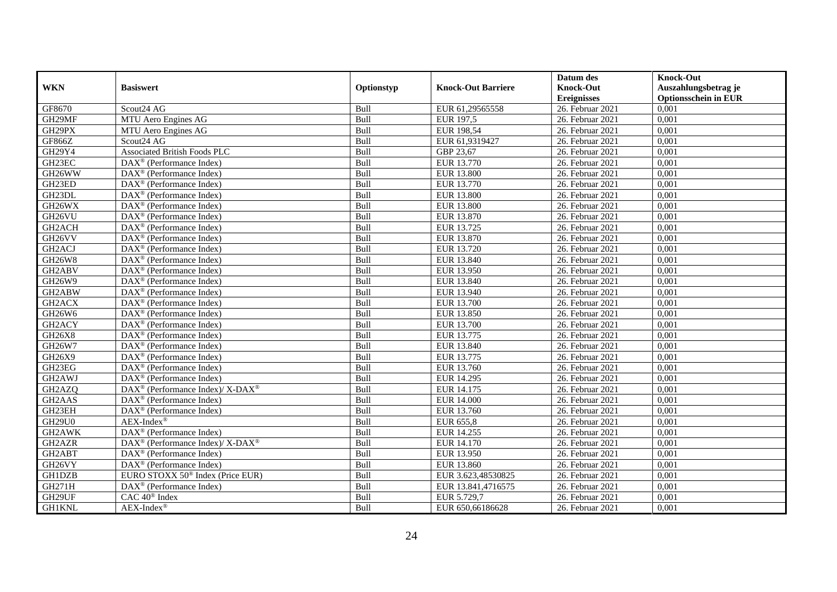|                     |                                                                  |            |                           | Datum des          | <b>Knock-Out</b>            |
|---------------------|------------------------------------------------------------------|------------|---------------------------|--------------------|-----------------------------|
| <b>WKN</b>          | <b>Basiswert</b>                                                 | Optionstyp | <b>Knock-Out Barriere</b> | <b>Knock-Out</b>   | Auszahlungsbetrag je        |
|                     |                                                                  |            |                           | <b>Ereignisses</b> | <b>Optionsschein in EUR</b> |
| GF8670              | Scout24 AG                                                       | Bull       | EUR 61,29565558           | 26. Februar 2021   | 0,001                       |
| GH29MF              | MTU Aero Engines AG                                              | Bull       | EUR 197,5                 | 26. Februar 2021   | 0,001                       |
| GH29PX              | MTU Aero Engines AG                                              | Bull       | EUR 198,54                | 26. Februar 2021   | 0,001                       |
| GF866Z              | Scout24 AG                                                       | Bull       | EUR 61,9319427            | 26. Februar 2021   | 0,001                       |
| GH29Y4              | <b>Associated British Foods PLC</b>                              | Bull       | GBP 23,67                 | 26. Februar 2021   | 0,001                       |
| GH23EC              | $\text{DAX}^{\textcircled{p}}$ (Performance Index)               | Bull       | EUR 13.770                | $26.$ Februar 2021 | 0,001                       |
| GH26WW              | $\overline{\text{DAX}}^{\textcirc}$ (Performance Index)          | Bull       | <b>EUR 13.800</b>         | 26. Februar 2021   | 0,001                       |
| GH23ED              | $\text{DAX}^{\textcircled{}}$ (Performance Index)                | Bull       | EUR 13.770                | 26. Februar 2021   | 0,001                       |
| GH23DL              | $\text{DAX}^{\textcircled{D}}$ (Performance Index)               | Bull       | <b>EUR 13.800</b>         | 26. Februar 2021   | 0,001                       |
| GH26WX              | DAX <sup>®</sup> (Performance Index)                             | Bull       | <b>EUR 13.800</b>         | 26. Februar 2021   | 0,001                       |
| GH <sub>26</sub> VU | DAX <sup>®</sup> (Performance Index)                             | Bull       | <b>EUR 13.870</b>         | 26. Februar 2021   | 0,001                       |
| GH <sub>2</sub> ACH | DAX <sup>®</sup> (Performance Index)                             | Bull       | EUR 13.725                | 26. Februar 2021   | 0,001                       |
| GH26VV              | $\text{DAX}^{\circledast}$ (Performance Index)                   | Bull       | EUR 13.870                | 26. Februar 2021   | 0,001                       |
| GH <sub>2</sub> ACJ | $DAX^{\circledR}$ (Performance Index)                            | Bull       | EUR 13.720                | 26. Februar 2021   | 0,001                       |
| <b>GH26W8</b>       | DAX <sup>®</sup> (Performance Index)                             | Bull       | EUR 13.840                | 26. Februar 2021   | 0,001                       |
| GH2ABV              | DAX <sup>®</sup> (Performance Index)                             | Bull       | EUR 13.950                | 26. Februar 2021   | 0,001                       |
| GH26W9              | $\text{DAX}^{\textcircled{p}}$ (Performance Index)               | Bull       | EUR 13.840                | 26. Februar 2021   | 0,001                       |
| GH2ABW              | $\overline{\text{DAX}^{\otimes}}$ (Performance Index)            | Bull       | EUR 13.940                | 26. Februar 2021   | 0,001                       |
| GH2ACX              | $\text{DAX}^{\textcircled{n}}$ (Performance Index)               | Bull       | EUR 13.700                | 26. Februar 2021   | 0,001                       |
| GH26W6              | $\text{DAX}^{\textcircled{n}}$ (Performance Index)               | Bull       | EUR 13.850                | 26. Februar 2021   | 0,001                       |
| GH2ACY              | DAX <sup>®</sup> (Performance Index)                             | Bull       | EUR 13.700                | 26. Februar 2021   | 0,001                       |
| GH26X8              | $\overline{\text{DAX}}^{\textcirc}$ (Performance Index)          | Bull       | EUR 13.775                | 26. Februar 2021   | 0.001                       |
| GH26W7              | DAX <sup>®</sup> (Performance Index)                             | Bull       | EUR 13.840                | 26. Februar 2021   | 0,001                       |
| GH26X9              | $\text{DAX}^{\textcircled{p}}$ (Performance Index)               | Bull       | EUR 13.775                | 26. Februar 2021   | 0,001                       |
| GH23EG              | $\text{DAX}^{\textcircled{D}}$ (Performance Index)               | Bull       | EUR 13.760                | 26. Februar 2021   | 0,001                       |
| GH2AWJ              | $\text{DAX}^{\textcircled{n}}$ (Performance Index)               | Bull       | EUR 14.295                | 26. Februar 2021   | 0,001                       |
| GH2AZQ              | $\text{DAX}^{\circledR}$ (Performance Index)/ X-DAX <sup>®</sup> | Bull       | EUR 14.175                | 26. Februar 2021   | 0,001                       |
| GH2AAS              | $DAX^{\circledR}$ (Performance Index)                            | Bull       | <b>EUR 14.000</b>         | $26.$ Februar 2021 | 0,001                       |
| GH23EH              | $\overline{\text{DAX}}^{\textcircled{}}$ (Performance Index)     | Bull       | EUR 13.760                | 26. Februar 2021   | 0,001                       |
| <b>GH29U0</b>       | $AEX-Index^{\circledR}$                                          | Bull       | EUR 655,8                 | 26. Februar 2021   | 0.001                       |
| GH2AWK              | $\text{DAX}^{\textcircled{D}}$ (Performance Index)               | Bull       | EUR 14.255                | 26. Februar 2021   | 0,001                       |
| GH <sub>2</sub> AZR | $DAX^{\circledcirc}$ (Performance Index)/X-DAX <sup>®</sup>      | Bull       | EUR 14.170                | $26.$ Februar 2021 | 0,001                       |
| GH2ABT              | $\overline{\text{DAX}^{\otimes}}$ (Performance Index)            | Bull       | EUR 13.950                | 26. Februar 2021   | 0,001                       |
| GH <sub>26</sub> VY | DAX <sup>®</sup> (Performance Index)                             | Bull       | EUR 13.860                | 26. Februar 2021   | 0,001                       |
| <b>GH1DZB</b>       | EURO STOXX 50 <sup>®</sup> Index (Price EUR)                     | Bull       | EUR 3.623,48530825        | 26. Februar 2021   | 0,001                       |
| GH271H              | $\text{DAX}^{\textcircled{n}}$ (Performance Index)               | Bull       | EUR 13.841,4716575        | 26. Februar 2021   | 0,001                       |
| GH29UF              | CAC 40 <sup>®</sup> Index                                        | Bull       | EUR 5.729,7               | 26. Februar 2021   | 0,001                       |
| <b>GH1KNL</b>       | $AEX-Index^{\circledR}$                                          | Bull       | EUR 650,66186628          | 26. Februar 2021   | 0,001                       |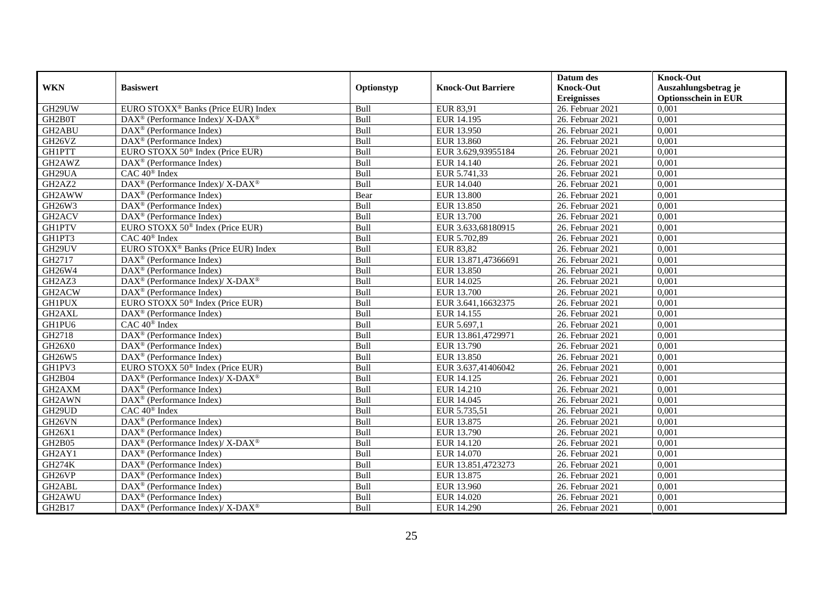|                                 |                                                                  |            |                           | Datum des          | <b>Knock-Out</b>            |
|---------------------------------|------------------------------------------------------------------|------------|---------------------------|--------------------|-----------------------------|
| <b>WKN</b>                      | <b>Basiswert</b>                                                 | Optionstyp | <b>Knock-Out Barriere</b> | <b>Knock-Out</b>   | Auszahlungsbetrag je        |
|                                 |                                                                  |            |                           | <b>Ereignisses</b> | <b>Optionsschein in EUR</b> |
| GH29UW                          | EURO STOXX <sup>®</sup> Banks (Price EUR) Index                  | Bull       | EUR 83,91                 | 26. Februar 2021   | 0,001                       |
| GH2B0T                          | $DAX^{\circledcirc}$ (Performance Index)/X-DAX <sup>®</sup>      | Bull       | EUR 14.195                | 26. Februar 2021   | 0,001                       |
| GH2ABU                          | $\text{DAX}^{\textcircled{n}}$ (Performance Index)               | Bull       | EUR 13.950                | 26. Februar 2021   | 0,001                       |
| GH26VZ                          | $\text{DAX}^{\textcircled{n}}$ (Performance Index)               | Bull       | EUR 13.860                | 26. Februar 2021   | 0,001                       |
| <b>GH1PTT</b>                   | EURO STOXX 50 <sup>®</sup> Index (Price EUR)                     | Bull       | EUR 3.629,93955184        | 26. Februar 2021   | 0,001                       |
| GH2AWZ                          | $\text{DAX}^{\textcircled{D}}$ (Performance Index)               | Bull       | EUR 14.140                | $26.$ Februar 2021 | 0,001                       |
| GH29UA                          | $CAC 40^{\circledast}$ Index                                     | Bull       | EUR 5.741,33              | 26. Februar 2021   | 0,001                       |
| GH <sub>2</sub> AZ <sub>2</sub> | DAX <sup>®</sup> (Performance Index)/ X-DAX <sup>®</sup>         | Bull       | <b>EUR 14.040</b>         | 26. Februar 2021   | 0,001                       |
| GH2AWW                          | $\text{DAX}^{\textcircled{D}}$ (Performance Index)               | Bear       | <b>EUR 13.800</b>         | 26. Februar 2021   | 0,001                       |
| GH26W3                          | DAX <sup>®</sup> (Performance Index)                             | Bull       | EUR 13.850                | 26. Februar 2021   | 0,001                       |
| GH2ACV                          | DAX <sup>®</sup> (Performance Index)                             | Bull       | EUR 13.700                | 26. Februar 2021   | 0,001                       |
| <b>GH1PTV</b>                   | EURO STOXX 50 <sup>®</sup> Index (Price EUR)                     | Bull       | EUR 3.633,68180915        | 26. Februar 2021   | 0,001                       |
| GH1PT3                          | CAC 40 <sup>®</sup> Index                                        | Bull       | EUR 5.702,89              | 26. Februar 2021   | 0,001                       |
| GH29UV                          | EURO STOXX <sup>®</sup> Banks (Price EUR) Index                  | Bull       | EUR 83,82                 | 26. Februar 2021   | 0,001                       |
| GH2717                          | DAX <sup>®</sup> (Performance Index)                             | Bull       | EUR 13.871,47366691       | 26. Februar 2021   | 0,001                       |
| GH26W4                          | DAX <sup>®</sup> (Performance Index)                             | Bull       | <b>EUR 13.850</b>         | 26. Februar 2021   | 0,001                       |
| GH <sub>2</sub> AZ <sub>3</sub> | DAX <sup>®</sup> (Performance Index)/X-DAX <sup>®</sup>          | Bull       | EUR 14.025                | 26. Februar 2021   | 0,001                       |
| GH <sub>2</sub> ACW             | $\overline{\text{DAX}^{\otimes}}$ (Performance Index)            | Bull       | EUR 13.700                | $26.$ Februar 2021 | 0,001                       |
| <b>GH1PUX</b>                   | EURO STOXX 50 <sup>®</sup> Index (Price EUR)                     | Bull       | EUR 3.641,16632375        | 26. Februar 2021   | 0,001                       |
| GH2AXL                          | $\text{DAX}^{\textcircled{n}}$ (Performance Index)               | Bull       | EUR 14.155                | 26. Februar 2021   | 0,001                       |
| GH1PU6                          | CAC 40 <sup>®</sup> Index                                        | Bull       | EUR 5.697,1               | 26. Februar 2021   | 0,001                       |
| GH2718                          | DAX <sup>®</sup> (Performance Index)                             | Bull       | EUR 13.861,4729971        | 26. Februar 2021   | 0.001                       |
| <b>GH26X0</b>                   | DAX <sup>®</sup> (Performance Index)                             | Bull       | EUR 13.790                | 26. Februar 2021   | 0,001                       |
| GH26W5                          | $\text{DAX}^{\textcircled{p}}$ (Performance Index)               | Bull       | <b>EUR 13.850</b>         | 26. Februar 2021   | 0,001                       |
| GH1PV3                          | EURO STOXX 50 <sup>®</sup> Index (Price EUR)                     | Bull       | EUR 3.637,41406042        | 26. Februar 2021   | 0,001                       |
| GH2B04                          | $\text{DAX}^{\circledR}$ (Performance Index)/ X-DAX <sup>®</sup> | Bull       | EUR 14.125                | 26. Februar 2021   | 0,001                       |
| GH2AXM                          | DAX <sup>®</sup> (Performance Index)                             | Bull       | EUR 14.210                | 26. Februar 2021   | 0,001                       |
| GH2AWN                          | DAX <sup>®</sup> (Performance Index)                             | Bull       | EUR 14.045                | $26.$ Februar 2021 | 0,001                       |
| GH29UD                          | CAC 40 <sup>®</sup> Index                                        | Bull       | EUR 5.735,51              | 26. Februar 2021   | 0,001                       |
| GH26VN                          | $DAX^{\circledR}$ (Performance Index)                            | Bull       | EUR 13.875                | 26. Februar 2021   | 0.001                       |
| GH26X1                          | $\text{DAX}^{\textcircled{p}}$ (Performance Index)               | Bull       | EUR 13.790                | 26. Februar 2021   | 0,001                       |
| <b>GH2B05</b>                   | $DAX^{\circledcirc}$ (Performance Index)/X-DAX <sup>®</sup>      | Bull       | EUR 14.120                | 26. Februar 2021   | 0,001                       |
| GH <sub>2</sub> AY <sub>1</sub> | $\overline{\text{DAX}^{\otimes}}$ (Performance Index)            | Bull       | EUR 14.070                | 26. Februar 2021   | 0,001                       |
| <b>GH274K</b>                   | DAX <sup>®</sup> (Performance Index)                             | Bull       | EUR 13.851,4723273        | 26. Februar 2021   | 0,001                       |
| GH <sub>26</sub> VP             | DAX <sup>®</sup> (Performance Index)                             | Bull       | EUR 13.875                | 26. Februar 2021   | 0,001                       |
| GH2ABL                          | DAX <sup>®</sup> (Performance Index)                             | Bull       | EUR 13.960                | 26. Februar 2021   | 0,001                       |
| GH2AWU                          | $\text{DAX}^{\circledast}$ (Performance Index)                   | Bull       | EUR 14.020                | 26. Februar 2021   | 0,001                       |
| GH2B17                          | $\text{DAX}^{\circledR}$ (Performance Index)/ X-DAX <sup>®</sup> | Bull       | EUR 14.290                | 26. Februar 2021   | 0,001                       |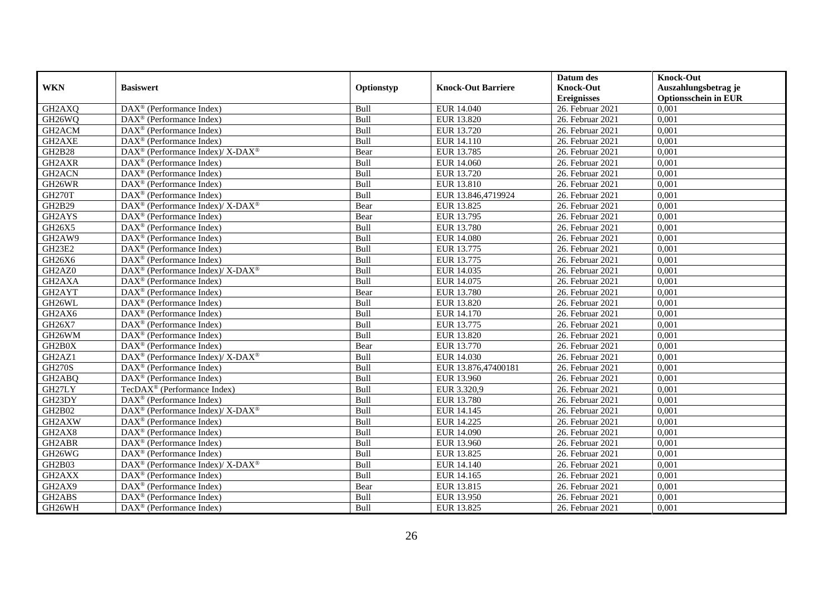|                                 |                                                                  |            |                           | Datum des          | <b>Knock-Out</b>            |
|---------------------------------|------------------------------------------------------------------|------------|---------------------------|--------------------|-----------------------------|
| <b>WKN</b>                      | <b>Basiswert</b>                                                 | Optionstyp | <b>Knock-Out Barriere</b> | <b>Knock-Out</b>   | Auszahlungsbetrag je        |
|                                 |                                                                  |            |                           | <b>Ereignisses</b> | <b>Optionsschein in EUR</b> |
| GH2AXQ                          | DAX <sup>®</sup> (Performance Index)                             | Bull       | <b>EUR 14.040</b>         | 26. Februar 2021   | 0,001                       |
| GH26WO                          | $\text{DAX}^{\textcircled{p}}$ (Performance Index)               | Bull       | <b>EUR 13.820</b>         | 26. Februar 2021   | 0,001                       |
| GH <sub>2</sub> ACM             | DAX <sup>®</sup> (Performance Index)                             | Bull       | EUR 13.720                | 26. Februar 2021   | 0,001                       |
| GH2AXE                          | $\text{DAX}^{\circledast}$ (Performance Index)                   | Bull       | EUR 14.110                | 26. Februar 2021   | 0,001                       |
| <b>GH2B28</b>                   | $\text{DAX}^{\circledR}$ (Performance Index)/ X-DAX <sup>®</sup> | Bear       | EUR 13.785                | 26. Februar 2021   | 0,001                       |
| GH2AXR                          | $\text{DAX}^{\textcircled{n}}$ (Performance Index)               | Bull       | EUR 14.060                | 26. Februar 2021   | 0,001                       |
| GH2ACN                          | $\text{DAX}^{\textcircled{n}}$ (Performance Index)               | Bull       | EUR 13.720                | 26. Februar 2021   | 0,001                       |
| GH26WR                          | $DAX^{\otimes}$ (Performance Index)                              | Bull       | EUR 13.810                | 26. Februar 2021   | 0,001                       |
| <b>GH270T</b>                   | $\text{DAX}^{\textcircled{D}}$ (Performance Index)               | Bull       | EUR 13.846,4719924        | 26. Februar 2021   | 0,001                       |
| GH2B29                          | DAX <sup>®</sup> (Performance Index)/ X-DAX <sup>®</sup>         | Bear       | EUR 13.825                | 26. Februar 2021   | 0,001                       |
| GH <sub>2</sub> AYS             | $\overline{\text{DAX}}^{\textcirc}$ (Performance Index)          | Bear       | EUR 13.795                | 26. Februar 2021   | 0,001                       |
| GH26X5                          | $\overline{\text{DAX}^{\otimes}}$ (Performance Index)            | Bull       | EUR 13.780                | 26. Februar 2021   | 0,001                       |
| GH2AW9                          | $\text{DAX}^{\textcircled{n}}$ (Performance Index)               | Bull       | <b>EUR 14.080</b>         | 26. Februar 2021   | 0,001                       |
| <b>GH23E2</b>                   | DAX <sup>®</sup> (Performance Index)                             | Bull       | EUR 13.775                | 26. Februar 2021   | 0,001                       |
| GH26X6                          | DAX <sup>®</sup> (Performance Index)                             | Bull       | EUR 13.775                | 26. Februar 2021   | 0,001                       |
| GH2AZ0                          | DAX <sup>®</sup> (Performance Index)/ X-DAX <sup>®</sup>         | Bull       | EUR 14.035                | 26. Februar 2021   | 0,001                       |
| GH2AXA                          | DAX <sup>®</sup> (Performance Index)                             | Bull       | EUR 14.075                | 26. Februar 2021   | 0,001                       |
| GH2AYT                          | $DAX^{\circledR}$ (Performance Index)                            | Bear       | EUR 13.780                | 26. Februar 2021   | 0,001                       |
| GH26WL                          | $\overline{\text{DAX}}^{\textcirc}$ (Performance Index)          | Bull       | EUR 13.820                | 26. Februar 2021   | 0,001                       |
| GH <sub>2</sub> AX <sub>6</sub> | DAX <sup>®</sup> (Performance Index)                             | Bull       | EUR 14.170                | 26. Februar 2021   | 0,001                       |
| GH26X7                          | DAX <sup>®</sup> (Performance Index)                             | Bull       | EUR 13.775                | 26. Februar 2021   | 0,001                       |
| GH26WM                          | $\overline{\text{DAX}^{\otimes}}$ (Performance Index)            | Bull       | <b>EUR 13.820</b>         | 26. Februar 2021   | 0,001                       |
| GH2B0X                          | $\text{DAX}^{\circledast}$ (Performance Index)                   | Bear       | EUR 13.770                | 26. Februar 2021   | 0,001                       |
| GH2AZ1                          | $\text{DAX}^{\circledR}$ (Performance Index)/ X-DAX <sup>®</sup> | Bull       | EUR 14.030                | 26. Februar 2021   | 0,001                       |
| <b>GH270S</b>                   | $\text{DAX}^{\textcircled{n}}$ (Performance Index)               | Bull       | EUR 13.876,47400181       | 26. Februar 2021   | 0,001                       |
| GH2ABQ                          | $\text{DAX}^{\otimes}$ (Performance Index)                       | Bull       | EUR 13.960                | 26. Februar 2021   | 0,001                       |
| GH27LY                          | TecDAX <sup>®</sup> (Performance Index)                          | Bull       | EUR 3.320,9               | 26. Februar 2021   | 0,001                       |
| GH23DY                          | $DAX^{\circledR}$ (Performance Index)                            | Bull       | <b>EUR 13.780</b>         | $26.$ Februar 2021 | 0.001                       |
| GH2B02                          | $DAX^{\circledcirc}$ (Performance Index)/X-DAX <sup>®</sup>      | Bull       | EUR 14.145                | 26. Februar 2021   | 0,001                       |
| GH2AXW                          | $\text{DAX}^{\textcircled{D}}$ (Performance Index)               | Bull       | EUR 14.225                | 26. Februar 2021   | 0,001                       |
| GH2AX8                          | DAX <sup>®</sup> (Performance Index)                             | Bull       | <b>EUR 14.090</b>         | 26. Februar 2021   | 0,001                       |
| GH2ABR                          | DAX <sup>®</sup> (Performance Index)                             | Bull       | EUR 13.960                | 26. Februar 2021   | 0,001                       |
| GH26WG                          | $\overline{\text{DAX}^{\otimes}}$ (Performance Index)            | Bull       | EUR 13.825                | 26. Februar 2021   | 0,001                       |
| GH2B03                          | $\text{DAX}^{\circledR}$ (Performance Index)/ X-DAX <sup>®</sup> | Bull       | EUR 14.140                | 26. Februar 2021   | 0,001                       |
| GH2AXX                          | $\text{DAX}^{\textcircled{n}}$ (Performance Index)               | Bull       | EUR 14.165                | 26. Februar 2021   | 0,001                       |
| GH2AX9                          | $\text{DAX}^{\textcircled{n}}$ (Performance Index)               | Bear       | EUR 13.815                | 26. Februar 2021   | 0,001                       |
| GH2ABS                          | $\text{DAX}^{\otimes}$ (Performance Index)                       | Bull       | EUR 13.950                | 26. Februar 2021   | 0,001                       |
| GH26WH                          | $\text{DAX}^{\textcircled{n}}$ (Performance Index)               | Bull       | EUR 13.825                | 26. Februar 2021   | 0,001                       |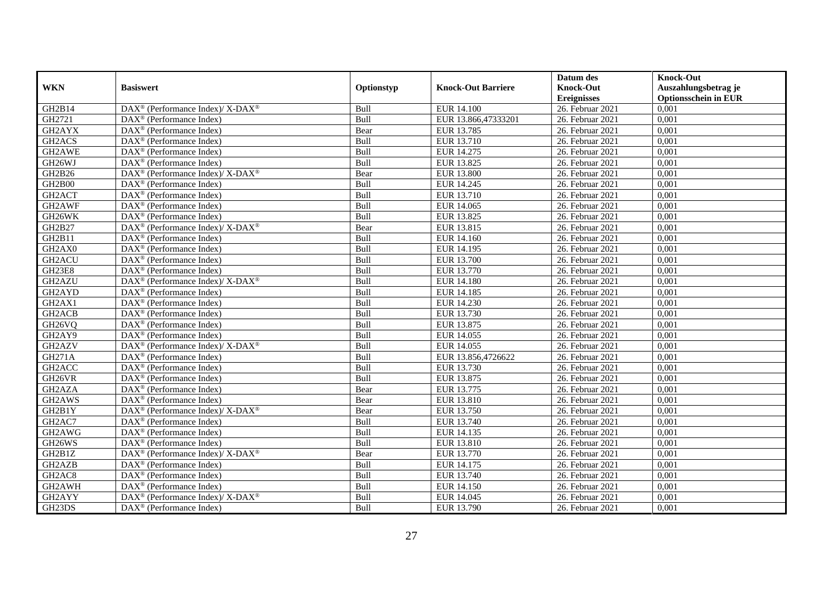|                                 |                                                                    |            |                           | Datum des          | <b>Knock-Out</b>            |
|---------------------------------|--------------------------------------------------------------------|------------|---------------------------|--------------------|-----------------------------|
| <b>WKN</b>                      | <b>Basiswert</b>                                                   | Optionstyp | <b>Knock-Out Barriere</b> | <b>Knock-Out</b>   | Auszahlungsbetrag je        |
|                                 |                                                                    |            |                           | <b>Ereignisses</b> | <b>Optionsschein in EUR</b> |
| GH2B14                          | $\text{DAX}^{\circledR}$ (Performance Index)/ X-DAX <sup>®</sup>   | Bull       | EUR 14.100                | 26. Februar 2021   | 0,001                       |
| GH2721                          | $DAX^{\circledR}$ (Performance Index)                              | Bull       | EUR 13.866,47333201       | 26. Februar 2021   | 0,001                       |
| GH2AYX                          | DAX <sup>®</sup> (Performance Index)                               | Bear       | EUR 13.785                | 26. Februar 2021   | 0,001                       |
| GH <sub>2</sub> ACS             | $\text{DAX}^{\textcircled{n}}$ (Performance Index)                 | Bull       | EUR 13.710                | 26. Februar 2021   | 0,001                       |
| GH2AWE                          | DAX <sup>®</sup> (Performance Index)                               | Bull       | EUR 14.275                | 26. Februar 2021   | 0,001                       |
| GH26WJ                          | $\overline{\text{DAX}}^{\textcircled{}}$ (Performance Index)       | Bull       | EUR 13.825                | 26. Februar 2021   | 0,001                       |
| GH2B26                          | $\text{DAX}^{\circledast}$ (Performance Index)/ X-DAX <sup>®</sup> | Bear       | <b>EUR 13.800</b>         | 26. Februar 2021   | 0,001                       |
| <b>GH2B00</b>                   | $\text{DAX}^{\textcircled{}}$ (Performance Index)                  | Bull       | EUR 14.245                | 26. Februar 2021   | 0,001                       |
| GH <sub>2</sub> ACT             | $\text{DAX}^{\textcircled{p}}$ (Performance Index)                 | Bull       | EUR 13.710                | 26. Februar 2021   | 0,001                       |
| GH2AWF                          | $DAX^{\otimes}$ (Performance Index)                                | Bull       | EUR 14.065                | 26. Februar 2021   | 0,001                       |
| GH26WK                          | $\overline{\text{DAX}}^{\textcirc}$ (Performance Index)            | Bull       | EUR 13.825                | 26. Februar 2021   | 0,001                       |
| GH2B27                          | $\text{DAX}^{\circledR}$ (Performance Index)/ X-DAX <sup>®</sup>   | Bear       | EUR 13.815                | 26. Februar 2021   | 0,001                       |
| GH2B11                          | $\text{DAX}^{\circledast}$ (Performance Index)                     | Bull       | EUR 14.160                | 26. Februar 2021   | 0,001                       |
| GH2AX0                          | DAX <sup>®</sup> (Performance Index)                               | Bull       | EUR 14.195                | 26. Februar 2021   | 0,001                       |
| GH2ACU                          | $\text{DAX}^{\otimes}$ (Performance Index)                         | Bull       | EUR 13.700                | 26. Februar 2021   | 0,001                       |
| <b>GH23E8</b>                   | DAX <sup>®</sup> (Performance Index)                               | Bull       | EUR 13.770                | 26. Februar 2021   | 0,001                       |
| GH2AZU                          | DAX <sup>®</sup> (Performance Index)/X-DAX <sup>®</sup>            | Bull       | <b>EUR 14.180</b>         | 26. Februar 2021   | 0,001                       |
| GH <sub>2</sub> AYD             | $DAX^{\circledR}$ (Performance Index)                              | Bull       | EUR 14.185                | 26. Februar 2021   | 0,001                       |
| GH2AX1                          | $\overline{\text{DAX}}^{\textcircled{}}$ (Performance Index)       | Bull       | EUR 14.230                | 26. Februar 2021   | 0,001                       |
| GH <sub>2</sub> ACB             | DAX <sup>®</sup> (Performance Index)                               | Bull       | EUR 13.730                | 26. Februar 2021   | 0,001                       |
| GH <sub>26</sub> VQ             | DAX <sup>®</sup> (Performance Index)                               | Bull       | EUR 13.875                | 26. Februar 2021   | 0,001                       |
| GH <sub>2</sub> AY9             | $\overline{\text{DAX}^{\otimes}}$ (Performance Index)              | Bull       | EUR 14.055                | 26. Februar 2021   | 0,001                       |
| GH <sub>2</sub> AZV             | $\text{DAX}^{\circledast}$ (Performance Index)/ X-DAX <sup>®</sup> | Bull       | EUR 14.055                | 26. Februar 2021   | 0,001                       |
| <b>GH271A</b>                   | DAX <sup>®</sup> (Performance Index)                               | Bull       | EUR 13.856,4726622        | 26. Februar 2021   | 0,001                       |
| GH2ACC                          | $\text{DAX}^{\textcircled{n}}$ (Performance Index)                 | Bull       | EUR 13.730                | 26. Februar 2021   | 0,001                       |
| GH26VR                          | $\text{DAX}^{\otimes}$ (Performance Index)                         | Bull       | EUR 13.875                | 26. Februar 2021   | 0,001                       |
| GH <sub>2</sub> AZA             | DAX <sup>®</sup> (Performance Index)                               | Bear       | EUR 13.775                | 26. Februar 2021   | 0,001                       |
| GH2AWS                          | $\text{DAX}^{\textcircled{p}}$ (Performance Index)                 | Bear       | EUR 13.810                | $26.$ Februar 2021 | 0.001                       |
| GH2B1Y                          | $DAX^{\circledcirc}$ (Performance Index)/X-DAX <sup>®</sup>        | Bear       | EUR 13.750                | 26. Februar 2021   | 0,001                       |
| GH <sub>2</sub> AC <sub>7</sub> | $\text{DAX}^{\textcircled{p}}$ (Performance Index)                 | Bull       | EUR 13.740                | 26. Februar 2021   | 0,001                       |
| GH2AWG                          | DAX <sup>®</sup> (Performance Index)                               | Bull       | EUR 14.135                | 26. Februar 2021   | 0,001                       |
| GH26WS                          | DAX <sup>®</sup> (Performance Index)                               | Bull       | EUR 13.810                | 26. Februar 2021   | 0,001                       |
| GH2B1Z                          | DAX <sup>®</sup> (Performance Index)/ X-DAX <sup>®</sup>           | Bear       | EUR 13.770                | 26. Februar 2021   | 0,001                       |
| GH2AZB                          | DAX <sup>®</sup> (Performance Index)                               | Bull       | EUR 14.175                | 26. Februar 2021   | 0,001                       |
| GH2AC8                          | $\text{DAX}^{\textcircled{n}}$ (Performance Index)                 | Bull       | EUR 13.740                | 26. Februar 2021   | 0,001                       |
| GH2AWH                          | $\text{DAX}^{\circledast}$ (Performance Index)                     | Bull       | EUR 14.150                | 26. Februar 2021   | 0,001                       |
| GH2AYY                          | DAX <sup>®</sup> (Performance Index)/ X-DAX <sup>®</sup>           | Bull       | EUR 14.045                | 26. Februar 2021   | 0,001                       |
| GH23DS                          | $\text{DAX}^{\textcircled{n}}$ (Performance Index)                 | Bull       | EUR 13.790                | 26. Februar 2021   | 0,001                       |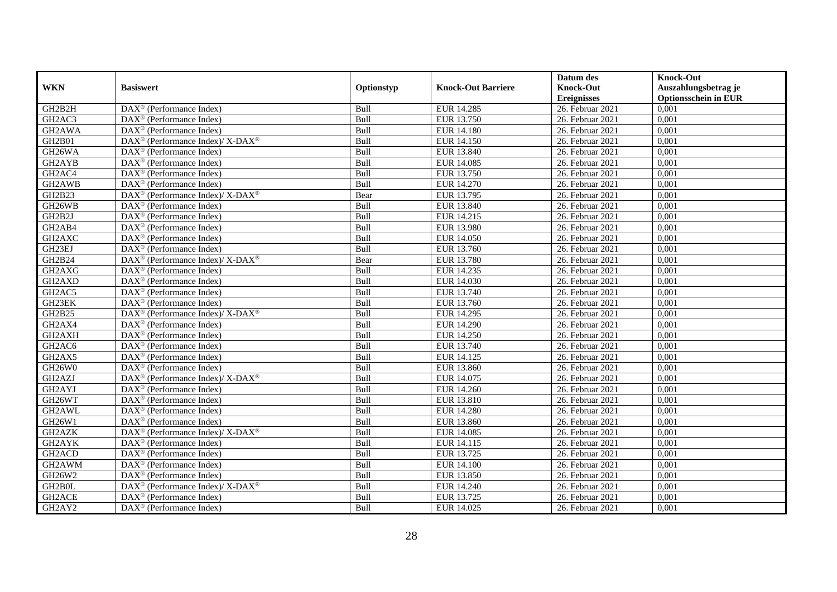|                                 |                                                                    |            |                           | Datum des          | <b>Knock-Out</b>            |
|---------------------------------|--------------------------------------------------------------------|------------|---------------------------|--------------------|-----------------------------|
| <b>WKN</b>                      | <b>Basiswert</b>                                                   | Optionstyp | <b>Knock-Out Barriere</b> | <b>Knock-Out</b>   | Auszahlungsbetrag je        |
|                                 |                                                                    |            |                           | <b>Ereignisses</b> | <b>Optionsschein in EUR</b> |
| GH2B2H                          | DAX <sup>®</sup> (Performance Index)                               | Bull       | EUR 14.285                | 26. Februar 2021   | 0,001                       |
| GH <sub>2</sub> AC <sub>3</sub> | $\text{DAX}^{\circledast}$ (Performance Index)                     | Bull       | EUR 13.750                | 26. Februar 2021   | 0,001                       |
| GH2AWA                          | $DAX^{\circledR}$ (Performance Index)                              | Bull       | <b>EUR 14.180</b>         | 26. Februar 2021   | 0,001                       |
| GH2B01                          | $\text{DAX}^{\circledR}$ (Performance Index)/ X-DAX <sup>®</sup>   | Bull       | EUR 14.150                | 26. Februar 2021   | 0,001                       |
| GH26WA                          | DAX <sup>®</sup> (Performance Index)                               | Bull       | EUR 13.840                | 26. Februar 2021   | 0,001                       |
| GH2AYB                          | DAX <sup>®</sup> (Performance Index)                               | Bull       | EUR 14.085                | $26.$ Februar 2021 | 0,001                       |
| GH <sub>2</sub> AC <sub>4</sub> | $\text{DAX}^{\textcircled{p}}$ (Performance Index)                 | Bull       | EUR 13.750                | 26. Februar 2021   | 0,001                       |
| GH2AWB                          | $\overline{\text{DAX}}^{\textcirc}$ (Performance Index)            | Bull       | EUR 14.270                | 26. Februar 2021   | 0,001                       |
| GH2B23                          | DAX <sup>®</sup> (Performance Index)/ X-DAX <sup>®</sup>           | Bear       | EUR 13.795                | 26. Februar 2021   | 0,001                       |
| GH26WB                          | DAX <sup>®</sup> (Performance Index)                               | Bull       | EUR 13.840                | 26. Februar 2021   | 0,001                       |
| GH2B2J                          | $\overline{\text{DAX}^{\otimes}}$ (Performance Index)              | Bull       | EUR 14.215                | 26. Februar 2021   | 0,001                       |
| GH2AB4                          | DAX <sup>®</sup> (Performance Index)                               | Bull       | EUR 13.980                | 26. Februar 2021   | 0,001                       |
| GH2AXC                          | $\text{DAX}^{\circledast}$ (Performance Index)                     | Bull       | <b>EUR 14.050</b>         | 26. Februar 2021   | 0,001                       |
| GH23EJ                          | DAX <sup>®</sup> (Performance Index)                               | Bull       | EUR 13.760                | 26. Februar 2021   | 0.001                       |
| GH2B24                          | DAX <sup>®</sup> (Performance Index)/ X-DAX <sup>®</sup>           | Bear       | <b>EUR 13.780</b>         | 26. Februar 2021   | 0,001                       |
| GH2AXG                          | DAX <sup>®</sup> (Performance Index)                               | Bull       | EUR 14.235                | 26. Februar 2021   | 0,001                       |
| GH2AXD                          | DAX <sup>®</sup> (Performance Index)                               | Bull       | EUR 14.030                | 26. Februar 2021   | 0,001                       |
| GH <sub>2</sub> AC <sub>5</sub> | DAX <sup>®</sup> (Performance Index)                               | Bull       | EUR 13.740                | 26. Februar 2021   | 0,001                       |
| GH23EK                          | $\text{DAX}^{\circledast}$ (Performance Index)                     | Bull       | EUR 13.760                | 26. Februar 2021   | 0,001                       |
| GH2B25                          | $DAX^{\circledast}$ (Performance Index)/ X-DAX <sup>®</sup>        | Bull       | EUR 14.295                | 26. Februar 2021   | 0,001                       |
| GH2AX4                          | $\text{DAX}^{\circledast}$ (Performance Index)                     | Bull       | EUR 14.290                | 26. Februar 2021   | 0,001                       |
| GH2AXH                          | $\text{DAX}^{\textcircled{p}}$ (Performance Index)                 | Bull       | <b>EUR 14.250</b>         | 26. Februar 2021   | 0,001                       |
| GH <sub>2</sub> AC <sub>6</sub> | $\text{DAX}^{\textcircled{D}}$ (Performance Index)                 | Bull       | EUR 13.740                | 26. Februar 2021   | 0,001                       |
| GH <sub>2</sub> AX <sub>5</sub> | $\text{DAX}^{\textcircled{p}}$ (Performance Index)                 | Bull       | EUR 14.125                | 26. Februar 2021   | 0,001                       |
| GH26W0                          | $DAX^{\circledR}$ (Performance Index)                              | Bull       | <b>EUR 13.860</b>         | 26. Februar 2021   | 0,001                       |
| GH2AZJ                          | DAX <sup>®</sup> (Performance Index)/ X-DAX <sup>®</sup>           | Bull       | EUR 14.075                | 26. Februar 2021   | 0,001                       |
| GH2AYJ                          | DAX <sup>®</sup> (Performance Index)                               | Bull       | <b>EUR 14.260</b>         | 26. Februar 2021   | 0,001                       |
| GH26WT                          | DAX <sup>®</sup> (Performance Index)                               | Bull       | EUR 13.810                | $26.$ Februar 2021 | 0,001                       |
| GH2AWL                          | $\text{DAX}^{\textcircled{n}}$ (Performance Index)                 | Bull       | <b>EUR 14.280</b>         | 26. Februar 2021   | 0,001                       |
| GH26W1                          | DAX <sup>®</sup> (Performance Index)                               | Bull       | <b>EUR 13.860</b>         | 26. Februar 2021   | 0,001                       |
| GH2AZK                          | DAX <sup>®</sup> (Performance Index)/ X-DAX <sup>®</sup>           | Bull       | <b>EUR 14.085</b>         | 26. Februar 2021   | 0,001                       |
| GH2AYK                          | DAX <sup>®</sup> (Performance Index)                               | Bull       | EUR 14.115                | 26. Februar 2021   | 0,001                       |
| GH <sub>2</sub> ACD             | $\overline{\text{DAX}^{\otimes}}$ (Performance Index)              | Bull       | EUR 13.725                | 26. Februar 2021   | 0,001                       |
| GH2AWM                          | $\overline{\text{DAX}}^{\textcirc}$ (Performance Index)            | Bull       | <b>EUR 14.100</b>         | 26. Februar 2021   | 0,001                       |
| GH26W2                          | $\text{DAX}^{\circledast}$ (Performance Index)                     | Bull       | EUR 13.850                | 26. Februar 2021   | 0,001                       |
| GH2B0L                          | $\text{DAX}^{\circledast}$ (Performance Index)/ X-DAX <sup>®</sup> | Bull       | EUR 14.240                | 26. Februar 2021   | 0,001                       |
| GH2ACE                          | $\text{DAX}^{\otimes}$ (Performance Index)                         | Bull       | EUR 13.725                | 26. Februar 2021   | 0,001                       |
| GH2AY2                          | $\text{DAX}^{\textcircled{n}}$ (Performance Index)                 | Bull       | EUR 14.025                | 26. Februar 2021   | 0,001                       |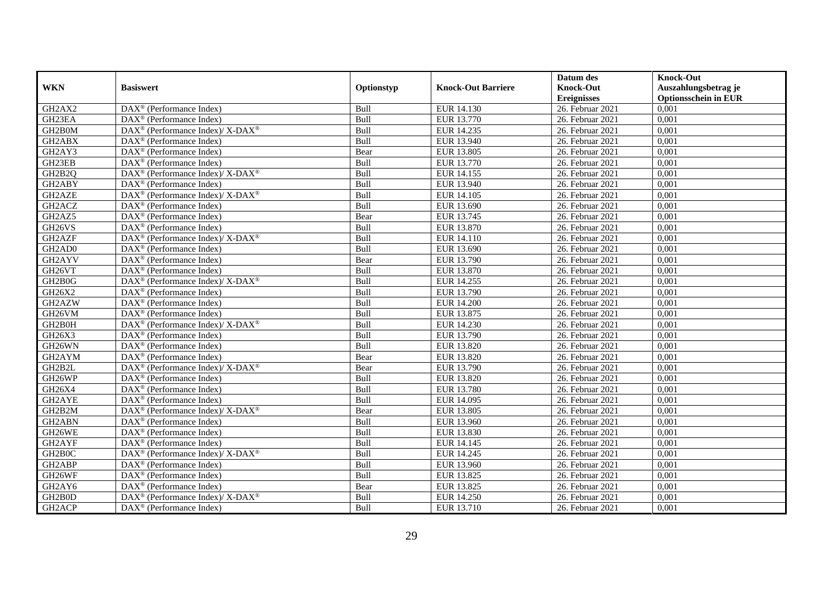|                                 |                                                                    |            |                           | Datum des          | <b>Knock-Out</b>            |
|---------------------------------|--------------------------------------------------------------------|------------|---------------------------|--------------------|-----------------------------|
| <b>WKN</b>                      | <b>Basiswert</b>                                                   | Optionstyp | <b>Knock-Out Barriere</b> | <b>Knock-Out</b>   | Auszahlungsbetrag je        |
|                                 |                                                                    |            |                           | <b>Ereignisses</b> | <b>Optionsschein in EUR</b> |
| GH <sub>2</sub> AX <sub>2</sub> | DAX <sup>®</sup> (Performance Index)                               | Bull       | EUR 14.130                | 26. Februar 2021   | 0,001                       |
| GH23EA                          | $\text{DAX}^{\textcircled{p}}$ (Performance Index)                 | Bull       | EUR 13.770                | 26. Februar 2021   | 0,001                       |
| GH2B0M                          | $\text{DAX}^{\circledast}$ (Performance Index)/ X-DAX <sup>®</sup> | Bull       | EUR 14.235                | 26. Februar 2021   | 0,001                       |
| GH2ABX                          | $\text{DAX}^{\textcircled{n}}$ (Performance Index)                 | Bull       | EUR 13.940                | 26. Februar 2021   | 0,001                       |
| GH2AY3                          | DAX <sup>®</sup> (Performance Index)                               | Bear       | <b>EUR 13.805</b>         | 26. Februar 2021   | 0,001                       |
| GH23EB                          | $\text{DAX}^{\textcircled{n}}$ (Performance Index)                 | Bull       | EUR 13.770                | 26. Februar 2021   | 0,001                       |
| GH2B2Q                          | DAX <sup>®</sup> (Performance Index)/ X-DAX <sup>®</sup>           | Bull       | EUR 14.155                | 26. Februar 2021   | 0,001                       |
| GH2ABY                          | $\text{DAX}^{\textcircled{p}}$ (Performance Index)                 | Bull       | EUR 13.940                | 26. Februar 2021   | 0,001                       |
| GH2AZE                          | $\text{DAX}^{\circledR}$ (Performance Index)/ X-DAX <sup>®</sup>   | Bull       | EUR 14.105                | 26. Februar 2021   | 0,001                       |
| GH2ACZ                          | $DAX^{\circledcirc}$ (Performance Index)                           | Bull       | EUR 13.690                | 26. Februar 2021   | 0,001                       |
| GH <sub>2</sub> AZ <sub>5</sub> | $\overline{\text{DAX}}^{\textcirc}$ (Performance Index)            | Bear       | EUR 13.745                | 26. Februar 2021   | 0,001                       |
| GH <sub>26</sub> VS             | $\overline{\text{DAX}^{\otimes}}$ (Performance Index)              | Bull       | EUR 13.870                | 26. Februar 2021   | 0,001                       |
| GH2AZF                          | $\text{DAX}^{\circledast}$ (Performance Index)/ X-DAX <sup>®</sup> | Bull       | EUR 14.110                | 26. Februar 2021   | 0,001                       |
| GH2AD0                          | $\text{DAX}^{\textcircled{n}}$ (Performance Index)                 | Bull       | EUR 13.690                | 26. Februar 2021   | 0,001                       |
| GH2AYV                          | $\text{DAX}^{\otimes}$ (Performance Index)                         | Bear       | EUR 13.790                | 26. Februar 2021   | 0,001                       |
| GH26VT                          | DAX <sup>®</sup> (Performance Index)                               | Bull       | EUR 13.870                | 26. Februar 2021   | 0,001                       |
| GH2B0G                          | DAX <sup>®</sup> (Performance Index)/X-DAX <sup>®</sup>            | Bull       | EUR 14.255                | 26. Februar 2021   | 0,001                       |
| GH26X2                          | $DAX^{\circledR}$ (Performance Index)                              | Bull       | EUR 13.790                | 26. Februar 2021   | 0,001                       |
| GH2AZW                          | $\overline{\text{DAX}}^{\textcircled{}}$ (Performance Index)       | Bull       | <b>EUR 14.200</b>         | 26. Februar 2021   | 0,001                       |
| GH <sub>26</sub> VM             | $\overline{\text{DAX}^{\otimes}}$ (Performance Index)              | Bull       | EUR 13.875                | 26. Februar 2021   | 0,001                       |
| GH2B0H                          | $\text{DAX}^{\circledR}$ (Performance Index)/ X-DAX <sup>®</sup>   | Bull       | EUR 14.230                | 26. Februar 2021   | 0,001                       |
| GH26X3                          | $\overline{\text{DAX}^{\otimes}}$ (Performance Index)              | Bull       | EUR 13.790                | 26. Februar 2021   | 0,001                       |
| GH26WN                          | $\overline{\text{DAX}^{\otimes}}$ (Performance Index)              | Bull       | EUR 13.820                | 26. Februar 2021   | 0,001                       |
| GH2AYM                          | DAX <sup>®</sup> (Performance Index)                               | Bear       | <b>EUR 13.820</b>         | 26. Februar 2021   | 0,001                       |
| GH2B2L                          | $\text{DAX}^{\circledast}$ (Performance Index)/ X-DAX <sup>®</sup> | Bear       | EUR 13.790                | 26. Februar 2021   | 0,001                       |
| GH26WP                          | $\text{DAX}^{\otimes}$ (Performance Index)                         | Bull       | EUR 13.820                | 26. Februar 2021   | 0,001                       |
| GH26X4                          | DAX <sup>®</sup> (Performance Index)                               | Bull       | <b>EUR 13.780</b>         | 26. Februar 2021   | 0,001                       |
| GH2AYE                          | $\text{DAX}^{\textcircled{p}}$ (Performance Index)                 | Bull       | EUR 14.095                | $26.$ Februar 2021 | 0.001                       |
| GH2B2M                          | $DAX^{\circledcirc}$ (Performance Index)/X-DAX <sup>®</sup>        | Bear       | EUR 13.805                | 26. Februar 2021   | 0,001                       |
| GH2ABN                          | $\text{DAX}^{\textcircled{p}}$ (Performance Index)                 | Bull       | EUR 13.960                | 26. Februar 2021   | 0,001                       |
| GH26WE                          | DAX <sup>®</sup> (Performance Index)                               | Bull       | EUR 13.830                | 26. Februar 2021   | 0,001                       |
| GH2AYF                          | $\text{DAX}^{\textcircled{n}}$ (Performance Index)                 | Bull       | EUR 14.145                | 26. Februar 2021   | 0,001                       |
| GH2B0C                          | DAX <sup>®</sup> (Performance Index)/ X-DAX <sup>®</sup>           | Bull       | EUR 14.245                | $26.$ Februar 2021 | 0,001                       |
| GH2ABP                          | DAX <sup>®</sup> (Performance Index)                               | Bull       | EUR 13.960                | 26. Februar 2021   | 0,001                       |
| GH26WF                          | $\text{DAX}^{\textcircled{n}}$ (Performance Index)                 | Bull       | EUR 13.825                | 26. Februar 2021   | 0,001                       |
| GH2AY6                          | $\text{DAX}^{\circledast}$ (Performance Index)                     | Bear       | EUR 13.825                | 26. Februar 2021   | 0,001                       |
| GH2B0D                          | DAX <sup>®</sup> (Performance Index)/ X-DAX <sup>®</sup>           | Bull       | <b>EUR 14.250</b>         | 26. Februar 2021   | 0,001                       |
| GH <sub>2</sub> ACP             | $\text{DAX}^{\textcircled{n}}$ (Performance Index)                 | Bull       | EUR 13.710                | 26. Februar 2021   | 0,001                       |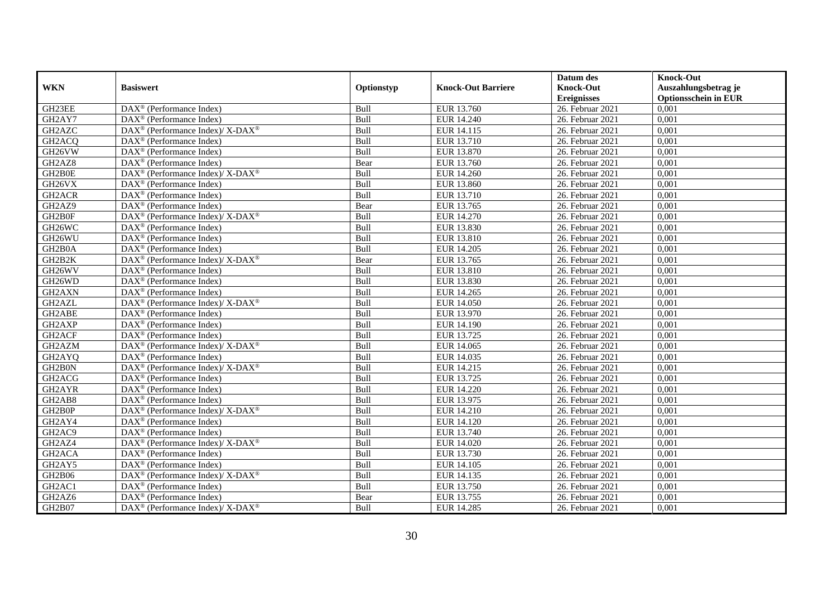|                                 |                                                                                                 |             |                           | Datum des          | <b>Knock-Out</b>            |
|---------------------------------|-------------------------------------------------------------------------------------------------|-------------|---------------------------|--------------------|-----------------------------|
| <b>WKN</b>                      | <b>Basiswert</b>                                                                                | Optionstyp  | <b>Knock-Out Barriere</b> | <b>Knock-Out</b>   | Auszahlungsbetrag je        |
|                                 |                                                                                                 |             |                           | <b>Ereignisses</b> | <b>Optionsschein in EUR</b> |
| GH23EE                          | DAX <sup>®</sup> (Performance Index)                                                            | Bull        | EUR 13.760                | 26. Februar 2021   | 0,001                       |
| GH2AY7                          | $\text{DAX}^{\circledast}$ (Performance Index)                                                  | Bull        | <b>EUR 14.240</b>         | 26. Februar 2021   | 0,001                       |
| GH2AZC                          | $\text{DAX}^{\circledast}$ (Performance Index)/ X-DAX <sup>®</sup>                              | Bull        | EUR 14.115                | $26.$ Februar 2021 | 0,001                       |
| GH <sub>2</sub> ACQ             | DAX <sup>®</sup> (Performance Index)                                                            | Bull        | EUR 13.710                | 26. Februar 2021   | 0.001                       |
| GH26VW                          | DAX <sup>®</sup> (Performance Index)                                                            | Bull        | EUR 13.870                | 26. Februar 2021   | 0,001                       |
| GH <sub>2</sub> AZ <sub>8</sub> | $\text{DAX}^{\textcircled{p}}$ (Performance Index)                                              | Bear        | EUR 13.760                | 26. Februar 2021   | 0,001                       |
| GH2B0E                          | $DAX^{\circledcirc}$ (Performance Index)/X-DAX <sup>®</sup>                                     | Bull        | EUR 14.260                | 26. Februar 2021   | 0,001                       |
| GH26VX                          | $\text{DAX}^{\textcircled{n}}$ (Performance Index)                                              | Bull        | EUR 13.860                | 26. Februar 2021   | 0,001                       |
| GH <sub>2</sub> ACR             | $\text{DAX}^{\textcircled{n}}$ (Performance Index)                                              | Bull        | EUR 13.710                | 26. Februar 2021   | 0,001                       |
| GH2AZ9                          | $\text{DAX}^{\otimes}$ (Performance Index)                                                      | Bear        | EUR 13.765                | 26. Februar 2021   | 0,001                       |
| GH2B0F                          | DAX <sup>®</sup> (Performance Index)/ X-DAX <sup>®</sup>                                        | Bull        | <b>EUR 14.270</b>         | 26. Februar 2021   | 0,001                       |
| GH26WC                          | DAX <sup>®</sup> (Performance Index)                                                            | Bull        | EUR 13.830                | 26. Februar 2021   | 0,001                       |
| GH26WU                          | DAX <sup>®</sup> (Performance Index)                                                            | Bull        | EUR 13.810                | 26. Februar 2021   | 0,001                       |
| GH2B0A                          | $\text{DAX}^{\textcircled{p}}$ (Performance Index)                                              | Bull        | <b>EUR 14.205</b>         | 26. Februar 2021   | 0,001                       |
| GH2B2K                          | $DAX^{\circledast}$ (Performance Index)/ X-DAX <sup>®</sup>                                     | Bear        | EUR 13.765                | 26. Februar 2021   | 0,001                       |
| GH26WV                          | $\text{DAX}^{\circledast}$ (Performance Index)                                                  | Bull        | EUR 13.810                | 26. Februar 2021   | 0,001                       |
| GH26WD                          | DAX <sup>®</sup> (Performance Index)                                                            | Bull        | EUR 13.830                | 26. Februar 2021   | 0,001                       |
| GH2AXN                          | $DAX^{\circledR}$ (Performance Index)                                                           | Bull        | EUR 14.265                | 26. Februar 2021   | 0,001                       |
| GH2AZL                          | $\text{DAX}^{\circledR}$ (Performance Index)/ X-DAX <sup>®</sup>                                | Bull        | <b>EUR 14.050</b>         | 26. Februar 2021   | 0,001                       |
| GH2ABE                          | DAX <sup>®</sup> (Performance Index)                                                            | Bull        | EUR 13.970                | 26. Februar 2021   | 0,001                       |
| GH2AXP                          | DAX <sup>®</sup> (Performance Index)                                                            | Bull        | EUR 14.190                | 26. Februar 2021   | 0,001                       |
| GH <sub>2</sub> ACF             | $\overline{\text{DAX}^{\otimes}}$ (Performance Index)                                           | Bull        | EUR 13.725                | 26. Februar 2021   | 0,001                       |
| GH2AZM                          | DAX <sup>®</sup> (Performance Index)/ X-DAX <sup>®</sup>                                        | Bull        | EUR 14.065                | 26. Februar 2021   | 0,001                       |
| GH2AYQ                          | DAX <sup>®</sup> (Performance Index)                                                            | Bull        | EUR 14.035                | 26. Februar 2021   | 0,001                       |
| GH2B0N                          | $DAX^{\circledcirc}$ (Performance Index)/X-DAX <sup>®</sup>                                     | Bull        | EUR 14.215                | 26. Februar 2021   | 0.001                       |
| GH2ACG                          | DAX <sup>®</sup> (Performance Index)                                                            | Bull        | EUR 13.725                | 26. Februar 2021   | 0,001                       |
| GH2AYR                          | DAX <sup>®</sup> (Performance Index)                                                            | Bull        | <b>EUR 14.220</b>         | 26. Februar 2021   | 0,001                       |
| GH2AB8                          | $\text{DAX}^{\textcircled{p}}$ (Performance Index)                                              | Bull        | EUR 13.975                | $26.$ Februar 2021 | 0,001                       |
| GH2B0P                          | $\text{DAX}^{\circledR}$ (Performance Index)/ X-DAX <sup>®</sup>                                | Bull        | EUR 14.210                | 26. Februar 2021   | 0,001                       |
| GH2AY4                          | $\text{DAX}^{\circledast}$ (Performance Index)                                                  | Bull        | EUR 14.120                | 26. Februar 2021   | 0,001                       |
| GH <sub>2</sub> AC <sub>9</sub> | $\text{DAX}^{\textcircled{n}}$ (Performance Index)                                              | Bull        | EUR 13.740                | 26. Februar 2021   | 0,001                       |
| GH2AZ4                          | $\text{DAX}^{\textcircled{p}}$ (Performance Index)/ $\overline{\text{X-DAX}^{\textcircled{p}}}$ | <b>Bull</b> | EUR 14.020                | 26. Februar 2021   | 0.001                       |
| GH <sub>2</sub> ACA             | $\overline{\text{DAX}^{\otimes}}$ (Performance Index)                                           | Bull        | EUR 13.730                | 26. Februar 2021   | 0,001                       |
| GH <sub>2</sub> AY <sub>5</sub> | DAX <sup>®</sup> (Performance Index)                                                            | Bull        | EUR 14.105                | 26. Februar 2021   | 0,001                       |
| <b>GH2B06</b>                   | DAX <sup>®</sup> (Performance Index)/ X-DAX <sup>®</sup>                                        | Bull        | EUR 14.135                | 26. Februar 2021   | 0,001                       |
| GH <sub>2</sub> AC <sub>1</sub> | $\text{DAX}^{\textcircled{n}}$ (Performance Index)                                              | Bull        | EUR 13.750                | 26. Februar 2021   | 0,001                       |
| GH2AZ6                          | $\text{DAX}^{\circledast}$ (Performance Index)                                                  | Bear        | EUR 13.755                | 26. Februar 2021   | 0,001                       |
| GH2B07                          | $\overline{\text{DAX}^{\textcircled{\tiny 0}}}$ (Performance Index)/X-DAX <sup>®</sup>          | Bull        | EUR 14.285                | 26. Februar 2021   | 0,001                       |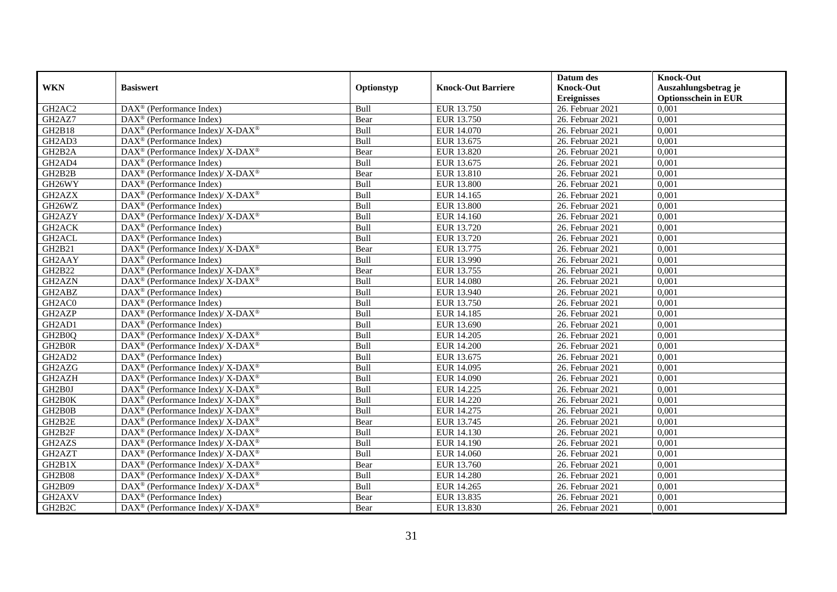|                                 |                                                                           |            |                           | Datum des          | <b>Knock-Out</b>            |
|---------------------------------|---------------------------------------------------------------------------|------------|---------------------------|--------------------|-----------------------------|
| <b>WKN</b>                      | <b>Basiswert</b>                                                          | Optionstyp | <b>Knock-Out Barriere</b> | <b>Knock-Out</b>   | Auszahlungsbetrag je        |
|                                 |                                                                           |            |                           | <b>Ereignisses</b> | <b>Optionsschein in EUR</b> |
| GH <sub>2</sub> AC <sub>2</sub> | DAX <sup>®</sup> (Performance Index)                                      | Bull       | EUR 13.750                | 26. Februar 2021   | 0,001                       |
| GH2AZ7                          | $DAX^{\circledR}$ (Performance Index)                                     | Bear       | EUR 13.750                | 26. Februar 2021   | 0,001                       |
| GH2B18                          | DAX <sup>®</sup> (Performance Index)/X-DAX <sup>®</sup>                   | Bull       | EUR 14.070                | 26. Februar 2021   | 0,001                       |
| GH2AD3                          | $DAX^{\circledast}$ (Performance Index)                                   | Bull       | EUR 13.675                | 26. Februar 2021   | 0,001                       |
| GH2B2A                          | $DAX^{\circledast}$ (Performance Index)/ $\overline{X-DAX^{\circledast}}$ | Bear       | EUR 13.820                | 26. Februar 2021   | 0,001                       |
| GH2AD4                          | $DAX^{\circledR}$ (Performance Index)                                     | Bull       | EUR 13.675                | 26. Februar 2021   | 0,001                       |
| GH2B2B                          | DAX <sup>®</sup> (Performance Index)/ X-DAX <sup>®</sup>                  | Bear       | EUR 13.810                | 26. Februar 2021   | 0,001                       |
| GH26WY                          | $DAX^{\circledR}$ (Performance Index)                                     | Bull       | <b>EUR 13.800</b>         | 26. Februar 2021   | 0,001                       |
| GH2AZX                          | DAX <sup>®</sup> (Performance Index)/ X-DAX <sup>®</sup>                  | Bull       | EUR 14.165                | 26. Februar 2021   | 0,001                       |
| GH26WZ                          | $DAX^{\circledast}$ (Performance Index)                                   | Bull       | <b>EUR 13.800</b>         | 26. Februar 2021   | 0,001                       |
| GH2AZY                          | DAX <sup>®</sup> (Performance Index)/ X-DAX <sup>®</sup>                  | Bull       | EUR 14.160                | 26. Februar 2021   | 0,001                       |
| GH <sub>2</sub> ACK             | DAX <sup>®</sup> (Performance Index)                                      | Bull       | EUR 13.720                | 26. Februar 2021   | 0,001                       |
| GH2ACL                          | $DAX^{\circledast}$ (Performance Index)                                   | Bull       | EUR 13.720                | 26. Februar 2021   | 0,001                       |
| GH2B21                          | $DAX^{\circledast}$ (Performance Index)/X-DAX <sup>®</sup>                | Bear       | EUR 13.775                | 26. Februar 2021   | 0,001                       |
| GH <sub>2</sub> AAY             | $DAX^{\circledast}$ (Performance Index)                                   | Bull       | EUR 13.990                | 26. Februar 2021   | 0,001                       |
| <b>GH2B22</b>                   | DAX <sup>®</sup> (Performance Index)/X-DAX <sup>®</sup>                   | Bear       | EUR 13.755                | 26. Februar 2021   | 0,001                       |
| GH2AZN                          | DAX <sup>®</sup> (Performance Index)/X-DAX <sup>®</sup>                   | Bull       | <b>EUR 14.080</b>         | 26. Februar 2021   | 0,001                       |
| GH2ABZ                          | DAX <sup>®</sup> (Performance Index)                                      | Bull       | EUR 13.940                | 26. Februar 2021   | 0,001                       |
| GH <sub>2</sub> AC <sub>0</sub> | $\text{DAX}^{\circledast}$ (Performance Index)                            | Bull       | EUR 13.750                | 26. Februar 2021   | 0,001                       |
| GH2AZP                          | DAX <sup>®</sup> (Performance Index)/X-DAX <sup>®</sup>                   | Bull       | EUR 14.185                | 26. Februar 2021   | 0,001                       |
| GH2AD1                          | DAX <sup>®</sup> (Performance Index)                                      | Bull       | EUR 13.690                | 26. Februar 2021   | 0,001                       |
| GH2B0Q                          | DAX <sup>®</sup> (Performance Index)/ X-DAX <sup>®</sup>                  | Bull       | EUR 14.205                | 26. Februar 2021   | 0,001                       |
| GH2B0R                          | DAX <sup>®</sup> (Performance Index)/ X-DAX <sup>®</sup>                  | Bull       | <b>EUR 14.200</b>         | 26. Februar 2021   | 0,001                       |
| GH2AD2                          | $DAX^{\circledR}$ (Performance Index)                                     | Bull       | EUR 13.675                | 26. Februar 2021   | 0,001                       |
| GH <sub>2</sub> A <sub>ZG</sub> | DAX <sup>®</sup> (Performance Index)/ X-DAX <sup>®</sup>                  | Bull       | EUR 14.095                | 26. Februar 2021   | 0,001                       |
| GH2AZH                          | DAX <sup>®</sup> (Performance Index)/ X-DAX <sup>®</sup>                  | Bull       | EUR 14.090                | 26. Februar 2021   | 0,001                       |
| GH2B0J                          | $\text{DAX}^{\circledast}$ (Performance Index)/X-DAX <sup>®</sup>         | Bull       | EUR 14.225                | 26. Februar 2021   | 0,001                       |
| GH2B0K                          | DAX <sup>®</sup> (Performance Index)/X-DAX <sup>®</sup>                   | Bull       | <b>EUR 14.220</b>         | 26. Februar 2021   | 0,001                       |
| GH2B0B                          | DAX <sup>®</sup> (Performance Index)/X-DAX <sup>®</sup>                   | Bull       | EUR 14.275                | 26. Februar 2021   | 0,001                       |
| GH2B2E                          | $DAX^{\circledcirc}$ (Performance Index)/X-DAX <sup>®</sup>               | Bear       | EUR 13.745                | 26. Februar 2021   | 0.001                       |
| GH2B2F                          | DAX <sup>®</sup> (Performance Index)/ X-DAX <sup>®</sup>                  | Bull       | EUR 14.130                | 26. Februar 2021   | 0,001                       |
| GH2AZS                          | DAX <sup>®</sup> (Performance Index)/X-DAX <sup>®</sup>                   | Bull       | EUR 14.190                | 26. Februar 2021   | 0,001                       |
| GH2AZT                          | DAX <sup>®</sup> (Performance Index)/X-DAX <sup>®</sup>                   | Bull       | EUR 14.060                | 26. Februar 2021   | 0,001                       |
| GH2B1X                          | DAX <sup>®</sup> (Performance Index)/ X-DAX <sup>®</sup>                  | Bear       | EUR 13.760                | 26. Februar 2021   | 0,001                       |
| <b>GH2B08</b>                   | DAX <sup>®</sup> (Performance Index)/X-DAX <sup>®</sup>                   | Bull       | <b>EUR 14.280</b>         | 26. Februar 2021   | 0,001                       |
| <b>GH2B09</b>                   | $DAX^{\circledast}$ (Performance Index)/ X-DAX <sup>®</sup>               | Bull       | EUR 14.265                | 26. Februar 2021   | 0,001                       |
| GH2AXV                          | DAX <sup>®</sup> (Performance Index)                                      | Bear       | EUR 13.835                | 26. Februar 2021   | 0,001                       |
| GH2B2C                          | $DAX^{\circledast}$ (Performance Index)/ X-DAX <sup>®</sup>               | Bear       | EUR 13.830                | 26. Februar 2021   | 0,001                       |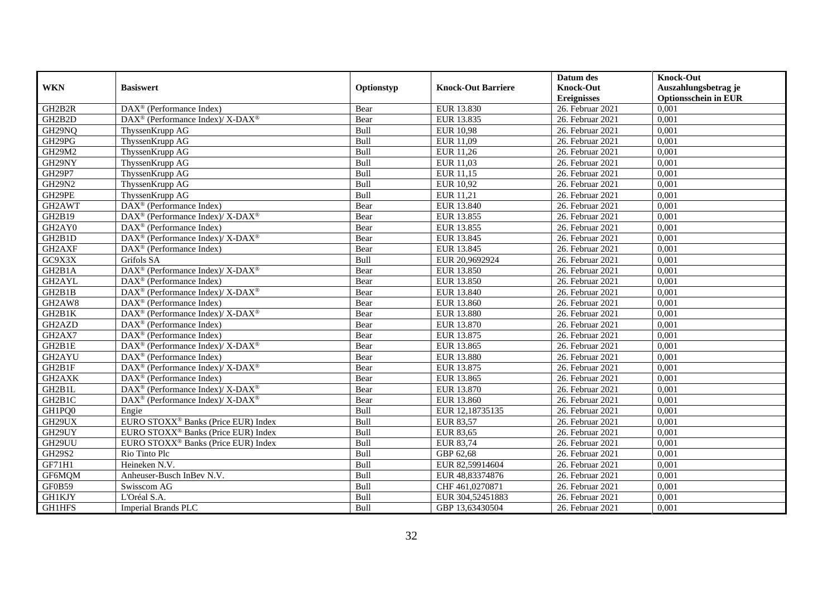|                                  |                                                                           |             |                           | Datum des          | <b>Knock-Out</b>            |
|----------------------------------|---------------------------------------------------------------------------|-------------|---------------------------|--------------------|-----------------------------|
| <b>WKN</b>                       | <b>Basiswert</b>                                                          | Optionstyp  | <b>Knock-Out Barriere</b> | <b>Knock-Out</b>   | Auszahlungsbetrag je        |
|                                  |                                                                           |             |                           | <b>Ereignisses</b> | <b>Optionsschein in EUR</b> |
| GH2B2R                           | DAX <sup>®</sup> (Performance Index)                                      | Bear        | EUR 13.830                | 26. Februar 2021   | 0,001                       |
| GH2B2D                           | DAX <sup>®</sup> (Performance Index)/ X-DAX <sup>®</sup>                  | Bear        | EUR 13.835                | 26. Februar 2021   | 0,001                       |
| GH29NQ                           | ThyssenKrupp AG                                                           | Bull        | <b>EUR 10,98</b>          | 26. Februar 2021   | 0,001                       |
| GH29PG                           | ThyssenKrupp AG                                                           | Bull        | EUR 11,09                 | 26. Februar 2021   | 0.001                       |
| GH29M2                           | ThyssenKrupp AG                                                           | Bull        | EUR 11,26                 | 26. Februar 2021   | 0,001                       |
| GH29NY                           | ThyssenKrupp AG                                                           | Bull        | EUR 11,03                 | 26. Februar 2021   | 0,001                       |
| GH29P7                           | ThyssenKrupp AG                                                           | Bull        | EUR 11,15                 | 26. Februar 2021   | 0,001                       |
| <b>GH29N2</b>                    | ThyssenKrupp AG                                                           | Bull        | EUR 10,92                 | 26. Februar 2021   | 0,001                       |
| GH29PE                           | ThyssenKrupp AG                                                           | Bull        | EUR 11,21                 | 26. Februar 2021   | 0,001                       |
| GH2AWT                           | DAX <sup>®</sup> (Performance Index)                                      | Bear        | EUR 13.840                | 26. Februar 2021   | 0,001                       |
| GH2B19                           | $DAX^{\circledast}$ (Performance Index)/ $\overline{X-DAX^{\circledast}}$ | Bear        | EUR 13.855                | 26. Februar 2021   | 0,001                       |
| GH <sub>2</sub> AY <sub>0</sub>  | $\overline{\text{DAX}^{\otimes}}$ (Performance Index)                     | Bear        | EUR 13.855                | 26. Februar 2021   | 0,001                       |
| GH <sub>2</sub> B <sub>1</sub> D | DAX <sup>®</sup> (Performance Index)/ X-DAX <sup>®</sup>                  | Bear        | EUR 13.845                | 26. Februar 2021   | 0,001                       |
| GH2AXF                           | $DAX^{\circledR}$ (Performance Index)                                     | Bear        | EUR 13.845                | 26. Februar 2021   | 0,001                       |
| GC9X3X                           | Grifols SA                                                                | Bull        | EUR 20,9692924            | 26. Februar 2021   | 0,001                       |
| GH2B1A                           | DAX <sup>®</sup> (Performance Index)/ X-DAX <sup>®</sup>                  | Bear        | EUR 13.850                | 26. Februar 2021   | 0,001                       |
| GH2AYL                           | DAX <sup>®</sup> (Performance Index)                                      | Bear        | EUR 13.850                | 26. Februar 2021   | 0,001                       |
| GH2B1B                           | $DAX^{\circledast}$ (Performance Index)/X-DAX <sup>®</sup>                | Bear        | EUR 13.840                | 26. Februar 2021   | 0,001                       |
| GH2AW8                           | $\text{DAX}^{\textcircled{}}$ (Performance Index)                         | Bear        | EUR 13.860                | 26. Februar 2021   | 0,001                       |
| GH2B1K                           | DAX <sup>®</sup> (Performance Index)/ X-DAX <sup>®</sup>                  | Bear        | EUR 13.880                | 26. Februar 2021   | 0,001                       |
| GH2AZD                           | DAX <sup>®</sup> (Performance Index)                                      | Bear        | EUR 13.870                | 26. Februar 2021   | 0,001                       |
| GH <sub>2</sub> AX7              | $DAX^{\circledR}$ (Performance Index)                                     | Bear        | EUR 13.875                | 26. Februar 2021   | 0,001                       |
| GH2B1E                           | DAX <sup>®</sup> (Performance Index)/ X-DAX <sup>®</sup>                  | Bear        | EUR 13.865                | 26. Februar 2021   | 0,001                       |
| GH2AYU                           | $DAX^{\circledast}$ (Performance Index)                                   | Bear        | EUR 13.880                | 26. Februar 2021   | 0,001                       |
| GH2B1F                           | $DAX^{\circledcirc}$ (Performance Index)/X-DAX <sup>®</sup>               | Bear        | EUR 13.875                | 26. Februar 2021   | 0.001                       |
| GH2AXK                           | DAX <sup>®</sup> (Performance Index)                                      | Bear        | EUR 13.865                | 26. Februar 2021   | 0,001                       |
| GH2B1L                           | DAX <sup>®</sup> (Performance Index)/X-DAX <sup>®</sup>                   | Bear        | EUR 13.870                | 26. Februar 2021   | 0,001                       |
| GH <sub>2</sub> B <sub>1</sub> C | DAX <sup>®</sup> (Performance Index)/ X-DAX <sup>®</sup>                  | Bear        | EUR 13.860                | 26. Februar 2021   | 0,001                       |
| GH1PQ0                           | Engie                                                                     | Bull        | EUR 12,18735135           | 26. Februar 2021   | 0,001                       |
| GH29UX                           | EURO STOXX <sup>®</sup> Banks (Price EUR) Index                           | Bull        | EUR 83,57                 | 26. Februar 2021   | 0,001                       |
| GH29UY                           | EURO STOXX <sup>®</sup> Banks (Price EUR) Index                           | Bull        | EUR 83,65                 | 26. Februar 2021   | 0,001                       |
| GH29UU                           | EURO STOXX <sup>®</sup> Banks (Price EUR) Index                           | <b>Bull</b> | EUR 83,74                 | 26. Februar 2021   | 0.001                       |
| GH29S2                           | Rio Tinto Plc                                                             | Bull        | GBP 62,68                 | 26. Februar 2021   | 0,001                       |
| GF71H1                           | Heineken N.V.                                                             | Bull        | EUR 82,59914604           | 26. Februar 2021   | 0,001                       |
| GF6MQM                           | Anheuser-Busch InBev N.V.                                                 | Bull        | EUR 48,83374876           | 26. Februar 2021   | 0,001                       |
| GF0B59                           | Swisscom AG                                                               | Bull        | CHF 461,0270871           | 26. Februar 2021   | 0,001                       |
| GH1KJY                           | L'Oréal S.A.                                                              | Bull        | EUR 304,52451883          | 26. Februar 2021   | 0,001                       |
| GH1HFS                           | <b>Imperial Brands PLC</b>                                                | Bull        | GBP 13,63430504           | 26. Februar 2021   | 0,001                       |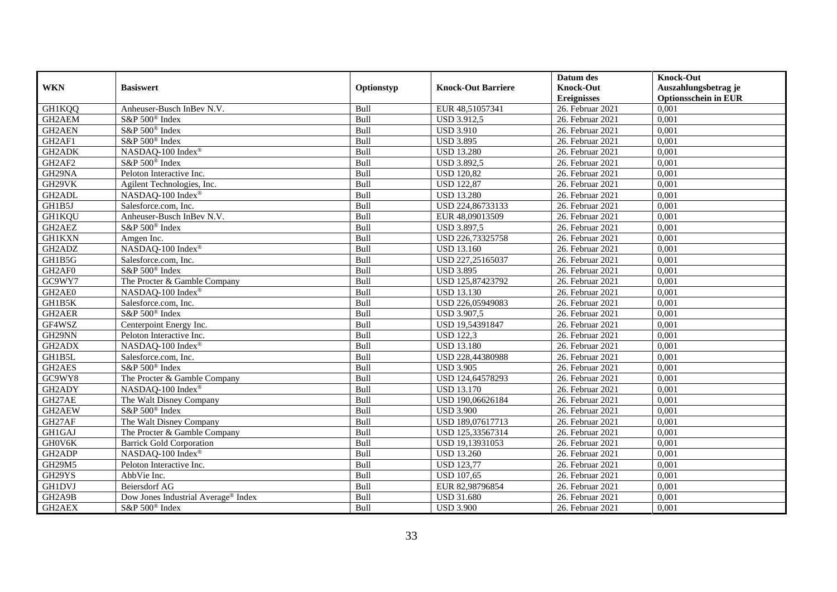|                                 |                                     |             |                           | Datum des          | <b>Knock-Out</b>            |
|---------------------------------|-------------------------------------|-------------|---------------------------|--------------------|-----------------------------|
| <b>WKN</b>                      | <b>Basiswert</b>                    | Optionstyp  | <b>Knock-Out Barriere</b> | <b>Knock-Out</b>   | Auszahlungsbetrag je        |
|                                 |                                     |             |                           | <b>Ereignisses</b> | <b>Optionsschein in EUR</b> |
| GH1KQQ                          | Anheuser-Busch InBev N.V.           | Bull        | EUR 48,51057341           | 26. Februar 2021   | 0,001                       |
| GH2AEM                          | S&P 500 <sup>®</sup> Index          | Bull        | <b>USD 3.912,5</b>        | 26. Februar 2021   | 0,001                       |
| GH2AEN                          | S&P 500 <sup>®</sup> Index          | Bull        | <b>USD 3.910</b>          | 26. Februar 2021   | 0,001                       |
| GH2AF1                          | S&P 500 <sup>®</sup> Index          | Bull        | <b>USD 3.895</b>          | 26. Februar 2021   | 0,001                       |
| GH2ADK                          | NASDAQ-100 Index®                   | Bull        | <b>USD 13.280</b>         | 26. Februar 2021   | 0,001                       |
| GH <sub>2</sub> AF <sub>2</sub> | S&P 500 <sup>®</sup> Index          | Bull        | <b>USD 3.892,5</b>        | 26. Februar 2021   | 0,001                       |
| GH29NA                          | Peloton Interactive Inc.            | Bull        | <b>USD 120,82</b>         | 26. Februar 2021   | 0,001                       |
| GH29VK                          | Agilent Technologies, Inc.          | Bull        | <b>USD 122,87</b>         | 26. Februar 2021   | 0,001                       |
| GH2ADL                          | NASDAQ-100 Index®                   | Bull        | <b>USD 13.280</b>         | 26. Februar 2021   | 0,001                       |
| GH1B5J                          | Salesforce.com, Inc.                | Bull        | USD 224,86733133          | 26. Februar 2021   | 0,001                       |
| GH1KQU                          | Anheuser-Busch InBev N.V.           | Bull        | EUR 48,09013509           | 26. Februar 2021   | 0,001                       |
| GH2AEZ                          | S&P 500 <sup>®</sup> Index          | Bull        | <b>USD 3.897,5</b>        | 26. Februar 2021   | 0,001                       |
| <b>GH1KXN</b>                   | Amgen Inc.                          | Bull        | USD 226,73325758          | 26. Februar 2021   | 0,001                       |
| GH2ADZ                          | NASDAQ-100 Index®                   | Bull        | <b>USD 13.160</b>         | 26. Februar 2021   | 0,001                       |
| GH1B5G                          | Salesforce.com, Inc.                | Bull        | USD 227,25165037          | 26. Februar 2021   | 0,001                       |
| GH2AF0                          | S&P 500 <sup>®</sup> Index          | Bull        | <b>USD 3.895</b>          | 26. Februar 2021   | 0,001                       |
| GC9WY7                          | The Procter & Gamble Company        | Bull        | USD 125,87423792          | 26. Februar 2021   | 0,001                       |
| GH2AE0                          | NASDAO-100 Index <sup>®</sup>       | <b>Bull</b> | <b>USD 13.130</b>         | 26. Februar 2021   | 0,001                       |
| GH1B5K                          | Salesforce.com, Inc.                | Bull        | USD 226,05949083          | 26. Februar 2021   | 0,001                       |
| GH2AER                          | S&P 500 <sup>®</sup> Index          | Bull        | <b>USD 3.907,5</b>        | 26. Februar 2021   | 0,001                       |
| GF4WSZ                          | Centerpoint Energy Inc.             | Bull        | USD 19,54391847           | 26. Februar 2021   | 0,001                       |
| GH29NN                          | Peloton Interactive Inc.            | Bull        | <b>USD 122,3</b>          | 26. Februar 2021   | 0,001                       |
| GH2ADX                          | NASDAQ-100 Index®                   | Bull        | <b>USD 13.180</b>         | 26. Februar 2021   | 0,001                       |
| GH1B5L                          | Salesforce.com, Inc.                | Bull        | USD 228,44380988          | 26. Februar 2021   | 0,001                       |
| GH2AES                          | $S\&P 500^{\circ}$ Index            | Bull        | <b>USD 3.905</b>          | 26. Februar 2021   | 0.001                       |
| GC9WY8                          | The Procter & Gamble Company        | Bull        | USD 124,64578293          | 26. Februar 2021   | 0,001                       |
| GH2ADY                          | NASDAQ-100 Index®                   | Bull        | <b>USD 13.170</b>         | 26. Februar 2021   | 0,001                       |
| GH27AE                          | The Walt Disney Company             | Bull        | USD 190,06626184          | 26. Februar 2021   | 0,001                       |
| GH2AEW                          | S&P 500 <sup>®</sup> Index          | Bull        | <b>USD 3.900</b>          | $26.$ Februar 2021 | 0,001                       |
| GH27AF                          | The Walt Disney Company             | Bull        | USD 189,07617713          | 26. Februar 2021   | 0,001                       |
| GH1GAJ                          | The Procter & Gamble Company        | Bull        | USD 125,33567314          | 26. Februar 2021   | 0,001                       |
| GH0V6K                          | <b>Barrick Gold Corporation</b>     | Bull        | USD 19,13931053           | 26. Februar 2021   | 0.001                       |
| GH2ADP                          | NASDAQ-100 Index®                   | Bull        | <b>USD 13.260</b>         | 26. Februar 2021   | 0,001                       |
| GH29M5                          | Peloton Interactive Inc.            | Bull        | <b>USD 123,77</b>         | 26. Februar 2021   | 0,001                       |
| GH29YS                          | AbbVie Inc.                         | Bull        | <b>USD 107,65</b>         | 26. Februar 2021   | 0,001                       |
| <b>GH1DVJ</b>                   | Beiersdorf AG                       | Bull        | EUR 82,98796854           | 26. Februar 2021   | 0,001                       |
| GH2A9B                          | Dow Jones Industrial Average® Index | Bull        | <b>USD 31.680</b>         | 26. Februar 2021   | 0,001                       |
| GH2AEX                          | S&P 500 <sup>®</sup> Index          | Bull        | <b>USD 3.900</b>          | 26. Februar 2021   | 0,001                       |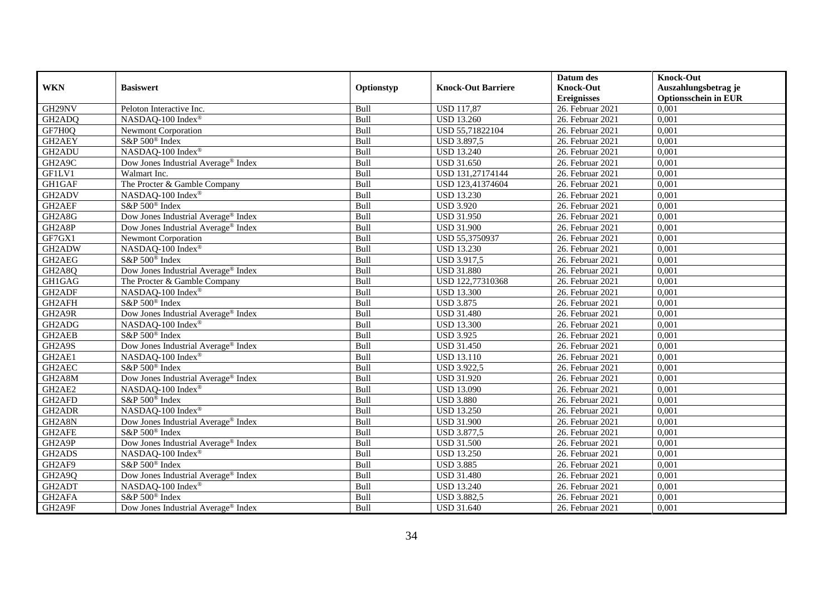|                                  |                                                 |             |                           | Datum des          | <b>Knock-Out</b>            |
|----------------------------------|-------------------------------------------------|-------------|---------------------------|--------------------|-----------------------------|
| <b>WKN</b>                       | <b>Basiswert</b>                                | Optionstyp  | <b>Knock-Out Barriere</b> | <b>Knock-Out</b>   | Auszahlungsbetrag je        |
|                                  |                                                 |             |                           | <b>Ereignisses</b> | <b>Optionsschein in EUR</b> |
| GH29NV                           | Peloton Interactive Inc.                        | Bull        | <b>USD 117,87</b>         | $26.$ Februar 2021 | 0,001                       |
| GH2ADQ                           | NASDAQ-100 Index®                               | Bull        | <b>USD 13.260</b>         | 26. Februar 2021   | 0,001                       |
| GF7H0Q                           | Newmont Corporation                             | Bull        | USD 55,71822104           | $26.$ Februar 2021 | 0,001                       |
| GH2AEY                           | S&P 500 <sup>®</sup> Index                      | Bull        | <b>USD 3.897,5</b>        | 26. Februar 2021   | 0,001                       |
| GH2ADU                           | NASDAQ-100 Index®                               | Bull        | <b>USD 13.240</b>         | 26. Februar 2021   | 0,001                       |
| GH <sub>2</sub> A <sub>9</sub> C | Dow Jones Industrial Average® Index             | Bull        | <b>USD 31.650</b>         | 26. Februar 2021   | 0,001                       |
| GF1LV1                           | Walmart Inc.                                    | Bull        | USD 131,27174144          | $26.$ Februar 2021 | 0,001                       |
| GH1GAF                           | The Procter & Gamble Company                    | Bull        | USD 123,41374604          | 26. Februar 2021   | 0,001                       |
| GH2ADV                           | NASDAQ-100 Index®                               | Bull        | <b>USD 13.230</b>         | 26. Februar 2021   | 0,001                       |
| GH2AEF                           | S&P 500 <sup>®</sup> Index                      | <b>Bull</b> | <b>USD 3.920</b>          | 26. Februar 2021   | 0,001                       |
| GH2A8G                           | Dow Jones Industrial Average <sup>®</sup> Index | Bull        | <b>USD 31.950</b>         | 26. Februar 2021   | 0,001                       |
| GH2A8P                           | Dow Jones Industrial Average® Index             | Bull        | <b>USD 31.900</b>         | 26. Februar 2021   | 0,001                       |
| GF7GX1                           | <b>Newmont Corporation</b>                      | Bull        | USD 55,3750937            | 26. Februar 2021   | 0,001                       |
| GH2ADW                           | NASDAQ-100 Index®                               | Bull        | <b>USD 13.230</b>         | 26. Februar 2021   | 0,001                       |
| GH2AEG                           | S&P 500 <sup>®</sup> Index                      | Bull        | <b>USD 3.917,5</b>        | 26. Februar 2021   | 0,001                       |
| GH2A8Q                           | Dow Jones Industrial Average <sup>®</sup> Index | Bull        | <b>USD 31.880</b>         | 26. Februar 2021   | 0,001                       |
| GH1GAG                           | The Procter & Gamble Company                    | Bull        | USD 122,77310368          | 26. Februar 2021   | 0,001                       |
| GH2ADF                           | NASDAQ-100 Index®                               | Bull        | <b>USD 13.300</b>         | 26. Februar 2021   | 0,001                       |
| GH2AFH                           | S&P 500 <sup>®</sup> Index                      | Bull        | <b>USD 3.875</b>          | 26. Februar 2021   | 0,001                       |
| GH2A9R                           | Dow Jones Industrial Average® Index             | Bull        | <b>USD 31.480</b>         | 26. Februar 2021   | 0,001                       |
| GH2ADG                           | NASDAQ-100 Index®                               | Bull        | <b>USD 13.300</b>         | 26. Februar 2021   | 0,001                       |
| GH2AEB                           | S&P 500 <sup>®</sup> Index                      | Bull        | <b>USD 3.925</b>          | 26. Februar 2021   | 0,001                       |
| GH2A9S                           | Dow Jones Industrial Average® Index             | Bull        | <b>USD 31.450</b>         | $26.$ Februar 2021 | 0,001                       |
| GH2AE1                           | NASDAQ-100 Index®                               | Bull        | <b>USD 13.110</b>         | 26. Februar 2021   | 0,001                       |
| GH2AEC                           | S&P 500 <sup>®</sup> Index                      | Bull        | <b>USD 3.922,5</b>        | 26. Februar 2021   | 0.001                       |
| GH2A8M                           | Dow Jones Industrial Average® Index             | Bull        | <b>USD 31.920</b>         | 26. Februar 2021   | 0,001                       |
| GH2AE2                           | NASDAQ-100 Index®                               | Bull        | <b>USD 13.090</b>         | 26. Februar 2021   | 0,001                       |
| GH <sub>2</sub> AFD              | S&P 500 <sup>®</sup> Index                      | Bull        | <b>USD 3.880</b>          | $26.$ Februar 2021 | 0,001                       |
| GH2ADR                           | NASDAQ-100 Index®                               | Bull        | <b>USD 13.250</b>         | 26. Februar 2021   | 0,001                       |
| GH2A8N                           | Dow Jones Industrial Average® Index             | Bull        | <b>USD 31.900</b>         | 26. Februar 2021   | 0,001                       |
| GH2AFE                           | S&P 500 <sup>®</sup> Index                      | Bull        | USD 3.877,5               | 26. Februar 2021   | 0,001                       |
| GH2A9P                           | Dow Jones Industrial Average <sup>®</sup> Index | Bull        | <b>USD 31.500</b>         | 26. Februar 2021   | 0.001                       |
| GH <sub>2</sub> AD <sub>S</sub>  | NASDAQ-100 Index®                               | Bull        | <b>USD 13.250</b>         | 26. Februar 2021   | 0,001                       |
| GH2AF9                           | S&P 500 <sup>®</sup> Index                      | Bull        | <b>USD 3.885</b>          | 26. Februar 2021   | 0,001                       |
| GH <sub>2</sub> A <sub>9</sub> Q | Dow Jones Industrial Average® Index             | Bull        | <b>USD 31.480</b>         | 26. Februar 2021   | 0,001                       |
| GH2ADT                           | NASDAQ-100 Index®                               | Bull        | <b>USD 13.240</b>         | 26. Februar 2021   | 0,001                       |
| GH2AFA                           | S&P 500 <sup>®</sup> Index                      | Bull        | <b>USD 3.882,5</b>        | 26. Februar 2021   | 0,001                       |
| GH2A9F                           | Dow Jones Industrial Average <sup>®</sup> Index | Bull        | <b>USD 31.640</b>         | 26. Februar 2021   | 0,001                       |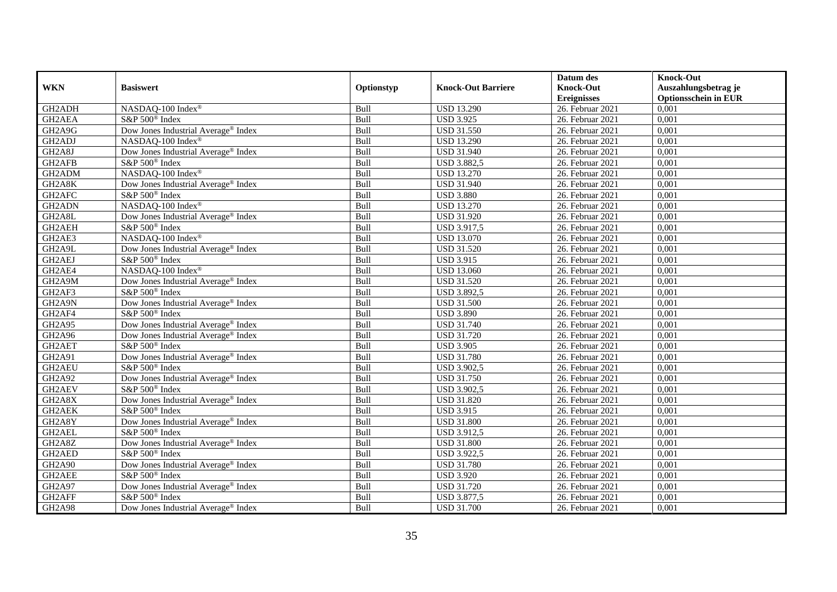|                                  |                                                 |            |                           | Datum des          | <b>Knock-Out</b>            |
|----------------------------------|-------------------------------------------------|------------|---------------------------|--------------------|-----------------------------|
| <b>WKN</b>                       | <b>Basiswert</b>                                | Optionstyp | <b>Knock-Out Barriere</b> | <b>Knock-Out</b>   | Auszahlungsbetrag je        |
|                                  |                                                 |            |                           | <b>Ereignisses</b> | <b>Optionsschein in EUR</b> |
| GH2ADH                           | NASDAQ-100 Index®                               | Bull       | <b>USD 13.290</b>         | 26. Februar 2021   | 0,001                       |
| GH2AEA                           | S&P 500 <sup>®</sup> Index                      | Bull       | <b>USD 3.925</b>          | 26. Februar 2021   | 0,001                       |
| GH2A9G                           | Dow Jones Industrial Average <sup>®</sup> Index | Bull       | <b>USD 31.550</b>         | 26. Februar 2021   | 0,001                       |
| GH2ADJ                           | NASDAQ-100 Index®                               | Bull       | <b>USD 13.290</b>         | 26. Februar 2021   | 0,001                       |
| GH2A8J                           | Dow Jones Industrial Average <sup>®</sup> Index | Bull       | <b>USD 31.940</b>         | 26. Februar 2021   | 0,001                       |
| GH2AFB                           | S&P 500 <sup>®</sup> Index                      | Bull       | <b>USD 3.882,5</b>        | 26. Februar 2021   | 0,001                       |
| GH2ADM                           | NASDAQ-100 Index®                               | Bull       | <b>USD 13.270</b>         | $26.$ Februar 2021 | 0,001                       |
| GH2A8K                           | Dow Jones Industrial Average <sup>®</sup> Index | Bull       | <b>USD 31.940</b>         | 26. Februar 2021   | 0,001                       |
| GH2AFC                           | S&P 500 <sup>®</sup> Index                      | Bull       | <b>USD 3.880</b>          | 26. Februar 2021   | 0,001                       |
| GH2ADN                           | NASDAQ-100 Index®                               | Bull       | <b>USD 13.270</b>         | 26. Februar 2021   | 0,001                       |
| GH <sub>2</sub> A <sub>8</sub> L | Dow Jones Industrial Average <sup>®</sup> Index | Bull       | <b>USD 31.920</b>         | 26. Februar 2021   | 0,001                       |
| GH2AEH                           | S&P 500 <sup>®</sup> Index                      | Bull       | <b>USD 3.917,5</b>        | 26. Februar 2021   | 0,001                       |
| GH2AE3                           | NASDAQ-100 Index®                               | Bull       | <b>USD 13.070</b>         | 26. Februar 2021   | 0,001                       |
| GH2A9L                           | Dow Jones Industrial Average® Index             | Bull       | <b>USD 31.520</b>         | 26. Februar 2021   | 0,001                       |
| GH2AEJ                           | S&P 500 <sup>®</sup> Index                      | Bull       | <b>USD 3.915</b>          | 26. Februar 2021   | 0,001                       |
| GH2AE4                           | NASDAQ-100 Index®                               | Bull       | <b>USD 13.060</b>         | 26. Februar 2021   | 0,001                       |
| GH2A9M                           | Dow Jones Industrial Average <sup>®</sup> Index | Bull       | <b>USD 31.520</b>         | 26. Februar 2021   | 0,001                       |
| GH2AF3                           | S&P 500 <sup>®</sup> Index                      | Bull       | <b>USD 3.892,5</b>        | 26. Februar 2021   | 0,001                       |
| GH <sub>2</sub> A9N              | Dow Jones Industrial Average <sup>®</sup> Index | Bull       | <b>USD 31.500</b>         | 26. Februar 2021   | 0,001                       |
| GH2AF4                           | S&P 500 <sup>®</sup> Index                      | Bull       | <b>USD 3.890</b>          | 26. Februar 2021   | 0,001                       |
| <b>GH2A95</b>                    | Dow Jones Industrial Average <sup>®</sup> Index | Bull       | <b>USD 31.740</b>         | 26. Februar 2021   | 0,001                       |
| <b>GH2A96</b>                    | Dow Jones Industrial Average® Index             | Bull       | <b>USD 31.720</b>         | 26. Februar 2021   | 0,001                       |
| GH2AET                           | S&P 500 <sup>®</sup> Index                      | Bull       | <b>USD 3.905</b>          | $26.$ Februar 2021 | 0,001                       |
| GH2A91                           | Dow Jones Industrial Average <sup>®</sup> Index | Bull       | <b>USD 31.780</b>         | 26. Februar 2021   | 0,001                       |
| GH2AEU                           | S&P 500 <sup>®</sup> Index                      | Bull       | <b>USD 3.902,5</b>        | $26.$ Februar 2021 | 0.001                       |
| GH2A92                           | Dow Jones Industrial Average <sup>®</sup> Index | Bull       | <b>USD 31.750</b>         | 26. Februar 2021   | 0,001                       |
| GH2AEV                           | S&P 500 <sup>®</sup> Index                      | Bull       | <b>USD 3.902,5</b>        | 26. Februar 2021   | 0,001                       |
| GH <sub>2</sub> A8X              | Dow Jones Industrial Average <sup>®</sup> Index | Bull       | <b>USD 31.820</b>         | $26.$ Februar 2021 | 0,001                       |
| GH2AEK                           | S&P 500 <sup>®</sup> Index                      | Bull       | <b>USD 3.915</b>          | 26. Februar 2021   | 0,001                       |
| GH2A8Y                           | Dow Jones Industrial Average® Index             | Bull       | <b>USD 31.800</b>         | 26. Februar 2021   | 0,001                       |
| GH2AEL                           | S&P 500 <sup>®</sup> Index                      | Bull       | USD 3.912,5               | 26. Februar 2021   | 0,001                       |
| GH2A8Z                           | Dow Jones Industrial Average <sup>®</sup> Index | Bull       | <b>USD 31.800</b>         | $26.$ Februar 2021 | 0.001                       |
| GH2AED                           | S&P 500 <sup>®</sup> Index                      | Bull       | <b>USD 3.922,5</b>        | 26. Februar 2021   | 0,001                       |
| <b>GH2A90</b>                    | Dow Jones Industrial Average <sup>®</sup> Index | Bull       | <b>USD 31.780</b>         | 26. Februar 2021   | 0,001                       |
| GH2AEE                           | S&P 500 <sup>®</sup> Index                      | Bull       | <b>USD 3.920</b>          | 26. Februar 2021   | 0,001                       |
| GH2A97                           | Dow Jones Industrial Average® Index             | Bull       | <b>USD 31.720</b>         | 26. Februar 2021   | 0,001                       |
| GH2AFF                           | S&P 500 <sup>®</sup> Index                      | Bull       | USD 3.877,5               | 26. Februar 2021   | 0,001                       |
| <b>GH2A98</b>                    | Dow Jones Industrial Average <sup>®</sup> Index | Bull       | <b>USD 31.700</b>         | 26. Februar 2021   | 0,001                       |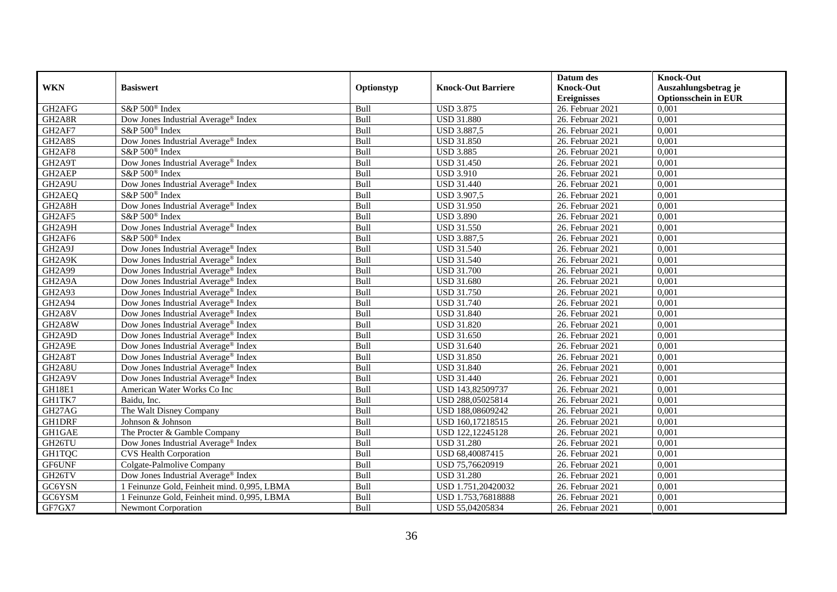|                                  |                                                 |            |                           | Datum des          | <b>Knock-Out</b>            |
|----------------------------------|-------------------------------------------------|------------|---------------------------|--------------------|-----------------------------|
| <b>WKN</b>                       | <b>Basiswert</b>                                | Optionstyp | <b>Knock-Out Barriere</b> | <b>Knock-Out</b>   | Auszahlungsbetrag je        |
|                                  |                                                 |            |                           | <b>Ereignisses</b> | <b>Optionsschein in EUR</b> |
| GH2AFG                           | S&P 500 <sup>®</sup> Index                      | Bull       | <b>USD 3.875</b>          | 26. Februar 2021   | 0,001                       |
| GH2A8R                           | Dow Jones Industrial Average® Index             | Bull       | <b>USD 31.880</b>         | 26. Februar 2021   | 0,001                       |
| GH2AF7                           | S&P 500 <sup>®</sup> Index                      | Bull       | <b>USD 3.887,5</b>        | 26. Februar 2021   | 0,001                       |
| GH2A8S                           | Dow Jones Industrial Average <sup>®</sup> Index | Bull       | <b>USD 31.850</b>         | $26.$ Februar 2021 | 0,001                       |
| GH2AF8                           | S&P 500 <sup>®</sup> Index                      | Bull       | <b>USD 3.885</b>          | 26. Februar 2021   | 0,001                       |
| GH2A9T                           | Dow Jones Industrial Average <sup>®</sup> Index | Bull       | <b>USD 31.450</b>         | $26.$ Februar 2021 | 0,001                       |
| GH2AEP                           | S&P 500 <sup>®</sup> Index                      | Bull       | <b>USD 3.910</b>          | 26. Februar 2021   | 0,001                       |
| GH2A9U                           | Dow Jones Industrial Average® Index             | Bull       | <b>USD 31.440</b>         | 26. Februar 2021   | 0,001                       |
| GH2AEQ                           | S&P 500 <sup>®</sup> Index                      | Bull       | USD 3.907,5               | 26. Februar 2021   | 0,001                       |
| GH2A8H                           | Dow Jones Industrial Average <sup>®</sup> Index | Bull       | <b>USD 31.950</b>         | 26. Februar 2021   | 0,001                       |
| GH2AF5                           | S&P 500 <sup>®</sup> Index                      | Bull       | <b>USD 3.890</b>          | 26. Februar 2021   | 0,001                       |
| GH2A9H                           | Dow Jones Industrial Average <sup>®</sup> Index | Bull       | <b>USD 31.550</b>         | 26. Februar 2021   | 0,001                       |
| GH2AF6                           | S&P 500 <sup>®</sup> Index                      | Bull       | <b>USD 3.887,5</b>        | 26. Februar 2021   | 0,001                       |
| GH2A9J                           | Dow Jones Industrial Average® Index             | Bull       | <b>USD 31.540</b>         | 26. Februar 2021   | 0,001                       |
| GH2A9K                           | Dow Jones Industrial Average® Index             | Bull       | <b>USD 31.540</b>         | 26. Februar 2021   | 0,001                       |
| GH2A99                           | Dow Jones Industrial Average® Index             | Bull       | <b>USD 31.700</b>         | 26. Februar 2021   | 0,001                       |
| GH <sub>2</sub> A <sub>9</sub> A | Dow Jones Industrial Average® Index             | Bull       | <b>USD 31.680</b>         | 26. Februar 2021   | 0,001                       |
| <b>GH2A93</b>                    | Dow Jones Industrial Average <sup>®</sup> Index | Bull       | <b>USD 31.750</b>         | 26. Februar 2021   | 0,001                       |
| GH2A94                           | Dow Jones Industrial Average® Index             | Bull       | <b>USD 31.740</b>         | 26. Februar 2021   | 0,001                       |
| GH <sub>2</sub> A <sub>8</sub> V | Dow Jones Industrial Average <sup>®</sup> Index | Bull       | <b>USD 31.840</b>         | 26. Februar 2021   | 0,001                       |
| GH2A8W                           | Dow Jones Industrial Average <sup>®</sup> Index | Bull       | <b>USD 31.820</b>         | 26. Februar 2021   | 0,001                       |
| GH <sub>2</sub> A9D              | Dow Jones Industrial Average <sup>®</sup> Index | Bull       | <b>USD 31.650</b>         | 26. Februar 2021   | 0,001                       |
| GH2A9E                           | Dow Jones Industrial Average® Index             | Bull       | <b>USD 31.640</b>         | 26. Februar 2021   | 0,001                       |
| GH2A8T                           | Dow Jones Industrial Average® Index             | Bull       | <b>USD 31.850</b>         | 26. Februar 2021   | 0,001                       |
| GH2A8U                           | Dow Jones Industrial Average <sup>®</sup> Index | Bull       | <b>USD 31.840</b>         | 26. Februar 2021   | 0,001                       |
| GH2A9V                           | Dow Jones Industrial Average® Index             | Bull       | <b>USD 31.440</b>         | 26. Februar 2021   | 0,001                       |
| GH18E1                           | American Water Works Co Inc                     | Bull       | USD 143,82509737          | 26. Februar 2021   | 0,001                       |
| GH1TK7                           | Baidu, Inc.                                     | Bull       | USD 288,05025814          | $26.$ Februar 2021 | 0.001                       |
| GH27AG                           | The Walt Disney Company                         | Bull       | USD 188,08609242          | 26. Februar 2021   | 0,001                       |
| <b>GH1DRF</b>                    | Johnson & Johnson                               | Bull       | USD 160,17218515          | 26. Februar 2021   | 0,001                       |
| GH1GAE                           | The Procter & Gamble Company                    | Bull       | USD 122,12245128          | 26. Februar 2021   | 0,001                       |
| GH26TU                           | Dow Jones Industrial Average® Index             | Bull       | <b>USD 31.280</b>         | 26. Februar 2021   | 0,001                       |
| <b>GH1TQC</b>                    | <b>CVS</b> Health Corporation                   | Bull       | USD 68,40087415           | 26. Februar 2021   | 0,001                       |
| GF6UNF                           | Colgate-Palmolive Company                       | Bull       | USD 75,76620919           | 26. Februar 2021   | 0,001                       |
| GH26TV                           | Dow Jones Industrial Average® Index             | Bull       | <b>USD 31.280</b>         | 26. Februar 2021   | 0,001                       |
| GC6YSN                           | 1 Feinunze Gold, Feinheit mind. 0,995, LBMA     | Bull       | USD 1.751,20420032        | 26. Februar 2021   | 0,001                       |
| GC6YSM                           | 1 Feinunze Gold, Feinheit mind. 0,995, LBMA     | Bull       | USD 1.753,76818888        | 26. Februar 2021   | 0,001                       |
| GF7GX7                           | <b>Newmont Corporation</b>                      | Bull       | USD 55,04205834           | 26. Februar 2021   | 0,001                       |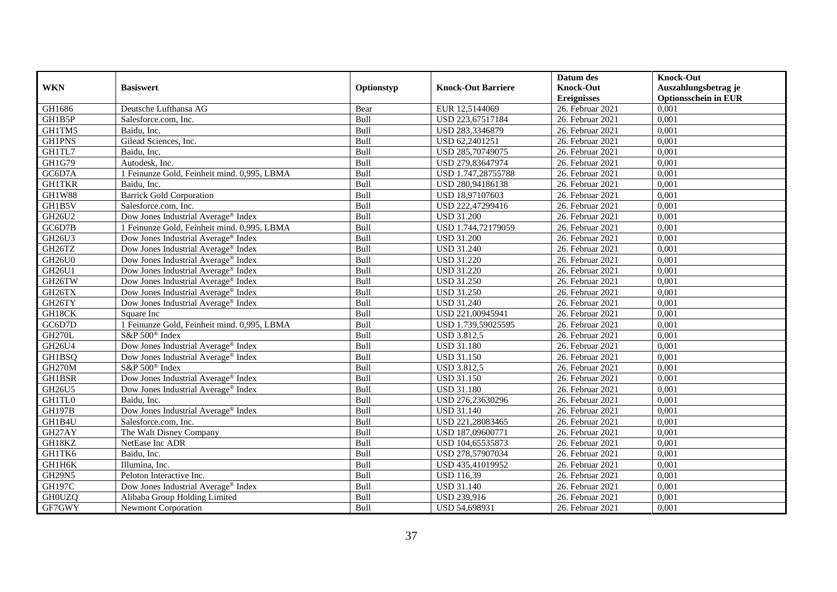|               |                                                 |            |                           | Datum des          | <b>Knock-Out</b>            |
|---------------|-------------------------------------------------|------------|---------------------------|--------------------|-----------------------------|
| <b>WKN</b>    | <b>Basiswert</b>                                | Optionstyp | <b>Knock-Out Barriere</b> | <b>Knock-Out</b>   | Auszahlungsbetrag je        |
|               |                                                 |            |                           | <b>Ereignisses</b> | <b>Optionsschein in EUR</b> |
| GH1686        | Deutsche Lufthansa AG                           | Bear       | EUR 12,5144069            | 26. Februar 2021   | 0,001                       |
| GH1B5P        | Salesforce.com. Inc.                            | Bull       | USD 223,67517184          | 26. Februar 2021   | 0,001                       |
| GH1TM5        | Baidu, Inc.                                     | Bull       | USD 283,3346879           | 26. Februar 2021   | 0,001                       |
| <b>GH1PNS</b> | Gilead Sciences, Inc.                           | Bull       | USD 62,2401251            | 26. Februar 2021   | 0,001                       |
| GH1TL7        | Baidu, Inc.                                     | Bull       | USD 285,70749075          | 26. Februar 2021   | 0,001                       |
| GH1G79        | Autodesk, Inc.                                  | Bull       | USD 279,83647974          | $26.$ Februar 2021 | 0,001                       |
| GC6D7A        | 1 Feinunze Gold, Feinheit mind. 0,995, LBMA     | Bull       | USD 1.747,28755788        | 26. Februar 2021   | 0,001                       |
| <b>GH1TKR</b> | Baidu, Inc.                                     | Bull       | USD 280,94186138          | 26. Februar 2021   | 0,001                       |
| GH1W88        | <b>Barrick Gold Corporation</b>                 | Bull       | USD 18,97107603           | 26. Februar 2021   | 0,001                       |
| GH1B5V        | Salesforce.com, Inc.                            | Bull       | USD 222,47299416          | 26. Februar 2021   | 0,001                       |
| GH26U2        | Dow Jones Industrial Average <sup>®</sup> Index | Bull       | <b>USD 31.200</b>         | 26. Februar 2021   | 0,001                       |
| GC6D7B        | 1 Feinunze Gold, Feinheit mind. 0,995, LBMA     | Bull       | USD 1.744,72179059        | 26. Februar 2021   | 0,001                       |
| GH26U3        | Dow Jones Industrial Average <sup>®</sup> Index | Bull       | <b>USD 31.200</b>         | 26. Februar 2021   | 0,001                       |
| GH26TZ        | Dow Jones Industrial Average <sup>®</sup> Index | Bull       | <b>USD 31.240</b>         | 26. Februar 2021   | 0,001                       |
| GH26U0        | Dow Jones Industrial Average® Index             | Bull       | <b>USD 31.220</b>         | 26. Februar 2021   | 0,001                       |
| GH26U1        | Dow Jones Industrial Average® Index             | Bull       | <b>USD 31.220</b>         | 26. Februar 2021   | 0,001                       |
| GH26TW        | Dow Jones Industrial Average <sup>®</sup> Index | Bull       | <b>USD 31.250</b>         | 26. Februar 2021   | 0,001                       |
| GH26TX        | Dow Jones Industrial Average <sup>®</sup> Index | Bull       | <b>USD 31.250</b>         | 26. Februar 2021   | 0,001                       |
| GH26TY        | Dow Jones Industrial Average® Index             | Bull       | <b>USD 31.240</b>         | 26. Februar 2021   | 0,001                       |
| GH18CK        | Square Inc                                      | Bull       | USD 221,00945941          | 26. Februar 2021   | 0,001                       |
| GC6D7D        | 1 Feinunze Gold, Feinheit mind. 0,995, LBMA     | Bull       | USD 1.739,59025595        | 26. Februar 2021   | 0,001                       |
| <b>GH270L</b> | S&P 500 <sup>®</sup> Index                      | Bull       | <b>USD 3.812,5</b>        | 26. Februar 2021   | 0,001                       |
| GH26U4        | Dow Jones Industrial Average® Index             | Bull       | <b>USD 31.180</b>         | 26. Februar 2021   | 0,001                       |
| GH1BSQ        | Dow Jones Industrial Average® Index             | Bull       | <b>USD 31.150</b>         | 26. Februar 2021   | 0,001                       |
| <b>GH270M</b> | S&P 500 <sup>®</sup> Index                      | Bull       | <b>USD 3.812,5</b>        | 26. Februar 2021   | 0,001                       |
| GH1BSR        | Dow Jones Industrial Average <sup>®</sup> Index | Bull       | <b>USD 31.150</b>         | 26. Februar 2021   | 0,001                       |
| GH26U5        | Dow Jones Industrial Average® Index             | Bull       | <b>USD 31.180</b>         | 26. Februar 2021   | 0,001                       |
| GH1TL0        | Baidu, Inc.                                     | Bull       | USD 276,23630296          | $26.$ Februar 2021 | 0.001                       |
| <b>GH197B</b> | Dow Jones Industrial Average® Index             | Bull       | <b>USD 31.140</b>         | 26. Februar 2021   | 0,001                       |
| GH1B4U        | Salesforce.com, Inc.                            | Bull       | USD 221,28083465          | 26. Februar 2021   | 0,001                       |
| GH27AY        | The Walt Disney Company                         | Bull       | USD 187,09600771          | 26. Februar 2021   | 0,001                       |
| GH18KZ        | NetEase Inc ADR                                 | Bull       | USD 104,65535873          | 26. Februar 2021   | 0.001                       |
| GH1TK6        | Baidu, Inc.                                     | Bull       | USD 278,57907034          | $26.$ Februar 2021 | 0,001                       |
| GH1H6K        | Illumina, Inc.                                  | Bull       | USD 435,41019952          | 26. Februar 2021   | 0,001                       |
| GH29N5        | Peloton Interactive Inc.                        | Bull       | <b>USD 116,39</b>         | 26. Februar 2021   | 0,001                       |
| <b>GH197C</b> | Dow Jones Industrial Average <sup>®</sup> Index | Bull       | <b>USD 31.140</b>         | 26. Februar 2021   | 0,001                       |
| <b>GH0UZQ</b> | Alibaba Group Holding Limited                   | Bull       | USD 239,916               | 26. Februar 2021   | 0,001                       |
| GF7GWY        | <b>Newmont Corporation</b>                      | Bull       | USD 54,698931             | 26. Februar 2021   | 0,001                       |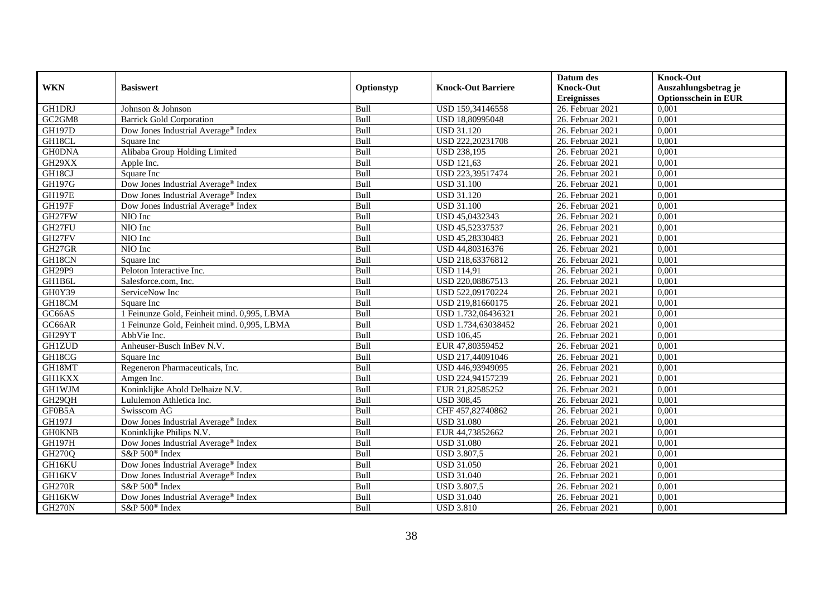|               |                                                 |            |                           | Datum des          | <b>Knock-Out</b>            |
|---------------|-------------------------------------------------|------------|---------------------------|--------------------|-----------------------------|
| <b>WKN</b>    | <b>Basiswert</b>                                | Optionstyp | <b>Knock-Out Barriere</b> | <b>Knock-Out</b>   | Auszahlungsbetrag je        |
|               |                                                 |            |                           | <b>Ereignisses</b> | <b>Optionsschein in EUR</b> |
| GH1DRJ        | Johnson & Johnson                               | Bull       | USD 159,34146558          | 26. Februar 2021   | 0,001                       |
| GC2GM8        | <b>Barrick Gold Corporation</b>                 | Bull       | USD 18,80995048           | 26. Februar 2021   | 0,001                       |
| GH197D        | Dow Jones Industrial Average® Index             | Bull       | <b>USD 31.120</b>         | 26. Februar 2021   | 0,001                       |
| GH18CL        | Square Inc                                      | Bull       | USD 222,20231708          | 26. Februar 2021   | 0,001                       |
| <b>GH0DNA</b> | Alibaba Group Holding Limited                   | Bull       | <b>USD 238,195</b>        | 26. Februar 2021   | 0,001                       |
| GH29XX        | Apple Inc.                                      | Bull       | <b>USD 121,63</b>         | $26.$ Februar 2021 | 0,001                       |
| GH18CJ        | Square Inc                                      | Bull       | USD 223,39517474          | 26. Februar 2021   | 0,001                       |
| <b>GH197G</b> | Dow Jones Industrial Average® Index             | Bull       | <b>USD 31.100</b>         | 26. Februar 2021   | 0,001                       |
| <b>GH197E</b> | Dow Jones Industrial Average® Index             | Bull       | <b>USD 31.120</b>         | 26. Februar 2021   | 0,001                       |
| <b>GH197F</b> | Dow Jones Industrial Average® Index             | Bull       | <b>USD 31.100</b>         | 26. Februar 2021   | 0,001                       |
| GH27FW        | NIO Inc                                         | Bull       | USD 45,0432343            | 26. Februar 2021   | 0,001                       |
| GH27FU        | NIO Inc                                         | Bull       | USD 45,52337537           | 26. Februar 2021   | 0,001                       |
| GH27FV        | NIO Inc                                         | Bull       | USD 45,28330483           | 26. Februar 2021   | 0,001                       |
| GH27GR        | NIO Inc                                         | Bull       | USD 44,80316376           | 26. Februar 2021   | 0,001                       |
| GH18CN        | Square Inc                                      | Bull       | USD 218,63376812          | 26. Februar 2021   | 0,001                       |
| GH29P9        | Peloton Interactive Inc.                        | Bull       | <b>USD 114,91</b>         | 26. Februar 2021   | 0,001                       |
| GH1B6L        | Salesforce.com, Inc.                            | Bull       | USD 220,08867513          | 26. Februar 2021   | 0,001                       |
| GH0Y39        | ServiceNow Inc                                  | Bull       | USD 522,09170224          | 26. Februar 2021   | 0,001                       |
| GH18CM        | Square Inc                                      | Bull       | USD 219,81660175          | 26. Februar 2021   | 0,001                       |
| GC66AS        | 1 Feinunze Gold, Feinheit mind. 0,995, LBMA     | Bull       | USD 1.732,06436321        | 26. Februar 2021   | 0,001                       |
| GC66AR        | 1 Feinunze Gold, Feinheit mind. 0,995, LBMA     | Bull       | USD 1.734,63038452        | 26. Februar 2021   | 0,001                       |
| GH29YT        | AbbVie Inc.                                     | Bull       | <b>USD 106,45</b>         | 26. Februar 2021   | 0,001                       |
| <b>GH1ZUD</b> | Anheuser-Busch InBev N.V.                       | Bull       | EUR 47,80359452           | 26. Februar 2021   | 0,001                       |
| GH18CG        | Square Inc                                      | Bull       | USD 217,44091046          | 26. Februar 2021   | 0,001                       |
| GH18MT        | Regeneron Pharmaceuticals, Inc.                 | Bull       | USD 446,93949095          | 26. Februar 2021   | 0,001                       |
| GH1KXX        | Amgen Inc.                                      | Bull       | USD 224,94157239          | 26. Februar 2021   | 0,001                       |
| <b>GH1WJM</b> | Koninklijke Ahold Delhaize N.V.                 | Bull       | EUR 21,82585252           | 26. Februar 2021   | 0,001                       |
| GH29QH        | Lululemon Athletica Inc.                        | Bull       | <b>USD 308,45</b>         | $26.$ Februar 2021 | 0.001                       |
| GF0B5A        | Swisscom AG                                     | Bull       | CHF 457,82740862          | 26. Februar 2021   | 0,001                       |
| <b>GH197J</b> | Dow Jones Industrial Average® Index             | Bull       | <b>USD 31.080</b>         | 26. Februar 2021   | 0,001                       |
| <b>GH0KNB</b> | Koninklijke Philips N.V.                        | Bull       | EUR 44,73852662           | 26. Februar 2021   | 0,001                       |
| GH197H        | Dow Jones Industrial Average <sup>®</sup> Index | Bull       | <b>USD 31.080</b>         | 26. Februar 2021   | 0.001                       |
| <b>GH270Q</b> | S&P 500 <sup>®</sup> Index                      | Bull       | <b>USD 3.807,5</b>        | $26.$ Februar 2021 | 0,001                       |
| GH16KU        | Dow Jones Industrial Average® Index             | Bull       | <b>USD 31.050</b>         | 26. Februar 2021   | 0,001                       |
| GH16KV        | Dow Jones Industrial Average® Index             | Bull       | <b>USD 31.040</b>         | 26. Februar 2021   | 0,001                       |
| <b>GH270R</b> | S&P 500 <sup>®</sup> Index                      | Bull       | <b>USD 3.807,5</b>        | 26. Februar 2021   | 0,001                       |
| GH16KW        | Dow Jones Industrial Average® Index             | Bull       | <b>USD 31.040</b>         | 26. Februar 2021   | 0,001                       |
| <b>GH270N</b> | S&P 500 <sup>®</sup> Index                      | Bull       | <b>USD 3.810</b>          | 26. Februar 2021   | 0,001                       |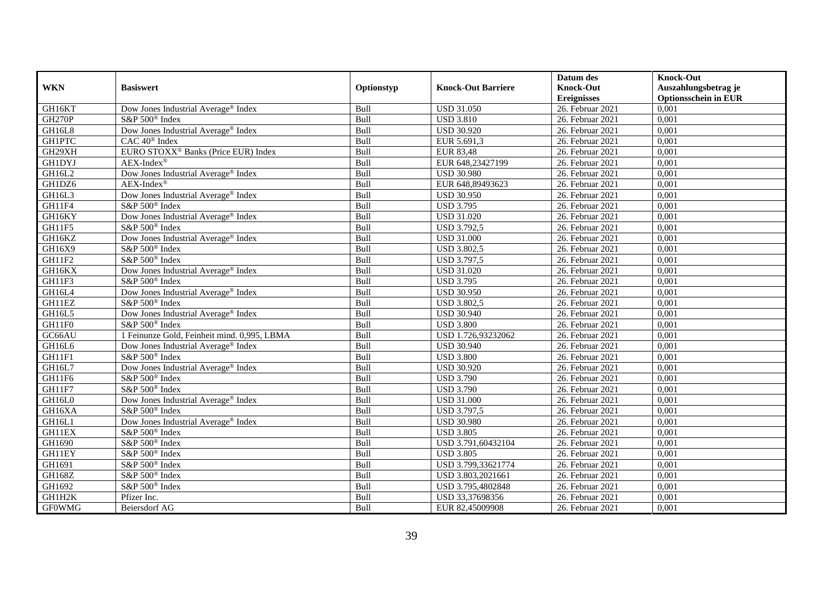|               |                                                 |            |                           | Datum des                      | <b>Knock-Out</b>            |
|---------------|-------------------------------------------------|------------|---------------------------|--------------------------------|-----------------------------|
| <b>WKN</b>    | <b>Basiswert</b>                                | Optionstyp | <b>Knock-Out Barriere</b> | <b>Knock-Out</b>               | Auszahlungsbetrag je        |
|               |                                                 |            |                           | <b>Ereignisses</b>             | <b>Optionsschein in EUR</b> |
| GH16KT        | Dow Jones Industrial Average® Index             | Bull       | <b>USD 31.050</b>         | 26. Februar 2021               | 0,001                       |
| <b>GH270P</b> | S&P 500 <sup>®</sup> Index                      | Bull       | <b>USD 3.810</b>          | 26. Februar 2021               | 0,001                       |
| GH16L8        | Dow Jones Industrial Average® Index             | Bull       | <b>USD 30.920</b>         | $26.$ Februar 2021             | 0,001                       |
| <b>GH1PTC</b> | $CAC 40^{\circledast}$ Index                    | Bull       | EUR 5.691,3               | 26. Februar 2021               | 0,001                       |
| GH29XH        | EURO STOXX <sup>®</sup> Banks (Price EUR) Index | Bull       | <b>EUR 83,48</b>          | 26. Februar 2021               | 0,001                       |
| <b>GH1DYJ</b> | $AEX-Index^{\circledR}$                         | Bull       | EUR 648,23427199          | 26. Februar 2021               | 0,001                       |
| GH16L2        | Dow Jones Industrial Average <sup>®</sup> Index | Bull       | <b>USD 30.980</b>         | $26.$ Februar 2021             | 0,001                       |
| GH1DZ6        | $AEX-Index^{\circledR}$                         | Bull       | EUR 648,89493623          | 26. Februar 2021               | 0,001                       |
| GH16L3        | Dow Jones Industrial Average® Index             | Bull       | <b>USD 30.950</b>         | 26. Februar 2021               | 0,001                       |
| GH11F4        | S&P 500 <sup>®</sup> Index                      | Bull       | <b>USD 3.795</b>          | 26. Februar 2021               | 0,001                       |
| GH16KY        | Dow Jones Industrial Average® Index             | Bull       | <b>USD 31.020</b>         | 26. Februar 2021               | 0,001                       |
| GH11F5        | S&P 500 <sup>®</sup> Index                      | Bull       | <b>USD 3.792,5</b>        | 26. Februar 2021               | 0,001                       |
| GH16KZ        | Dow Jones Industrial Average® Index             | Bull       | <b>USD 31.000</b>         | 26. Februar 2021               | 0,001                       |
| GH16X9        | S&P 500 <sup>®</sup> Index                      | Bull       | <b>USD 3.802,5</b>        | 26. Februar 2021               | 0,001                       |
| GH11F2        | S&P 500 <sup>®</sup> Index                      | Bull       | USD 3.797,5               | 26. Februar 2021               | 0,001                       |
| GH16KX        | Dow Jones Industrial Average® Index             | Bull       | <b>USD 31.020</b>         | 26. Februar 2021               | 0,001                       |
| GH11F3        | S&P 500 <sup>®</sup> Index                      | Bull       | <b>USD 3.795</b>          | $\overline{26}$ . Februar 2021 | 0,001                       |
| GH16L4        | Dow Jones Industrial Average <sup>®</sup> Index | Bull       | <b>USD 30.950</b>         | 26. Februar 2021               | 0,001                       |
| GH11EZ        | S&P 500 <sup>®</sup> Index                      | Bull       | <b>USD 3.802,5</b>        | 26. Februar 2021               | 0,001                       |
| GH16L5        | Dow Jones Industrial Average® Index             | Bull       | <b>USD 30.940</b>         | 26. Februar 2021               | 0,001                       |
| GH11F0        | S&P 500 <sup>®</sup> Index                      | Bull       | <b>USD 3.800</b>          | 26. Februar 2021               | 0,001                       |
| GC66AU        | 1 Feinunze Gold, Feinheit mind. 0,995, LBMA     | Bull       | USD 1.726,93232062        | 26. Februar 2021               | 0,001                       |
| GH16L6        | Dow Jones Industrial Average® Index             | Bull       | <b>USD 30.940</b>         | $26.$ Februar 2021             | 0,001                       |
| GH11F1        | S&P 500 <sup>®</sup> Index                      | Bull       | <b>USD 3.800</b>          | 26. Februar 2021               | 0,001                       |
| GH16L7        | Dow Jones Industrial Average <sup>®</sup> Index | Bull       | <b>USD 30.920</b>         | $26.$ Februar 2021             | 0.001                       |
| GH11F6        | S&P 500 <sup>®</sup> Index                      | Bull       | <b>USD 3.790</b>          | 26. Februar 2021               | 0,001                       |
| GH11F7        | S&P 500 <sup>®</sup> Index                      | Bull       | <b>USD 3.790</b>          | 26. Februar 2021               | 0,001                       |
| GH16L0        | Dow Jones Industrial Average <sup>®</sup> Index | Bull       | <b>USD 31.000</b>         | $26.$ Februar 2021             | 0,001                       |
| GH16XA        | S&P 500 <sup>®</sup> Index                      | Bull       | <b>USD 3.797,5</b>        | 26. Februar 2021               | 0,001                       |
| GH16L1        | Dow Jones Industrial Average® Index             | Bull       | <b>USD 30.980</b>         | 26. Februar 2021               | 0,001                       |
| GH11EX        | S&P 500 <sup>®</sup> Index                      | Bull       | <b>USD 3.805</b>          | 26. Februar 2021               | 0,001                       |
| GH1690        | S&P 500 <sup>®</sup> Index                      | Bull       | USD 3.791,60432104        | $26.$ Februar 2021             | 0.001                       |
| GH11EY        | S&P 500 <sup>®</sup> Index                      | Bull       | <b>USD 3.805</b>          | 26. Februar 2021               | 0,001                       |
| GH1691        | S&P 500 <sup>®</sup> Index                      | Bull       | USD 3.799,33621774        | 26. Februar 2021               | 0,001                       |
| GH168Z        | S&P 500 <sup>®</sup> Index                      | Bull       | USD 3.803,2021661         | 26. Februar 2021               | 0,001                       |
| GH1692        | S&P 500 <sup>®</sup> Index                      | Bull       | USD 3.795,4802848         | 26. Februar 2021               | 0,001                       |
| GH1H2K        | Pfizer Inc.                                     | Bull       | USD 33,37698356           | 26. Februar 2021               | 0,001                       |
| <b>GF0WMG</b> | Beiersdorf AG                                   | Bull       | EUR 82,45009908           | 26. Februar 2021               | 0,001                       |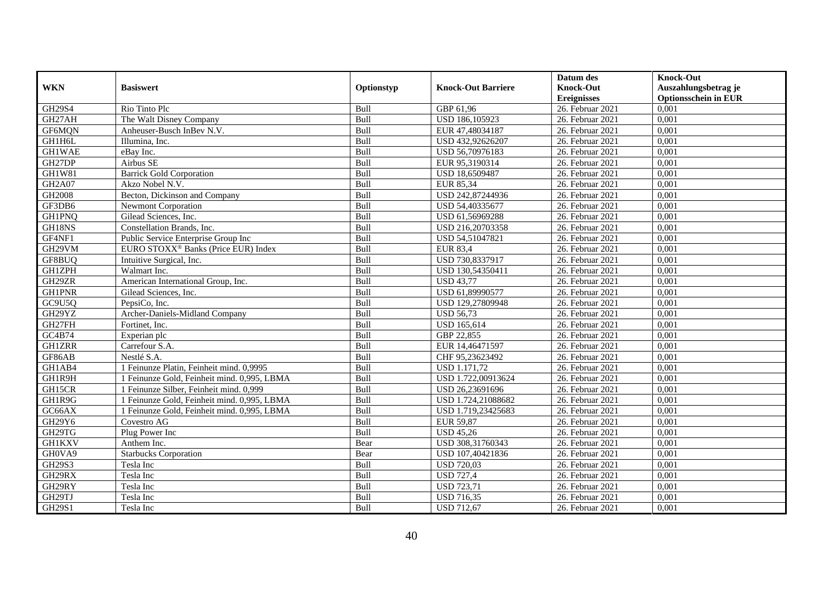|               |                                                 |            |                           | Datum des          | <b>Knock-Out</b>            |
|---------------|-------------------------------------------------|------------|---------------------------|--------------------|-----------------------------|
| <b>WKN</b>    | <b>Basiswert</b>                                | Optionstyp | <b>Knock-Out Barriere</b> | <b>Knock-Out</b>   | Auszahlungsbetrag je        |
|               |                                                 |            |                           | <b>Ereignisses</b> | <b>Optionsschein in EUR</b> |
| GH29S4        | Rio Tinto Plc                                   | Bull       | GBP 61,96                 | 26. Februar 2021   | 0,001                       |
| GH27AH        | The Walt Disney Company                         | Bull       | USD 186,105923            | 26. Februar 2021   | 0,001                       |
| GF6MQN        | Anheuser-Busch InBev N.V.                       | Bull       | EUR 47,48034187           | 26. Februar 2021   | 0,001                       |
| GH1H6L        | Illumina, Inc.                                  | Bull       | USD 432,92626207          | 26. Februar 2021   | 0,001                       |
| GH1WAE        | eBay Inc.                                       | Bull       | USD 56,70976183           | 26. Februar 2021   | 0,001                       |
| GH27DP        | Airbus SE                                       | Bull       | EUR 95,3190314            | 26. Februar 2021   | 0,001                       |
| GH1W81        | <b>Barrick Gold Corporation</b>                 | Bull       | USD 18,6509487            | 26. Februar 2021   | 0,001                       |
| <b>GH2A07</b> | Akzo Nobel N.V.                                 | Bull       | EUR 85,34                 | 26. Februar 2021   | 0,001                       |
| GH2008        | Becton, Dickinson and Company                   | Bull       | USD 242,87244936          | 26. Februar 2021   | 0,001                       |
| GF3DB6        | <b>Newmont Corporation</b>                      | Bull       | USD 54,40335677           | 26. Februar 2021   | 0,001                       |
| <b>GH1PNQ</b> | Gilead Sciences, Inc.                           | Bull       | USD 61,56969288           | 26. Februar 2021   | 0,001                       |
| GH18NS        | Constellation Brands, Inc.                      | Bull       | USD 216,20703358          | 26. Februar 2021   | 0,001                       |
| GF4NF1        | Public Service Enterprise Group Inc             | Bull       | USD 54,51047821           | 26. Februar 2021   | 0,001                       |
| GH29VM        | EURO STOXX <sup>®</sup> Banks (Price EUR) Index | Bull       | EUR 83,4                  | 26. Februar 2021   | 0,001                       |
| GF8BUQ        | Intuitive Surgical, Inc.                        | Bull       | USD 730,8337917           | 26. Februar 2021   | 0,001                       |
| <b>GH1ZPH</b> | Walmart Inc.                                    | Bull       | USD 130,54350411          | 26. Februar 2021   | 0,001                       |
| GH29ZR        | American International Group, Inc.              | Bull       | <b>USD 43,77</b>          | 26. Februar 2021   | 0,001                       |
| <b>GH1PNR</b> | Gilead Sciences, Inc.                           | Bull       | USD 61,89990577           | 26. Februar 2021   | 0,001                       |
| GC9U5Q        | PepsiCo, Inc.                                   | Bull       | USD 129,27809948          | 26. Februar 2021   | 0,001                       |
| GH29YZ        | Archer-Daniels-Midland Company                  | Bull       | <b>USD 56,73</b>          | 26. Februar 2021   | 0,001                       |
| GH27FH        | Fortinet, Inc.                                  | Bull       | <b>USD 165,614</b>        | 26. Februar 2021   | 0,001                       |
| GC4B74        | Experian plc                                    | Bull       | GBP 22,855                | 26. Februar 2021   | 0,001                       |
| <b>GH1ZRR</b> | Carrefour S.A.                                  | Bull       | EUR 14,46471597           | 26. Februar 2021   | 0,001                       |
| GF86AB        | Nestlé S.A.                                     | Bull       | CHF 95,23623492           | 26. Februar 2021   | 0,001                       |
| GH1AB4        | 1 Feinunze Platin, Feinheit mind. 0,9995        | Bull       | <b>USD 1.171,72</b>       | 26. Februar 2021   | 0,001                       |
| GH1R9H        | 1 Feinunze Gold, Feinheit mind. 0,995, LBMA     | Bull       | USD 1.722,00913624        | 26. Februar 2021   | 0,001                       |
| GH15CR        | 1 Feinunze Silber, Feinheit mind. 0,999         | Bull       | USD 26,23691696           | 26. Februar 2021   | 0,001                       |
| GH1R9G        | 1 Feinunze Gold, Feinheit mind, 0.995, LBMA     | Bull       | USD 1.724,21088682        | $26.$ Februar 2021 | 0.001                       |
| GC66AX        | 1 Feinunze Gold, Feinheit mind. 0,995, LBMA     | Bull       | USD 1.719,23425683        | 26. Februar 2021   | 0,001                       |
| GH29Y6        | Covestro AG                                     | Bull       | <b>EUR 59,87</b>          | 26. Februar 2021   | 0,001                       |
| GH29TG        | Plug Power Inc                                  | Bull       | <b>USD 45,26</b>          | 26. Februar 2021   | 0,001                       |
| <b>GH1KXV</b> | Anthem Inc.                                     | Bear       | USD 308,31760343          | 26. Februar 2021   | 0.001                       |
| GH0VA9        | <b>Starbucks Corporation</b>                    | Bear       | USD 107,40421836          | 26. Februar 2021   | 0,001                       |
| GH29S3        | Tesla Inc                                       | Bull       | <b>USD 720,03</b>         | 26. Februar 2021   | 0,001                       |
| GH29RX        | Tesla Inc                                       | Bull       | <b>USD 727,4</b>          | 26. Februar 2021   | 0,001                       |
| GH29RY        | Tesla Inc                                       | Bull       | <b>USD 723,71</b>         | 26. Februar 2021   | 0,001                       |
| GH29TJ        | Tesla Inc                                       | Bull       | <b>USD 716,35</b>         | 26. Februar 2021   | 0,001                       |
| GH29S1        | Tesla Inc                                       | Bull       | <b>USD 712,67</b>         | 26. Februar 2021   | 0,001                       |